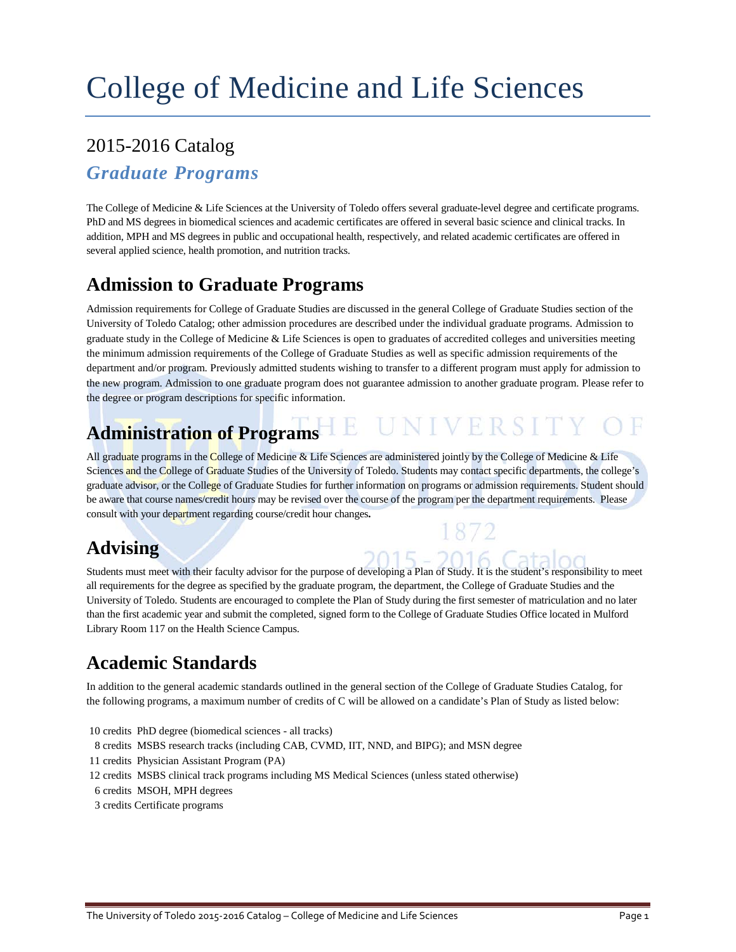## 2015-2016 Catalog

### *Graduate Programs*

The College of Medicine & Life Sciences at the University of Toledo offers several graduate-level degree and certificate programs. PhD and MS degrees in biomedical sciences and academic certificates are offered in several basic science and clinical tracks. In addition, MPH and MS degrees in public and occupational health, respectively, and related academic certificates are offered in several applied science, health promotion, and nutrition tracks.

## **Admission to Graduate Programs**

Admission requirements for College of Graduate Studies are discussed in the general College of Graduate Studies section of the University of Toledo Catalog; other admission procedures are described under the individual graduate programs. Admission to graduate study in the College of Medicine & Life Sciences is open to graduates of accredited colleges and universities meeting the minimum admission requirements of the College of Graduate Studies as well as specific admission requirements of the department and/or program. Previously admitted students wishing to transfer to a different program must apply for admission to the new program. Admission to one graduate program does not guarantee admission to another graduate program. Please refer to the degree or program descriptions for specific information.

# **Administration of Programs HE UNIVERSITY**

All graduate programs in the College of Medicine & Life Sciences are administered jointly by the College of Medicine & Life Sciences and the College of Graduate Studies of the University of Toledo. Students may contact specific departments, the college's graduate advisor, or the College of Graduate Studies for further information on programs or admission requirements. Student should be aware that course names/credit hours may be revised over the course of the program per the department requirements. Please consult with your department regarding course/credit hour changes**.**

## **Advising**

Students must meet with their faculty advisor for the purpose of developing a Plan of Study. It is the student's responsibility to meet all requirements for the degree as specified by the graduate program, the department, the College of Graduate Studies and the University of Toledo. Students are encouraged to complete the Plan of Study during the first semester of matriculation and no later than the first academic year and submit the completed, signed form to the College of Graduate Studies Office located in Mulford Library Room 117 on the Health Science Campus.

## **Academic Standards**

In addition to the general academic standards outlined in the general section of the College of Graduate Studies Catalog, for the following programs, a maximum number of credits of C will be allowed on a candidate's Plan of Study as listed below:

10 credits PhD degree (biomedical sciences - all tracks)

- 8 credits MSBS research tracks (including CAB, CVMD, IIT, NND, and BIPG); and MSN degree
- 11 credits Physician Assistant Program (PA)
- 12 credits MSBS clinical track programs including MS Medical Sciences (unless stated otherwise)
- 6 credits MSOH, MPH degrees
- 3 credits Certificate programs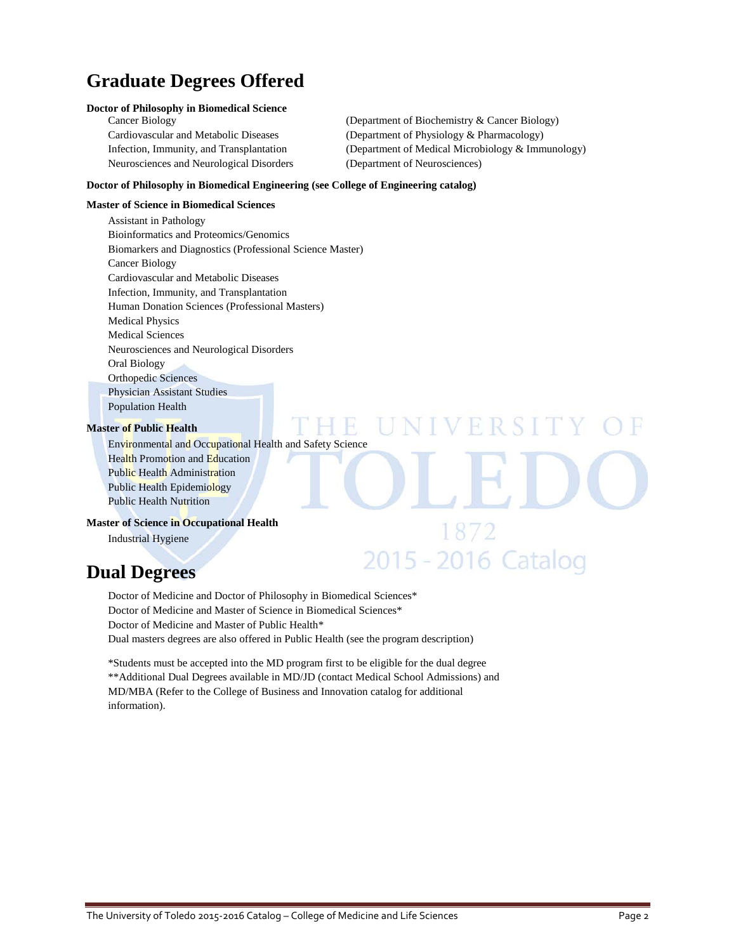## **Graduate Degrees Offered**

### **Doctor of Philosophy in Biomedical Science**

Neurosciences and Neurological Disorders (Department of Neurosciences)

Cancer Biology (Department of Biochemistry & Cancer Biology) Cardiovascular and Metabolic Diseases (Department of Physiology & Pharmacology) Infection, Immunity, and Transplantation (Department of Medical Microbiology & Immunology)

**IVERSITY** 

1872

2015 - 2016 Catalog

### **Doctor of Philosophy in Biomedical Engineering (see College of Engineering catalog)**

### **Master of Science in Biomedical Sciences**

Assistant in Pathology Bioinformatics and Proteomics/Genomics Biomarkers and Diagnostics (Professional Science Master) Cancer Biology Cardiovascular and Metabolic Diseases Infection, Immunity, and Transplantation Human Donation Sciences (Professional Masters) Medical Physics Medical Sciences Neurosciences and Neurological Disorders Oral Biology Orthopedic Sciences Physician Assistant Studies Population Health

#### **Master of Public Health**

Environmental and Occupational Health and Safety Science Health Promotion and Education Public Health Administration Public Health Epidemiology Public Health Nutrition

### **Master of Science in Occupational Health**

Industrial Hygiene

### **Dual Degrees**

Doctor of Medicine and Doctor of Philosophy in Biomedical Sciences\* Doctor of Medicine and Master of Science in Biomedical Sciences\* Doctor of Medicine and Master of Public Health\* Dual masters degrees are also offered in Public Health (see the program description)

\*Students must be accepted into the MD program first to be eligible for the dual degree \*\*Additional Dual Degrees available in MD/JD (contact Medical School Admissions) and MD/MBA (Refer to the College of Business and Innovation catalog for additional information).

 $\mathbb{R}$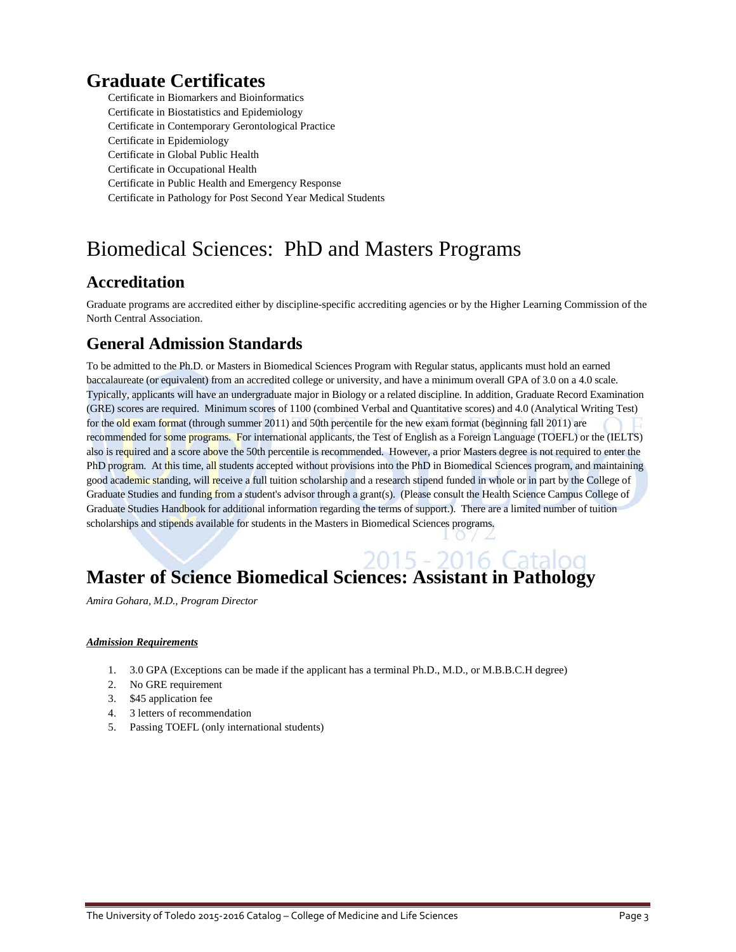## **Graduate Certificates**

Certificate in Biomarkers and Bioinformatics Certificate in Biostatistics and Epidemiology Certificate in Contemporary Gerontological Practice Certificate in Epidemiology Certificate in Global Public Health Certificate in Occupational Health Certificate in Public Health and Emergency Response Certificate in Pathology for Post Second Year Medical Students

## Biomedical Sciences: PhD and Masters Programs

### **Accreditation**

Graduate programs are accredited either by discipline-specific accrediting agencies or by the Higher Learning Commission of the North Central Association.

### **General Admission Standards**

To be admitted to the Ph.D. or Masters in Biomedical Sciences Program with Regular status, applicants must hold an earned baccalaureate (or equivalent) from an accredited college or university, and have a minimum overall GPA of 3.0 on a 4.0 scale. Typically, applicants will have an undergraduate major in Biology or a related discipline. In addition, Graduate Record Examination (GRE) scores are required. Minimum scores of 1100 (combined Verbal and Quantitative scores) and 4.0 (Analytical Writing Test) for the old exam format (through summer 2011) and 50th percentile for the new exam format (beginning fall 2011) are recommended for some programs. For international applicants, the Test of English as a Foreign Language (TOEFL) or the (IELTS) also is required and a score above the 50th percentile is recommended. However, a prior Masters degree is not required to enter the PhD program. At this time, all students accepted without provisions into the PhD in Biomedical Sciences program, and maintaining good academic standing, will receive a full tuition scholarship and a research stipend funded in whole or in part by the College of Graduate Studies and funding from a student's advisor through a grant(s). (Please consult the Health Science Campus College of Graduate Studies Handbook for additional information regarding the terms of support.). There are a limited number of tuition scholarships and stipends available for students in the Masters in Biomedical Sciences programs.

> $O$ Æ

# **Master of Science Biomedical Sciences: Assistant in Pathology**

*Amira Gohara, M.D., Program Director*

### *Admission Requirements*

- 1. 3.0 GPA (Exceptions can be made if the applicant has a terminal Ph.D., M.D., or M.B.B.C.H degree)
- 2. No GRE requirement
- 3. \$45 application fee
- 4. 3 letters of recommendation
- 5. Passing TOEFL (only international students)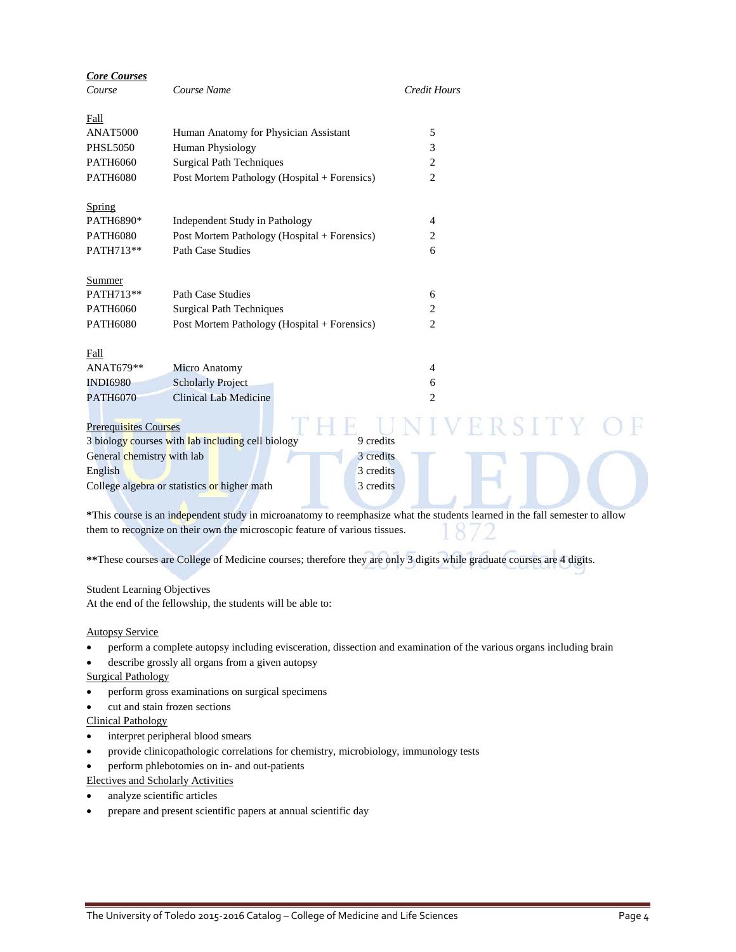| <b>Core Courses</b>          |                                                                                                                             |           |                     |           |  |
|------------------------------|-----------------------------------------------------------------------------------------------------------------------------|-----------|---------------------|-----------|--|
| Course                       | Course Name                                                                                                                 |           | <b>Credit Hours</b> |           |  |
| Fall                         |                                                                                                                             |           |                     |           |  |
| <b>ANAT5000</b>              | Human Anatomy for Physician Assistant                                                                                       |           | 5                   |           |  |
| <b>PHSL5050</b>              | Human Physiology                                                                                                            |           | 3                   |           |  |
| PATH6060                     | <b>Surgical Path Techniques</b>                                                                                             |           | 2                   |           |  |
| <b>PATH6080</b>              | Post Mortem Pathology (Hospital + Forensics)                                                                                |           | $\overline{c}$      |           |  |
| Spring                       |                                                                                                                             |           |                     |           |  |
| PATH6890*                    | Independent Study in Pathology                                                                                              |           | 4                   |           |  |
| <b>PATH6080</b>              | Post Mortem Pathology (Hospital + Forensics)                                                                                |           | 2                   |           |  |
| PATH713**                    | <b>Path Case Studies</b>                                                                                                    |           | 6                   |           |  |
| <b>Summer</b>                |                                                                                                                             |           |                     |           |  |
| PATH713**                    | <b>Path Case Studies</b>                                                                                                    |           | 6                   |           |  |
| PATH6060                     | <b>Surgical Path Techniques</b>                                                                                             |           | 2                   |           |  |
| <b>PATH6080</b>              | Post Mortem Pathology (Hospital + Forensics)                                                                                |           | $\overline{c}$      |           |  |
| Fall                         |                                                                                                                             |           |                     |           |  |
| ANAT679**                    | <b>Micro Anatomy</b>                                                                                                        |           | 4                   |           |  |
| <b>INDI6980</b>              | <b>Scholarly Project</b>                                                                                                    |           | 6                   |           |  |
| <b>PATH6070</b>              | Clinical Lab Medicine                                                                                                       |           | $\overline{2}$      |           |  |
| <b>Prerequisites Courses</b> |                                                                                                                             |           |                     | 8 S I T Y |  |
|                              | 3 biology courses with lab including cell biology                                                                           | 9 credits |                     |           |  |
| General chemistry with lab   |                                                                                                                             | 3 credits |                     |           |  |
| English                      |                                                                                                                             | 3 credits |                     |           |  |
|                              | College algebra or statistics or higher math                                                                                | 3 credits |                     |           |  |
|                              |                                                                                                                             |           |                     |           |  |
|                              | *This course is an independent study in microanatomy to reemphasize what the students learned in the fall semester to allow |           |                     |           |  |

1872 them to recognize on their own the microscopic feature of various tissues.

**\*\***These courses are College of Medicine courses; therefore they are only 3 digits while graduate courses are 4 digits.

### Student Learning Objectives

At the end of the fellowship, the students will be able to:

### Autopsy Service

- perform a complete autopsy including evisceration, dissection and examination of the various organs including brain
- describe grossly all organs from a given autopsy

### Surgical Pathology

- perform gross examinations on surgical specimens
- cut and stain frozen sections

### Clinical Pathology

- interpret peripheral blood smears
- provide clinicopathologic correlations for chemistry, microbiology, immunology tests
- perform phlebotomies on in- and out-patients

Electives and Scholarly Activities

- analyze scientific articles
- prepare and present scientific papers at annual scientific day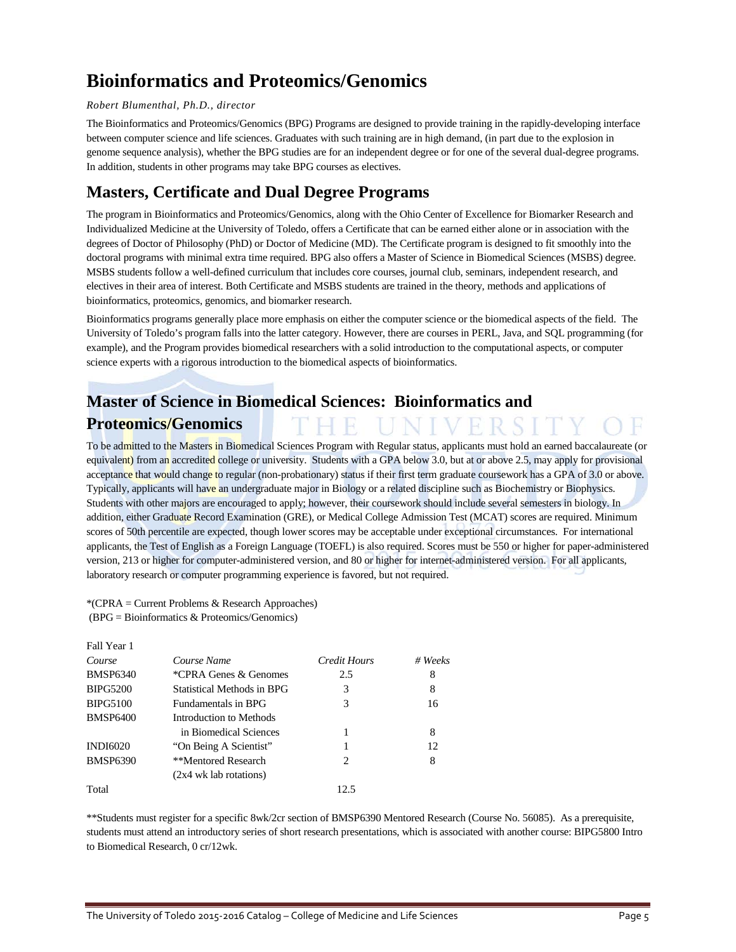## **Bioinformatics and Proteomics/Genomics**

### *Robert Blumenthal, Ph.D., director*

The Bioinformatics and Proteomics/Genomics (BPG) Programs are designed to provide training in the rapidly-developing interface between computer science and life sciences. Graduates with such training are in high demand, (in part due to the explosion in genome sequence analysis), whether the BPG studies are for an independent degree or for one of the several dual-degree programs. In addition, students in other programs may take BPG courses as electives.

### **Masters, Certificate and Dual Degree Programs**

The program in Bioinformatics and Proteomics/Genomics, along with the Ohio Center of Excellence for Biomarker Research and Individualized Medicine at the University of Toledo, offers a Certificate that can be earned either alone or in association with the degrees of Doctor of Philosophy (PhD) or Doctor of Medicine (MD). The Certificate program is designed to fit smoothly into the doctoral programs with minimal extra time required. BPG also offers a Master of Science in Biomedical Sciences (MSBS) degree. MSBS students follow a well-defined curriculum that includes core courses, journal club, seminars, independent research, and electives in their area of interest. Both Certificate and MSBS students are trained in the theory, methods and applications of bioinformatics, proteomics, genomics, and biomarker research.

Bioinformatics programs generally place more emphasis on either the computer science or the biomedical aspects of the field. The University of Toledo's program falls into the latter category. However, there are courses in PERL, Java, and SQL programming (for example), and the Program provides biomedical researchers with a solid introduction to the computational aspects, or computer science experts with a rigorous introduction to the biomedical aspects of bioinformatics.

### **Master of Science in Biomedical Sciences: Bioinformatics and Proteomics/Genomics**

To be admitted to the Masters in Biomedical Sciences Program with Regular status, applicants must hold an earned baccalaureate (or equivalent) from an accredited college or university. Students with a GPA below 3.0, but at or above 2.5, may apply for provisional acceptance that would change to regular (non-probationary) status if their first term graduate coursework has a GPA of 3.0 or above. Typically, applicants will have an undergraduate major in Biology or a related discipline such as Biochemistry or Biophysics. Students with other majors are encouraged to apply; however, their coursework should include several semesters in biology. In addition, either Graduate Record Examination (GRE), or Medical College Admission Test (MCAT) scores are required. Minimum scores of 50th percentile are expected, though lower scores may be acceptable under exceptional circumstances. For international applicants, the Test of English as a Foreign Language (TOEFL) is also required. Scores must be 550 or higher for paper-administered version, 213 or higher for computer-administered version, and 80 or higher for internet-administered version. For all applicants, laboratory research or computer programming experience is favored, but not required.

\*(CPRA = Current Problems & Research Approaches) (BPG = Bioinformatics & Proteomics/Genomics)

| Fall Year 1     |                            |                             |         |
|-----------------|----------------------------|-----------------------------|---------|
| Course          | Course Name                | Credit Hours                | # Weeks |
| <b>BMSP6340</b> | *CPRA Genes & Genomes      | 2.5                         | 8       |
| <b>BIPG5200</b> | Statistical Methods in BPG | 3                           | 8       |
| <b>BIPG5100</b> | Fundamentals in BPG        | 3                           | 16      |
| <b>BMSP6400</b> | Introduction to Methods    |                             |         |
|                 | in Biomedical Sciences     |                             | 8       |
| <b>INDI6020</b> | "On Being A Scientist"     |                             | 12      |
| <b>BMSP6390</b> | **Mentored Research        | $\mathcal{D}_{\mathcal{L}}$ | 8       |
|                 | $(2x4)$ wk lab rotations)  |                             |         |
| Total           |                            | 12.5                        |         |

\*\*Students must register for a specific 8wk/2cr section of BMSP6390 Mentored Research (Course No. 56085). As a prerequisite, students must attend an introductory series of short research presentations, which is associated with another course: BIPG5800 Intro to Biomedical Research, 0 cr/12wk.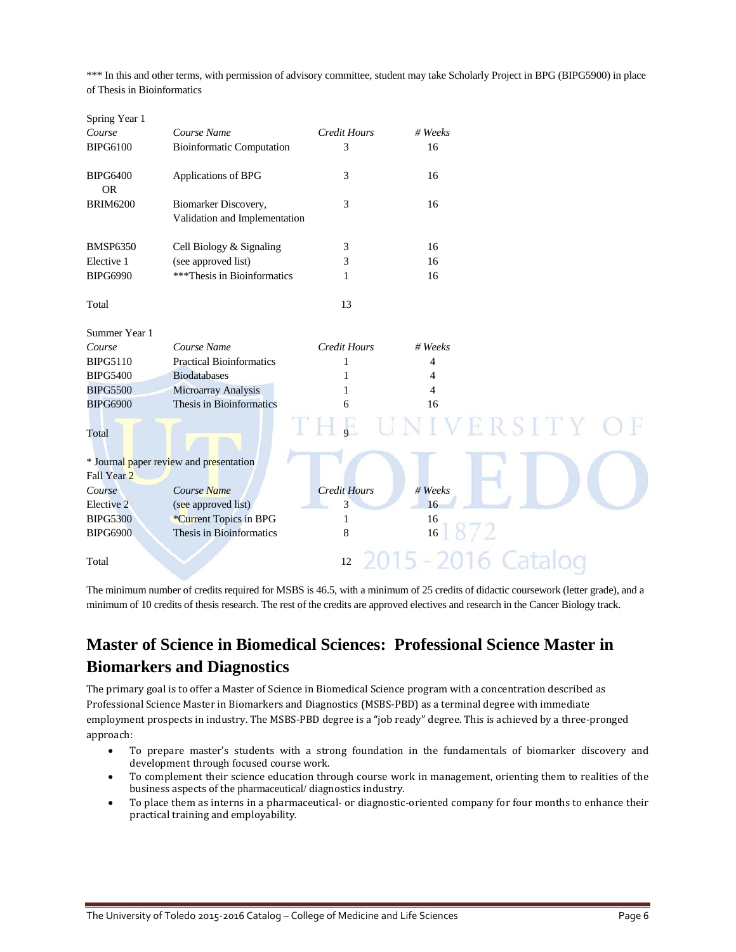\*\*\* In this and other terms, with permission of advisory committee, student may take Scholarly Project in BPG (BIPG5900) in place of Thesis in Bioinformatics

| Spring Year 1                |                                                       |                     |                |       |  |
|------------------------------|-------------------------------------------------------|---------------------|----------------|-------|--|
| Course                       | Course Name                                           | <b>Credit Hours</b> | # Weeks        |       |  |
| <b>BIPG6100</b>              | <b>Bioinformatic Computation</b>                      | 3                   | 16             |       |  |
| <b>BIPG6400</b><br><b>OR</b> | Applications of BPG                                   | 3                   | 16             |       |  |
| <b>BRIM6200</b>              | Biomarker Discovery,<br>Validation and Implementation | 3                   | 16             |       |  |
| <b>BMSP6350</b>              | Cell Biology & Signaling                              | 3                   | 16             |       |  |
| Elective 1                   | (see approved list)                                   | 3                   | 16             |       |  |
| <b>BIPG6990</b>              | ***Thesis in Bioinformatics                           | 1                   | 16             |       |  |
| Total                        |                                                       | 13                  |                |       |  |
| Summer Year 1                |                                                       |                     |                |       |  |
| Course                       | Course Name                                           | <b>Credit Hours</b> | # Weeks        |       |  |
| <b>BIPG5110</b>              | <b>Practical Bioinformatics</b>                       | 1                   | 4              |       |  |
| <b>BIPG5400</b>              | <b>Biodatabases</b>                                   | 1                   | 4              |       |  |
| <b>BIPG5500</b>              | Microarray Analysis                                   | 1                   | $\overline{4}$ |       |  |
| <b>BIPG6900</b>              | Thesis in Bioinformatics                              | 6                   | 16             |       |  |
| Total                        |                                                       |                     |                | RSITY |  |
|                              | * Journal paper review and presentation               |                     |                |       |  |
| Fall Year 2                  |                                                       |                     |                |       |  |
| Course                       | Course Name                                           | <b>Credit Hours</b> | # Weeks        |       |  |
| Elective 2                   | (see approved list)                                   | 3                   | 16             |       |  |
| <b>BIPG5300</b>              | *Current Topics in BPG                                | 1                   | 16             |       |  |
| <b>BIPG6900</b>              | Thesis in Bioinformatics                              | 8                   | 16             |       |  |
| Total                        |                                                       | 12                  |                |       |  |

The minimum number of credits required for MSBS is 46.5, with a minimum of 25 credits of didactic coursework (letter grade), and a minimum of 10 credits of thesis research. The rest of the credits are approved electives and research in the Cancer Biology track.

### **Master of Science in Biomedical Sciences: Professional Science Master in Biomarkers and Diagnostics**

The primary goal is to offer a Master of Science in Biomedical Science program with a concentration described as Professional Science Master in Biomarkers and Diagnostics (MSBS-PBD) as a terminal degree with immediate employment prospects in industry. The MSBS-PBD degree is a "job ready" degree. This is achieved by a three-pronged approach:

- To prepare master's students with a strong foundation in the fundamentals of biomarker discovery and development through focused course work.
- To complement their science education through course work in management, orienting them to realities of the business aspects of the pharmaceutical/ diagnostics industry.
- To place them as interns in a pharmaceutical- or diagnostic-oriented company for four months to enhance their practical training and employability.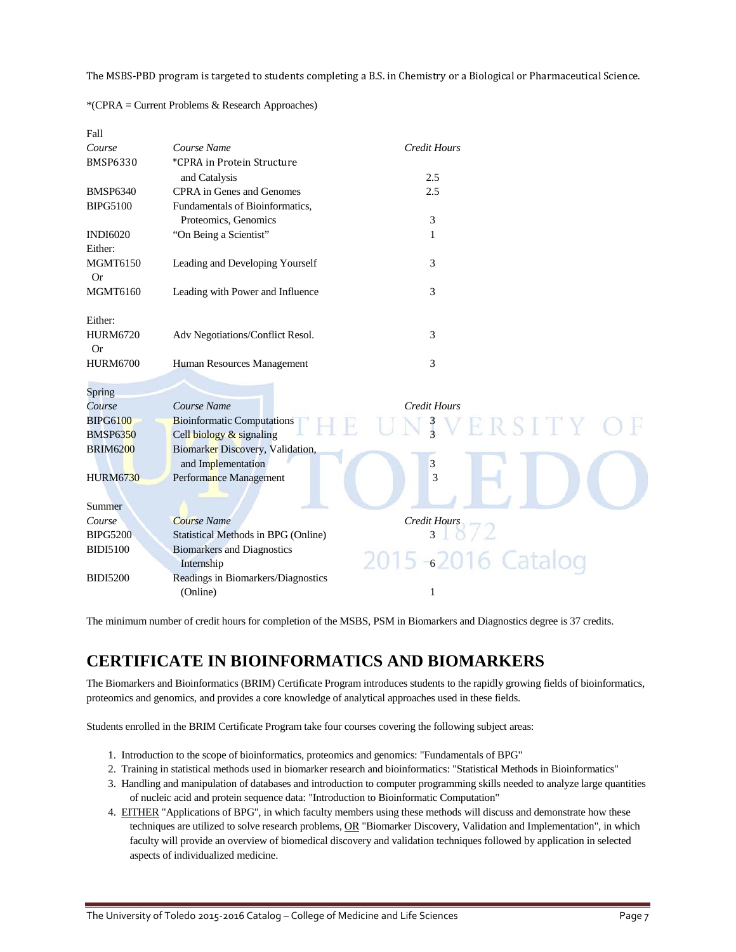The MSBS-PBD program is targeted to students completing a B.S. in Chemistry or a Biological or Pharmaceutical Science.

| Fall            |                                     |                           |  |
|-----------------|-------------------------------------|---------------------------|--|
| Course          | Course Name                         | <b>Credit Hours</b>       |  |
| <b>BMSP6330</b> | *CPRA in Protein Structure          |                           |  |
|                 | and Catalysis                       | 2.5                       |  |
| <b>BMSP6340</b> | <b>CPRA</b> in Genes and Genomes    | 2.5                       |  |
| <b>BIPG5100</b> | Fundamentals of Bioinformatics,     |                           |  |
|                 | Proteomics, Genomics                | 3                         |  |
| <b>INDI6020</b> | "On Being a Scientist"              | 1                         |  |
| Either:         |                                     |                           |  |
| <b>MGMT6150</b> | Leading and Developing Yourself     | 3                         |  |
| <b>Or</b>       |                                     |                           |  |
| <b>MGMT6160</b> | Leading with Power and Influence    | 3                         |  |
|                 |                                     |                           |  |
| Either:         |                                     |                           |  |
| <b>HURM6720</b> | Adv Negotiations/Conflict Resol.    | 3                         |  |
| <b>Or</b>       |                                     |                           |  |
| <b>HURM6700</b> | Human Resources Management          | 3                         |  |
|                 |                                     |                           |  |
| Spring          |                                     |                           |  |
| Course          | Course Name                         | <b>Credit Hours</b>       |  |
| <b>BIPG6100</b> | <b>Bioinformatic Computations</b>   | $\frac{3}{3}$<br>ERSITY O |  |
| <b>BMSP6350</b> | Cell biology & signaling            |                           |  |
| <b>BRIM6200</b> | Biomarker Discovery, Validation,    |                           |  |
|                 | and Implementation                  | 3                         |  |
| <b>HURM6730</b> | Performance Management              | 3                         |  |
|                 |                                     |                           |  |
| Summer          |                                     |                           |  |
| Course          | <b>Course Name</b>                  | Credit Hours              |  |
| <b>BIPG5200</b> | Statistical Methods in BPG (Online) | 3                         |  |
| <b>BIDI5100</b> | <b>Biomarkers and Diagnostics</b>   |                           |  |
|                 | Internship                          | 2015-62016 Catalog        |  |
| <b>BIDI5200</b> | Readings in Biomarkers/Diagnostics  |                           |  |
|                 | (Online)                            | 1                         |  |

\*(CPRA = Current Problems & Research Approaches)

The minimum number of credit hours for completion of the MSBS, PSM in Biomarkers and Diagnostics degree is 37 credits.

### **CERTIFICATE IN BIOINFORMATICS AND BIOMARKERS**

The Biomarkers and Bioinformatics (BRIM) Certificate Program introduces students to the rapidly growing fields of bioinformatics, proteomics and genomics, and provides a core knowledge of analytical approaches used in these fields.

Students enrolled in the BRIM Certificate Program take four courses covering the following subject areas:

- 1. Introduction to the scope of bioinformatics, proteomics and genomics: "Fundamentals of BPG"
- 2. Training in statistical methods used in biomarker research and bioinformatics: "Statistical Methods in Bioinformatics"
- 3. Handling and manipulation of databases and introduction to computer programming skills needed to analyze large quantities of nucleic acid and protein sequence data: "Introduction to Bioinformatic Computation"
- 4. EITHER "Applications of BPG", in which faculty members using these methods will discuss and demonstrate how these techniques are utilized to solve research problems, OR "Biomarker Discovery, Validation and Implementation", in which faculty will provide an overview of biomedical discovery and validation techniques followed by application in selected aspects of individualized medicine.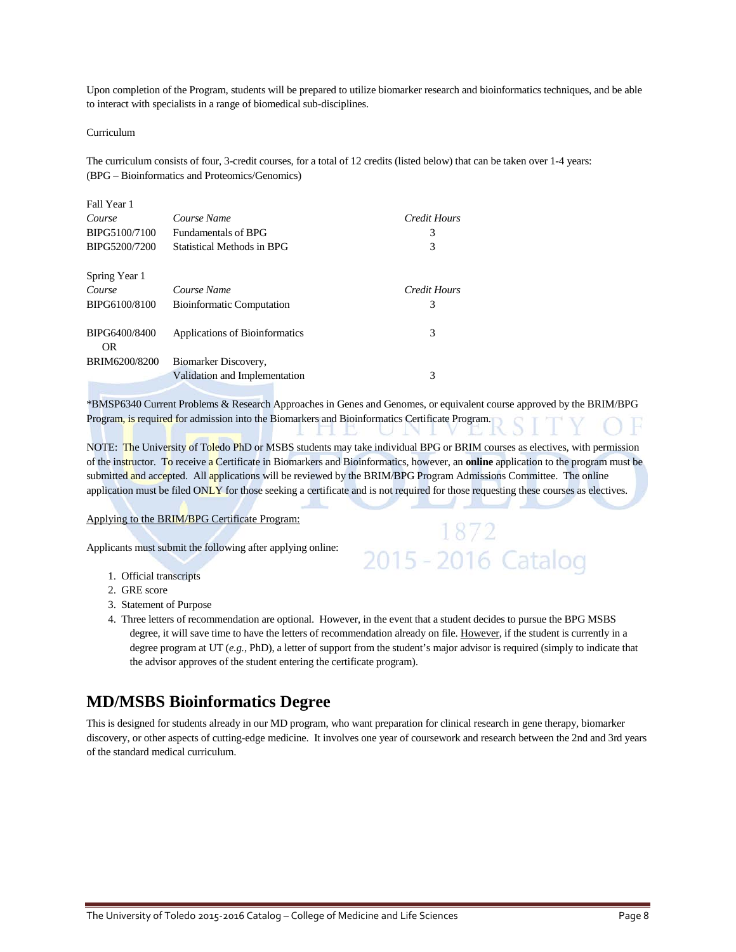Upon completion of the Program, students will be prepared to utilize biomarker research and bioinformatics techniques, and be able to interact with specialists in a range of biomedical sub-disciplines.

#### Curriculum

The curriculum consists of four, 3-credit courses, for a total of 12 credits (listed below) that can be taken over 1-4 years: (BPG – Bioinformatics and Proteomics/Genomics)

| Fall Year 1          |                                  |              |
|----------------------|----------------------------------|--------------|
| Course               | Course Name                      | Credit Hours |
| BIPG5100/7100        | <b>Fundamentals of BPG</b>       | 3            |
| BIPG5200/7200        | Statistical Methods in BPG       | 3            |
| Spring Year 1        |                                  |              |
| Course               | Course Name                      | Credit Hours |
| BIPG6100/8100        | <b>Bioinformatic Computation</b> | 3            |
| BIPG6400/8400<br>OR. | Applications of Bioinformatics   | 3            |
| BRIM6200/8200        | Biomarker Discovery,             |              |
|                      | Validation and Implementation    | 3            |

\*BMSP6340 Current Problems & Research Approaches in Genes and Genomes, or equivalent course approved by the BRIM/BPG Program, is required for admission into the Biomarkers and Bioinformatics Certificate Program.

NOTE: The University of Toledo PhD or MSBS students may take individual BPG or BRIM courses as electives, with permission of the instructor. To receive a Certificate in Biomarkers and Bioinformatics, however, an **online** application to the program must be submitted and accepted. All applications will be reviewed by the BRIM/BPG Program Admissions Committee. The online application must be filed ONLY for those seeking a certificate and is not required for those requesting these courses as electives.

1872

2015 - 2016 Catalog

#### Applying to the BRIM/BPG Certificate Program:

Applicants must submit the following after applying online:

- 1. Official transcripts
- 2. GRE score
- 3. Statement of Purpose
- 4. Three letters of recommendation are optional. However, in the event that a student decides to pursue the BPG MSBS degree, it will save time to have the letters of recommendation already on file. However, if the student is currently in a degree program at UT (*e.g.*, PhD), a letter of support from the student's major advisor is required (simply to indicate that the advisor approves of the student entering the certificate program).

### **MD/MSBS Bioinformatics Degree**

This is designed for students already in our MD program, who want preparation for clinical research in gene therapy, biomarker discovery, or other aspects of cutting-edge medicine. It involves one year of coursework and research between the 2nd and 3rd years of the standard medical curriculum.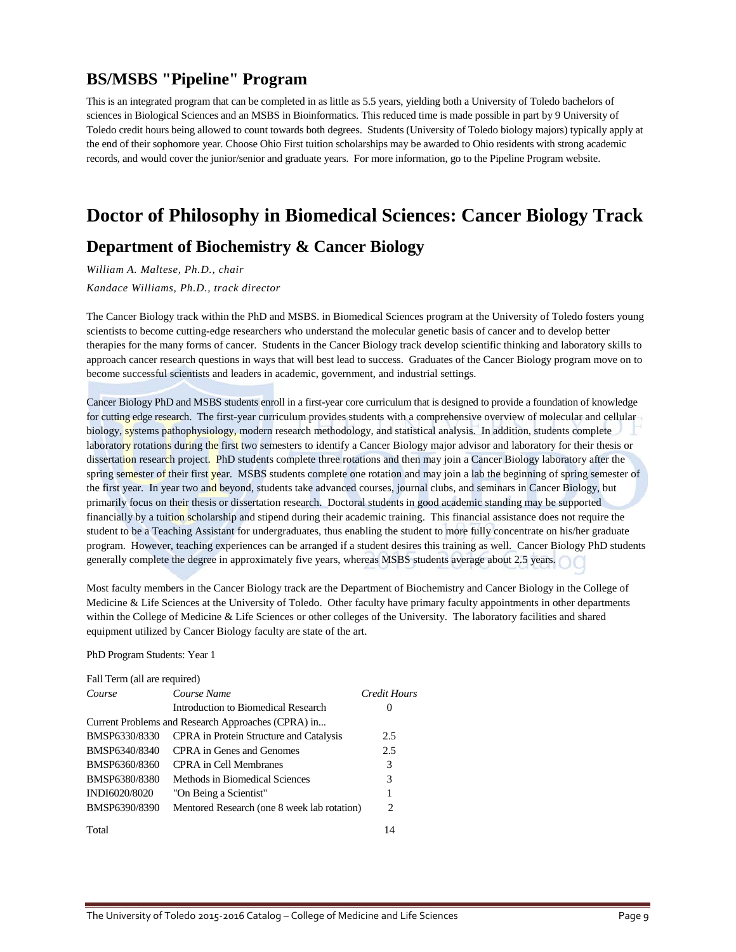### **BS/MSBS "Pipeline" Program**

This is an integrated program that can be completed in as little as 5.5 years, yielding both a University of Toledo bachelors of sciences in Biological Sciences and an MSBS in Bioinformatics. This reduced time is made possible in part by 9 University of Toledo credit hours being allowed to count towards both degrees. Students (University of Toledo biology majors) typically apply at the end of their sophomore year. Choose Ohio First tuition scholarships may be awarded to Ohio residents with strong academic records, and would cover the junior/senior and graduate years. For more information, go to th[e Pipeline Program](http://www.utoledo.edu/med/depts/bioinfo/FindlayPipeline.html) website.

## **Doctor of Philosophy in Biomedical Sciences: Cancer Biology Track**

### **Department of Biochemistry & Cancer Biology**

*William A. Maltese, Ph.D., chair Kandace Williams, Ph.D., track director*

The Cancer Biology track within the PhD and MSBS. in Biomedical Sciences program at the University of Toledo fosters young scientists to become cutting-edge researchers who understand the molecular genetic basis of cancer and to develop better therapies for the many forms of cancer. Students in the Cancer Biology track develop scientific thinking and laboratory skills to approach cancer research questions in ways that will best lead to success. Graduates of the Cancer Biology program move on to become successful scientists and leaders in academic, government, and industrial settings.

Cancer Biology PhD and MSBS students enroll in a first-year core curriculum that is designed to provide a foundation of knowledge for cutting edge research. The first-year curriculum provides students with a comprehensive overview of molecular and cellular biology, systems pathophysiology, modern research methodology, and statistical analysis. In addition, students complete laboratory rotations during the first two semesters to identify a Cancer Biology major advisor and laboratory for their thesis or dissertation research project. PhD students complete three rotations and then may join a Cancer Biology laboratory after the spring semester of their first year. MSBS students complete one rotation and may join a lab the beginning of spring semester of the first year. In year two and beyond, students take advanced courses, journal clubs, and seminars in Cancer Biology, but primarily focus on their thesis or dissertation research. Doctoral students in good academic standing may be supported financially by a tuition scholarship and stipend during their academic training. This financial assistance does not require the student to be a Teaching Assistant for undergraduates, thus enabling the student to more fully concentrate on his/her graduate program. However, teaching experiences can be arranged if a student desires this training as well. Cancer Biology PhD students generally complete the degree in approximately five years, whereas MSBS students average about 2.5 years.

Most faculty members in the Cancer Biology track are the Department of Biochemistry and Cancer Biology in the College of Medicine & Life Sciences at the University of Toledo. Other faculty have primary faculty appointments in other departments within the College of Medicine & Life Sciences or other colleges of the University. The laboratory facilities and shared equipment utilized by Cancer Biology faculty are state of the art.

PhD Program Students: Year 1

| Fall Term (all are required) |                                                    |                               |  |
|------------------------------|----------------------------------------------------|-------------------------------|--|
| Course                       | Course Name                                        | Credit Hours                  |  |
|                              | Introduction to Biomedical Research                | $\theta$                      |  |
|                              | Current Problems and Research Approaches (CPRA) in |                               |  |
| BMSP6330/8330                | <b>CPRA</b> in Protein Structure and Catalysis     | 2.5                           |  |
| BMSP6340/8340                | CPRA in Genes and Genomes                          | 2.5                           |  |
| BMSP6360/8360                | CPRA in Cell Membranes                             | 3                             |  |
| BMSP6380/8380                | Methods in Biomedical Sciences                     | 3                             |  |
| INDI6020/8020                | "On Being a Scientist"                             |                               |  |
| BMSP6390/8390                | Mentored Research (one 8 week lab rotation)        | $\mathfrak{D}_{\mathfrak{p}}$ |  |
| Total                        |                                                    | 14                            |  |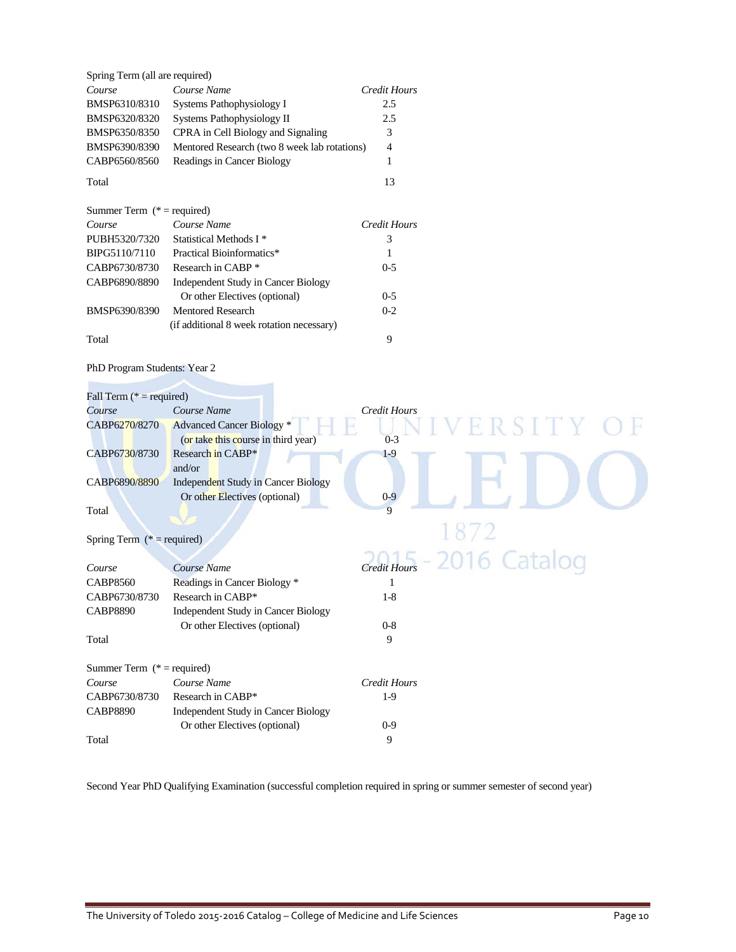| Spring Term (all are required) |                                              |                     |
|--------------------------------|----------------------------------------------|---------------------|
| Course                         | Course Name                                  | <b>Credit Hours</b> |
| BMSP6310/8310                  | Systems Pathophysiology I                    | 2.5                 |
| BMSP6320/8320                  | Systems Pathophysiology II                   | 2.5                 |
| BMSP6350/8350                  | CPRA in Cell Biology and Signaling           | 3                   |
| BMSP6390/8390                  | Mentored Research (two 8 week lab rotations) | 4                   |
| CABP6560/8560                  | Readings in Cancer Biology                   |                     |
| Total                          |                                              | 13                  |

| Summer Term $(*)$ = required) |                                           |              |
|-------------------------------|-------------------------------------------|--------------|
| Course                        | Course Name                               | Credit Hours |
| PUBH5320/7320                 | Statistical Methods I <sup>*</sup>        | 3            |
| BIPG5110/7110                 | Practical Bioinformatics*                 | 1            |
| CABP6730/8730                 | Research in CABP *                        | $0 - 5$      |
| CABP6890/8890                 | Independent Study in Cancer Biology       |              |
|                               | Or other Electives (optional)             | $0 - 5$      |
| BMSP6390/8390                 | <b>Mentored Research</b>                  | $0 - 2$      |
|                               | (if additional 8 week rotation necessary) |              |
| Total                         |                                           | 9            |

### PhD Program Students: Year 2

**Partie** 

| Fall Term ( $* = required$ )  |                                            |                                        |
|-------------------------------|--------------------------------------------|----------------------------------------|
| Course                        | Course Name                                | Credit Hours                           |
| CABP6270/8270                 | <b>Advanced Cancer Biology</b> *           | ERSITY O                               |
|                               | (or take this course in third year)        | $0 - 3$                                |
| CABP6730/8730                 | Research in CABP*                          | $1-9$                                  |
|                               | and/or                                     |                                        |
| CABP6890/8890                 | <b>Independent Study in Cancer Biology</b> |                                        |
|                               | Or other Electives (optional)              | $0-9$                                  |
| Total                         |                                            | $\overline{Q}$                         |
|                               |                                            | 1872                                   |
| Spring Term ( $*$ = required) |                                            |                                        |
|                               |                                            | $C_{\text{redit} Hows} - 2016$ Catalog |
| Course                        | Course Name                                |                                        |
| <b>CABP8560</b>               | Readings in Cancer Biology *               |                                        |
| CABP6730/8730                 | Research in CABP*                          | $1-8$                                  |
| <b>CABP8890</b>               | Independent Study in Cancer Biology        |                                        |
|                               | Or other Electives (optional)              | $0-8$                                  |
| Total                         |                                            | 9                                      |
| Summer Term $(* = required)$  |                                            |                                        |
| Course                        | Course Name                                | <b>Credit Hours</b>                    |
| CABP6730/8730                 | Research in CABP*                          | $1-9$                                  |
| <b>CABP8890</b>               | <b>Independent Study in Cancer Biology</b> |                                        |
|                               | Or other Electives (optional)              | $0 - 9$                                |
| Total                         |                                            | 9                                      |

Second Year PhD Qualifying Examination (successful completion required in spring or summer semester of second year)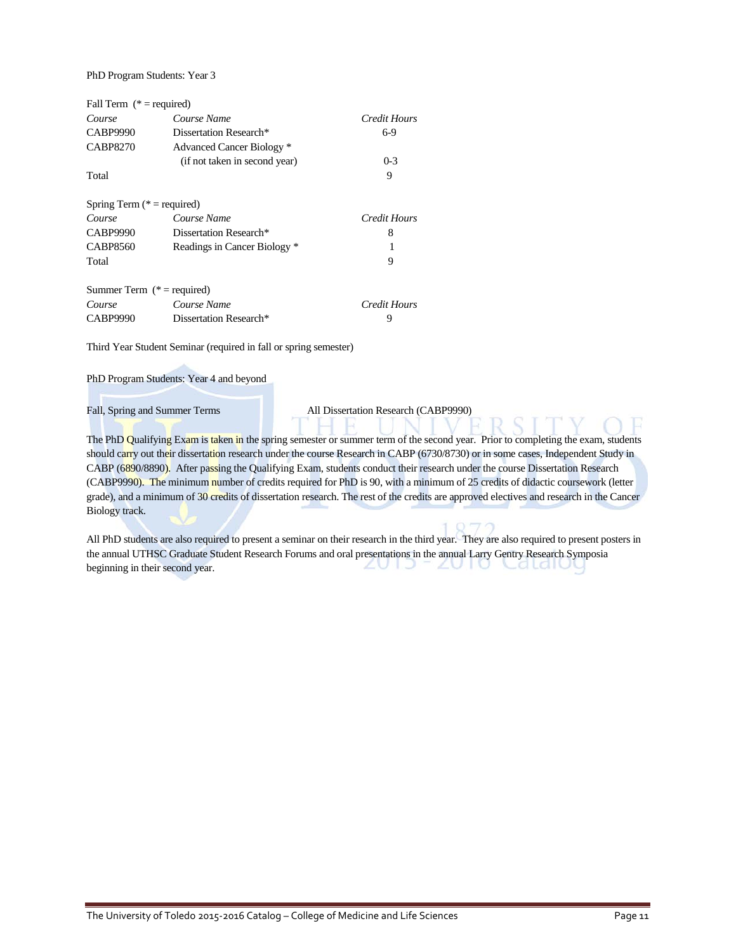PhD Program Students: Year 3

| Fall Term $(* = required)$    |                               |              |
|-------------------------------|-------------------------------|--------------|
| Course                        | Course Name                   | Credit Hours |
| CABP9990                      | Dissertation Research*        | 6-9          |
| <b>CABP8270</b>               | Advanced Cancer Biology *     |              |
|                               | (if not taken in second year) | $0 - 3$      |
| Total                         |                               | 9            |
| Spring Term $(* = required)$  |                               |              |
| Course                        | Course Name                   | Credit Hours |
| CABP9990                      | Dissertation Research*        | 8            |
| <b>CABP8560</b>               | Readings in Cancer Biology *  |              |
| Total                         |                               | 9            |
| Summer Term ( $* =$ required) |                               |              |
| Course                        | Course Name                   | Credit Hours |
| <b>CABP9990</b>               | Dissertation Research*        | 9            |

Third Year Student Seminar (required in fall or spring semester)

PhD Program Students: Year 4 and beyond

Fall, Spring and Summer Terms All Dissertation Research (CABP9990)

The PhD Qualifying Exam is taken in the spring semester or summer term of the second year. Prior to completing the exam, students should carry out their dissertation research under the course Research in CABP (6730/8730) or in some cases, Independent Study in CABP (6890/8890). After passing the Qualifying Exam, students conduct their research under the course Dissertation Research (CABP9990). The minimum number of credits required for PhD is 90, with a minimum of 25 credits of didactic coursework (letter grade), and a minimum of 30 credits of dissertation research. The rest of the credits are approved electives and research in the Cancer Biology track.

All PhD students are also required to present a seminar on their research in the third year. They are also required to present posters in the annual UTHSC Graduate Student Research Forums and oral presentations in the annual Larry Gentry Research Symposia<br>beginning in their second year. ZUIJ ZUIU beginning in their second year.

н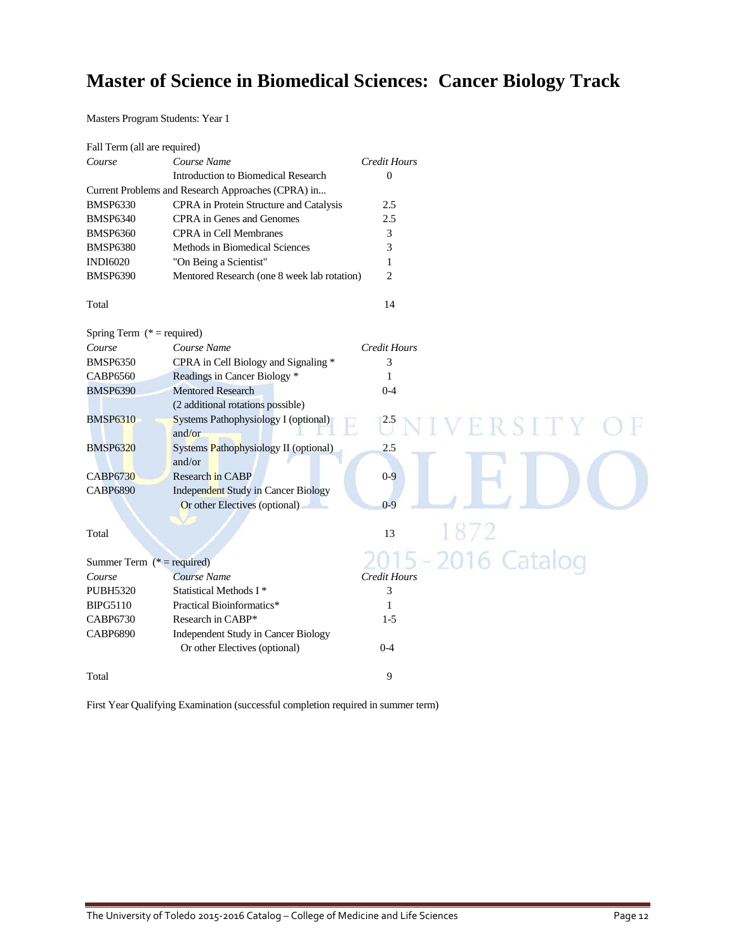## **Master of Science in Biomedical Sciences: Cancer Biology Track**

Masters Program Students: Year 1

| Fall Term (all are required) |                                                       |                     |                 |
|------------------------------|-------------------------------------------------------|---------------------|-----------------|
| Course                       | Course Name                                           | Credit Hours        |                 |
|                              | Introduction to Biomedical Research                   | $\Omega$            |                 |
|                              | Current Problems and Research Approaches (CPRA) in    |                     |                 |
| <b>BMSP6330</b>              | CPRA in Protein Structure and Catalysis               | 2.5                 |                 |
| <b>BMSP6340</b>              | CPRA in Genes and Genomes                             | 2.5                 |                 |
| <b>BMSP6360</b>              | <b>CPRA</b> in Cell Membranes                         | 3                   |                 |
| <b>BMSP6380</b>              | Methods in Biomedical Sciences                        | 3                   |                 |
| <b>INDI6020</b>              | "On Being a Scientist"                                | 1                   |                 |
| <b>BMSP6390</b>              | Mentored Research (one 8 week lab rotation)           | $\overline{2}$      |                 |
| Total                        |                                                       | 14                  |                 |
| Spring Term $(* = required)$ |                                                       |                     |                 |
| Course                       | Course Name                                           | Credit Hours        |                 |
| <b>BMSP6350</b>              | CPRA in Cell Biology and Signaling *                  | 3                   |                 |
| <b>CABP6560</b>              | Readings in Cancer Biology *                          | 1                   |                 |
| <b>BMSP6390</b>              | <b>Mentored Research</b>                              | $0 - 4$             |                 |
|                              | (2 additional rotations possible)                     |                     |                 |
| <b>BMSP6310</b>              | <b>Systems Pathophysiology I (optional)</b><br>and/or |                     | ERSITY          |
| <b>BMSP6320</b>              | Systems Pathophysiology II (optional)                 | 2.5                 |                 |
|                              | and/or                                                |                     |                 |
| <b>CABP6730</b>              | Research in CABP                                      | $0-9$               |                 |
| <b>CABP6890</b>              | <b>Independent Study in Cancer Biology</b>            |                     |                 |
|                              | Or other Electives (optional)                         | $0 - 9$             |                 |
|                              |                                                       |                     |                 |
| Total                        |                                                       | 13                  | 1872            |
| Summer Term $(* = required)$ |                                                       |                     | $-2016$ Catalog |
| Course                       | Course Name                                           | <b>Credit Hours</b> |                 |
| <b>PUBH5320</b>              | Statistical Methods I <sup>*</sup>                    | 3                   |                 |
| <b>BIPG5110</b>              | Practical Bioinformatics*                             | 1                   |                 |
| <b>CABP6730</b>              | Research in CABP*                                     | $1-5$               |                 |
| <b>CABP6890</b>              | Independent Study in Cancer Biology                   |                     |                 |
|                              | Or other Electives (optional)                         | $0 - 4$             |                 |
| Total                        |                                                       | 9                   |                 |

First Year Qualifying Examination (successful completion required in summer term)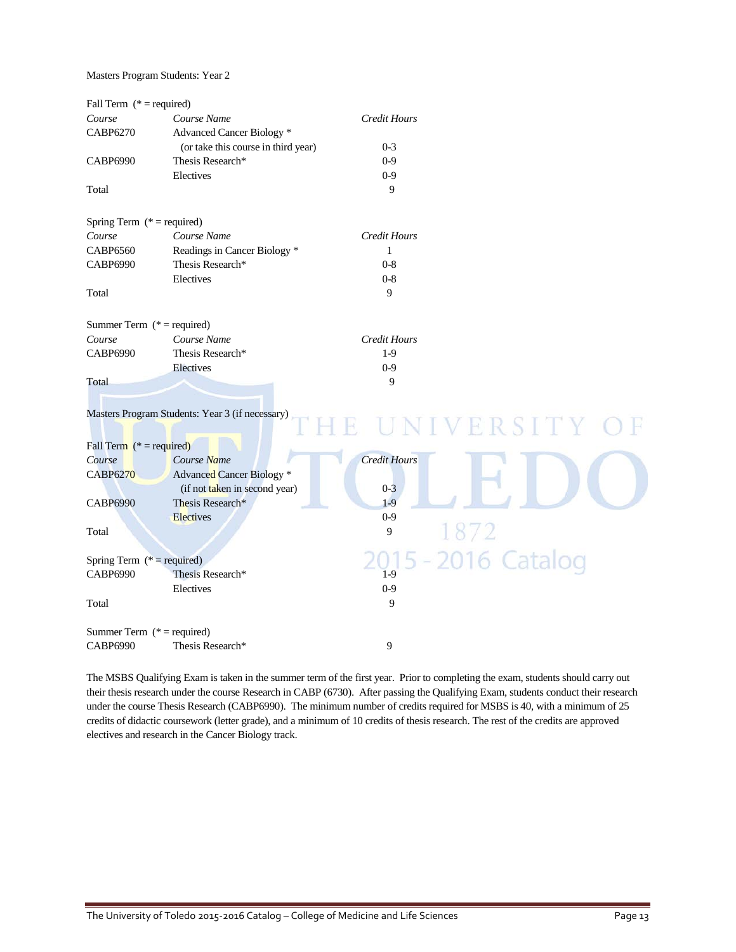Masters Program Students: Year 2

| Fall Term $(* = required)$   |                                                 |                     |              |
|------------------------------|-------------------------------------------------|---------------------|--------------|
| Course                       | Course Name                                     | Credit Hours        |              |
| <b>CABP6270</b>              | Advanced Cancer Biology *                       |                     |              |
|                              | (or take this course in third year)             | $0 - 3$             |              |
| CABP6990                     | Thesis Research*                                | $0 - 9$             |              |
|                              | Electives                                       | $0-9$               |              |
| Total                        |                                                 | 9                   |              |
| Spring Term $(* = required)$ |                                                 |                     |              |
| Course                       | Course Name                                     | <b>Credit Hours</b> |              |
| CABP6560                     | Readings in Cancer Biology *                    | 1                   |              |
| CABP6990                     | Thesis Research*                                | $0 - 8$             |              |
|                              | Electives                                       | $0 - 8$             |              |
| Total                        |                                                 | $\mathbf Q$         |              |
| Summer Term $(* = required)$ |                                                 |                     |              |
| Course                       | Course Name                                     | <b>Credit Hours</b> |              |
| <b>CABP6990</b>              | Thesis Research*                                | $1-9$               |              |
|                              | Electives                                       | $0 - 9$             |              |
| Total                        |                                                 | 9                   |              |
|                              |                                                 |                     |              |
|                              | Masters Program Students: Year 3 (if necessary) |                     |              |
|                              |                                                 | R                   | UNIVERSITY   |
|                              |                                                 |                     |              |
| Fall Term $(* = required)$   |                                                 |                     |              |
| Course                       | Course Name                                     | <b>Credit Hours</b> |              |
| <b>CABP6270</b>              | <b>Advanced Cancer Biology</b> *                |                     |              |
|                              | (if not taken in second year)                   | $0 - 3$             |              |
| <b>CABP6990</b>              | Thesis Research*                                | $1-9$               |              |
|                              | <b>Electives</b>                                | $0 - 9$             |              |
| Total                        |                                                 | 9                   | 1872         |
| Spring Term $(* = required)$ |                                                 |                     | 2016 Catalog |
| CABP6990                     | Thesis Research*                                | $1-9$               |              |
|                              | Electives                                       | $0 - 9$             |              |
| Total                        |                                                 | 9                   |              |
| Summer Term $(* = required)$ |                                                 |                     |              |
| CABP6990                     | Thesis Research*                                | 9                   |              |
|                              |                                                 |                     |              |

The MSBS Qualifying Exam is taken in the summer term of the first year. Prior to completing the exam, students should carry out their thesis research under the course Research in CABP (6730). After passing the Qualifying Exam, students conduct their research under the course Thesis Research (CABP6990). The minimum number of credits required for MSBS is 40, with a minimum of 25 credits of didactic coursework (letter grade), and a minimum of 10 credits of thesis research. The rest of the credits are approved electives and research in the Cancer Biology track.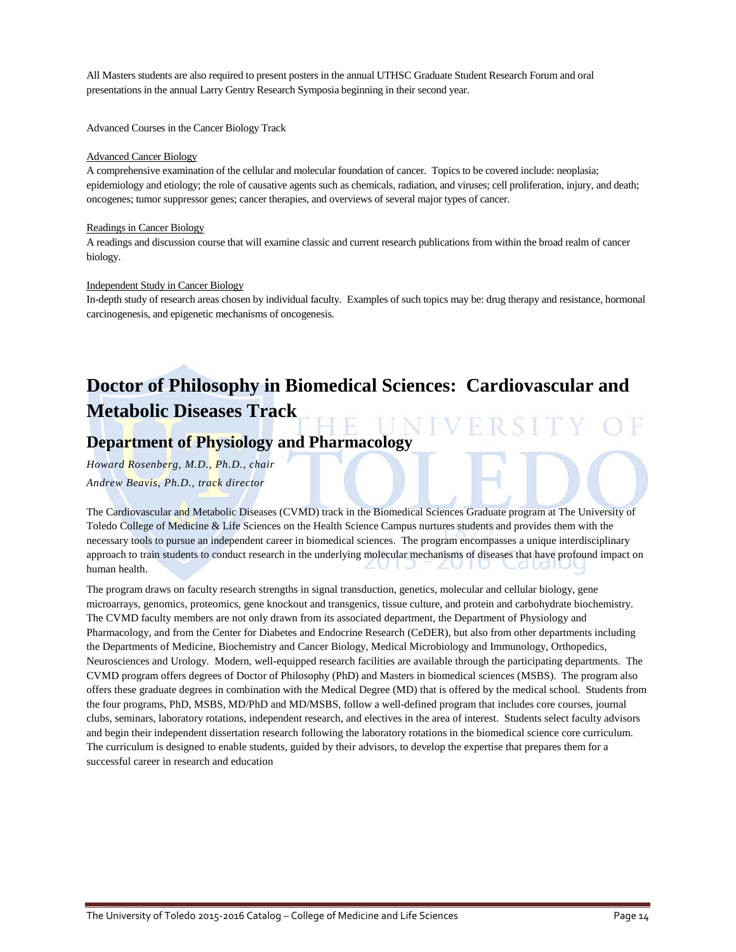All Masters students are also required to present posters in the annual UTHSC Graduate Student Research Forum and oral presentations in the annual Larry Gentry Research Symposia beginning in their second year.

Advanced Courses in the Cancer Biology Track

#### Advanced Cancer Biology

A comprehensive examination of the cellular and molecular foundation of cancer. Topics to be covered include: neoplasia; epidemiology and etiology; the role of causative agents such as chemicals, radiation, and viruses; cell proliferation, injury, and death; oncogenes; tumor suppressor genes; cancer therapies, and overviews of several major types of cancer.

#### Readings in Cancer Biology

A readings and discussion course that will examine classic and current research publications from within the broad realm of cancer biology.

#### Independent Study in Cancer Biology

In-depth study of research areas chosen by individual faculty. Examples of such topics may be: drug therapy and resistance, hormonal carcinogenesis, and epigenetic mechanisms of oncogenesis.

## **Doctor of Philosophy in Biomedical Sciences: Cardiovascular and Metabolic Diseases Track**

### **Department of Physiology and Pharmacology**

*Howard Rosenberg, M.D., Ph.D., chair*

*Andrew Beavis, Ph.D., track director*

The Cardiovascular and Metabolic Diseases (CVMD) track in the Biomedical Sciences Graduate program at The University of Toledo College of Medicine & Life Sciences on the Health Science Campus nurtures students and provides them with the necessary tools to pursue an independent career in biomedical sciences. The program encompasses a unique interdisciplinary approach to train students to conduct research in the underlying molecular mechanisms of diseases that have profound impact on human health.

The program draws on faculty research strengths in signal transduction, genetics, molecular and cellular biology, gene microarrays, genomics, proteomics, gene knockout and transgenics, tissue culture, and protein and carbohydrate biochemistry. The CVMD faculty members are not only drawn from its associated department, the Department of Physiology and Pharmacology, and from the Center for Diabetes and Endocrine Research (CeDER), but also from other departments including the Departments of Medicine, Biochemistry and Cancer Biology, Medical Microbiology and Immunology, Orthopedics, Neurosciences and Urology. Modern, well-equipped research facilities are available through the participating departments. The CVMD program offers degrees of Doctor of Philosophy (PhD) and Masters in biomedical sciences (MSBS). The program also offers these graduate degrees in combination with the Medical Degree (MD) that is offered by the medical school. Students from the four programs, PhD, MSBS, MD/PhD and MD/MSBS, follow a well-defined program that includes core courses, journal clubs, seminars, laboratory rotations, independent research, and electives in the area of interest. Students select faculty advisors and begin their independent dissertation research following the laboratory rotations in the biomedical science core curriculum. The curriculum is designed to enable students, guided by their advisors, to develop the expertise that prepares them for a successful career in research and education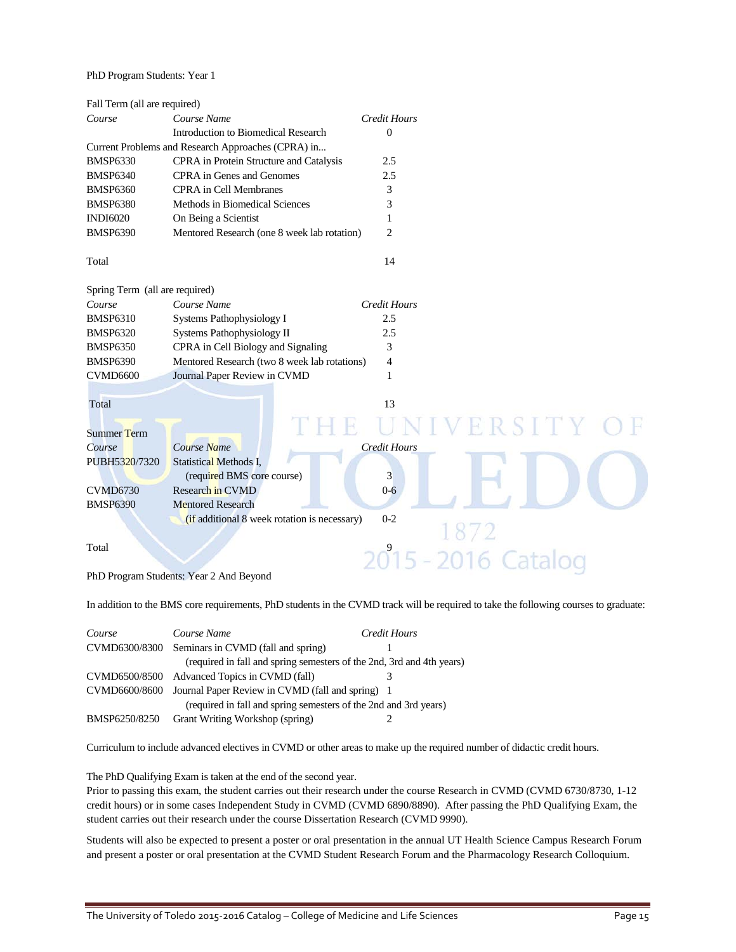#### PhD Program Students: Year 1

| Fall Term (all are required)   |                                                    |                     |
|--------------------------------|----------------------------------------------------|---------------------|
| Course                         | Course Name                                        | <b>Credit Hours</b> |
|                                | Introduction to Biomedical Research                | $\overline{0}$      |
|                                | Current Problems and Research Approaches (CPRA) in |                     |
| <b>BMSP6330</b>                | CPRA in Protein Structure and Catalysis            | 2.5                 |
| <b>BMSP6340</b>                | CPRA in Genes and Genomes                          | 2.5                 |
| <b>BMSP6360</b>                | <b>CPRA</b> in Cell Membranes                      | 3                   |
| <b>BMSP6380</b>                | Methods in Biomedical Sciences                     | 3                   |
| <b>INDI6020</b>                | On Being a Scientist                               | 1                   |
| <b>BMSP6390</b>                | Mentored Research (one 8 week lab rotation)        | $\overline{c}$      |
| Total                          |                                                    | 14                  |
| Spring Term (all are required) |                                                    |                     |
| Course                         | Course Name                                        | <b>Credit Hours</b> |
| <b>BMSP6310</b>                | Systems Pathophysiology I                          | 2.5                 |
| <b>BMSP6320</b>                | Systems Pathophysiology II                         | 2.5                 |
| <b>BMSP6350</b>                | CPRA in Cell Biology and Signaling                 | 3                   |
| <b>BMSP6390</b>                | Mentored Research (two 8 week lab rotations)       | 4                   |
| <b>CVMD6600</b>                | Journal Paper Review in CVMD                       | 1                   |
|                                |                                                    |                     |
| Total                          |                                                    | 13                  |
| <b>Summer Term</b>             |                                                    | NIVERSITY O         |
| Course                         | Course Name                                        | <b>Credit Hours</b> |
| PUBH5320/7320                  | <b>Statistical Methods I,</b>                      |                     |
|                                | (required BMS core course)                         | 3                   |
| <b>CVMD6730</b>                | Research in CVMD                                   | $0 - 6$             |
| <b>BMSP6390</b>                | <b>Mentored Research</b>                           |                     |
|                                | (if additional 8 week rotation is necessary)       | $0 - 2$             |
|                                |                                                    |                     |
| Total                          |                                                    | 2015 - 2016 Catalog |
|                                |                                                    |                     |
|                                | PhD Program Students: Year 2 And Beyond            |                     |

In addition to the BMS core requirements, PhD students in the CVMD track will be required to take the following courses to graduate:

| Course        | Course Name                                                           | Credit Hours |
|---------------|-----------------------------------------------------------------------|--------------|
|               | CVMD6300/8300 Seminars in CVMD (fall and spring)                      |              |
|               | (required in fall and spring semesters of the 2nd, 3rd and 4th years) |              |
|               | CVMD6500/8500 Advanced Topics in CVMD (fall)                          |              |
|               | CVMD6600/8600 Journal Paper Review in CVMD (fall and spring) 1        |              |
|               | (required in fall and spring semesters of the 2nd and 3rd years)      |              |
| BMSP6250/8250 | <b>Grant Writing Workshop (spring)</b>                                |              |

Curriculum to include advanced electives in CVMD or other areas to make up the required number of didactic credit hours.

The PhD Qualifying Exam is taken at the end of the second year.

Prior to passing this exam, the student carries out their research under the course Research in CVMD (CVMD 6730/8730, 1-12 credit hours) or in some cases Independent Study in CVMD (CVMD 6890/8890). After passing the PhD Qualifying Exam, the student carries out their research under the course Dissertation Research (CVMD 9990).

Students will also be expected to present a poster or oral presentation in the annual UT Health Science Campus Research Forum and present a poster or oral presentation at the CVMD Student Research Forum and the Pharmacology Research Colloquium.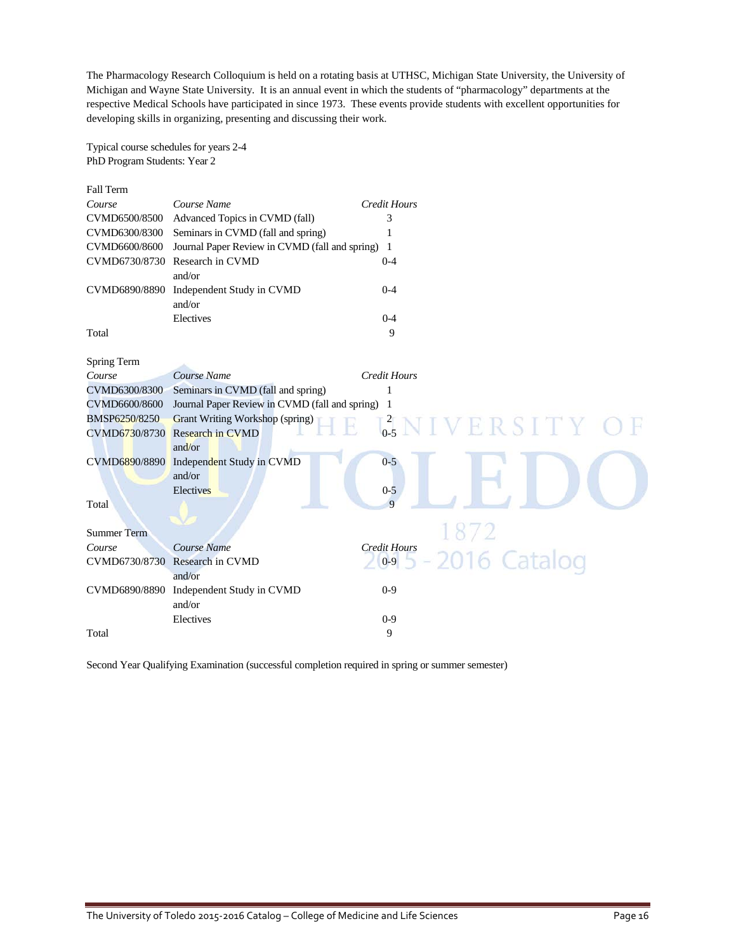The Pharmacology Research Colloquium is held on a rotating basis at UTHSC, Michigan State University, the University of Michigan and Wayne State University. It is an annual event in which the students of "pharmacology" departments at the respective Medical Schools have participated in since 1973. These events provide students with excellent opportunities for developing skills in organizing, presenting and discussing their work.

Typical course schedules for years 2-4 PhD Program Students: Year 2

| <b>Fall Term</b>   |                                                |                     |                         |
|--------------------|------------------------------------------------|---------------------|-------------------------|
| Course             | Course Name                                    | <b>Credit Hours</b> |                         |
| CVMD6500/8500      | Advanced Topics in CVMD (fall)                 | 3                   |                         |
| CVMD6300/8300      | Seminars in CVMD (fall and spring)             | 1                   |                         |
| CVMD6600/8600      | Journal Paper Review in CVMD (fall and spring) | -1                  |                         |
| CVMD6730/8730      | Research in CVMD                               | $0 - 4$             |                         |
|                    | and/or                                         |                     |                         |
| CVMD6890/8890      | Independent Study in CVMD                      | $0 - 4$             |                         |
|                    | and/or                                         |                     |                         |
|                    | Electives                                      | $0 - 4$             |                         |
| Total              |                                                | 9                   |                         |
|                    |                                                |                     |                         |
| Spring Term        |                                                |                     |                         |
| Course             | Course Name                                    | <b>Credit Hours</b> |                         |
| CVMD6300/8300      | Seminars in CVMD (fall and spring)             | 1                   |                         |
| CVMD6600/8600      | Journal Paper Review in CVMD (fall and spring) | -1                  |                         |
| BMSP6250/8250      | <b>Grant Writing Workshop (spring)</b>         |                     |                         |
| CVMD6730/8730      | <b>Research in CVMD</b>                        |                     | $3.5$ N I V E R S I T Y |
|                    | and/or                                         |                     |                         |
| CVMD6890/8890      | Independent Study in CVMD                      | $0 - 5$             |                         |
|                    | and/or                                         |                     |                         |
|                    | Electives                                      | $0 - 5$             |                         |
| Total              |                                                | $\overline{Q}$      |                         |
|                    |                                                |                     |                         |
| <b>Summer Term</b> |                                                |                     |                         |
| Course             | Course Name                                    | <b>Credit Hours</b> |                         |
| CVMD6730/8730      | <b>Research in CVMD</b>                        | $0-9$               | 2016 Catalog            |
|                    | and/or                                         |                     |                         |
| CVMD6890/8890      | Independent Study in CVMD                      | $0 - 9$             |                         |
|                    | and/or                                         |                     |                         |
|                    | Electives                                      | $0 - 9$             |                         |
| Total              |                                                | 9                   |                         |

Second Year Qualifying Examination (successful completion required in spring or summer semester)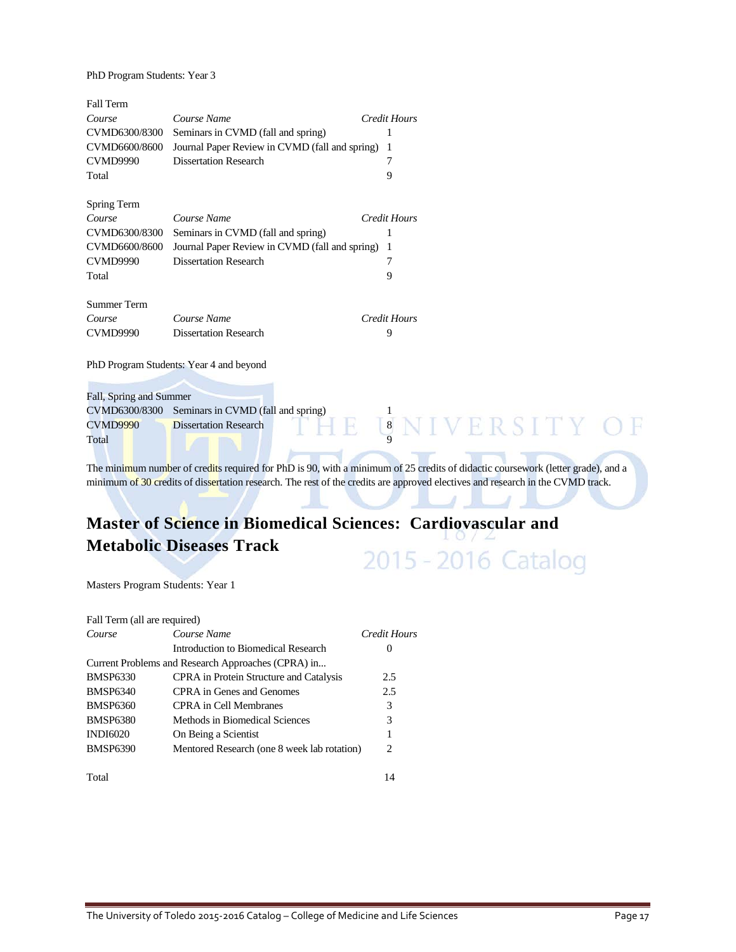PhD Program Students: Year 3

| <b>Fall Term</b>        |                                                |                     |
|-------------------------|------------------------------------------------|---------------------|
| Course                  | Course Name                                    | Credit Hours        |
| CVMD6300/8300           | Seminars in CVMD (fall and spring)             |                     |
| CVMD6600/8600           | Journal Paper Review in CVMD (fall and spring) | 1                   |
| <b>CVMD9990</b>         | <b>Dissertation Research</b>                   |                     |
| Total                   |                                                | 9                   |
| Spring Term             |                                                |                     |
| Course                  | Course Name                                    | Credit Hours        |
| CVMD6300/8300           | Seminars in CVMD (fall and spring)             |                     |
| CVMD6600/8600           | Journal Paper Review in CVMD (fall and spring) | 1                   |
| <b>CVMD9990</b>         | <b>Dissertation Research</b>                   |                     |
| Total                   |                                                | 9                   |
| Summer Term             |                                                |                     |
| Course                  | Course Name                                    | <b>Credit Hours</b> |
| <b>CVMD9990</b>         | <b>Dissertation Research</b>                   | 9                   |
|                         | PhD Program Students: Year 4 and beyond        |                     |
|                         |                                                |                     |
| Fall, Spring and Summer |                                                |                     |
| CVMD6300/8300           | Seminars in CVMD (fall and spring)             |                     |
| <b>CVMD9990</b>         | <b>Dissertation Research</b>                   | 8 N I V E R S I T Y |
| Total                   |                                                |                     |

The minimum number of credits required for PhD is 90, with a minimum of 25 credits of didactic coursework (letter grade), and a minimum of 30 credits of dissertation research. The rest of the credits are approved electives and research in the CVMD track.

### **Master of Science in Biomedical Sciences: Cardiovascular and Metabolic Diseases Track** 2015 - 2016 Catalog

Masters Program Students: Year 1

| Fall Term (all are required) |                                                    |              |
|------------------------------|----------------------------------------------------|--------------|
| Course                       | Course Name                                        | Credit Hours |
|                              | Introduction to Biomedical Research                | $\theta$     |
|                              | Current Problems and Research Approaches (CPRA) in |              |
| <b>BMSP6330</b>              | CPRA in Protein Structure and Catalysis            | 2.5          |
| <b>BMSP6340</b>              | CPRA in Genes and Genomes                          | 2.5          |
| <b>BMSP6360</b>              | CPRA in Cell Membranes                             | 3            |
| <b>BMSP6380</b>              | Methods in Biomedical Sciences                     | 3            |
| <b>INDI6020</b>              | On Being a Scientist                               |              |
| <b>BMSP6390</b>              | Mentored Research (one 8 week lab rotation)        | 2            |
|                              |                                                    |              |

Total 14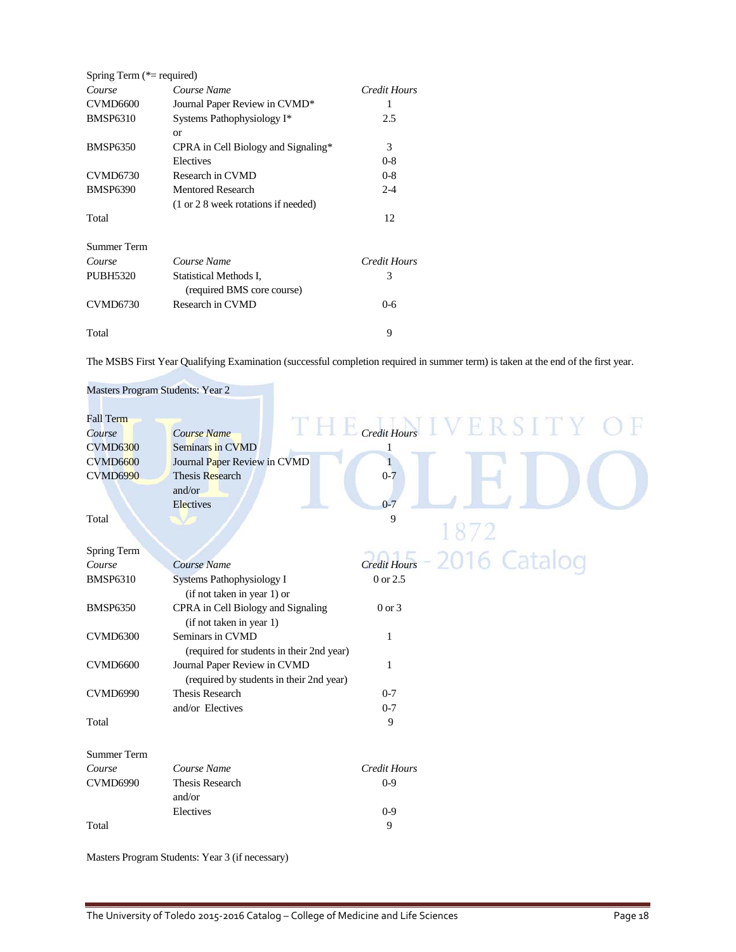| Spring Term $(*=$ required) |                                                      |              |
|-----------------------------|------------------------------------------------------|--------------|
| Course                      | Course Name                                          | Credit Hours |
| CVMD <sub>6600</sub>        | Journal Paper Review in CVMD*                        | 1            |
| <b>BMSP6310</b>             | Systems Pathophysiology I*                           | 2.5          |
|                             | or                                                   |              |
| <b>BMSP6350</b>             | CPRA in Cell Biology and Signaling*                  | 3            |
|                             | Electives                                            | $0 - 8$      |
| <b>CVMD6730</b>             | Research in CVMD                                     | $0 - 8$      |
| <b>BMSP6390</b>             | <b>Mentored Research</b>                             | $2 - 4$      |
|                             | (1 or 2 8 week rotations if needed)                  |              |
| Total                       |                                                      | 12           |
| Summer Term                 |                                                      |              |
| Course                      | Course Name                                          | Credit Hours |
| <b>PUBH5320</b>             | Statistical Methods I,<br>(required BMS core course) | 3            |
| <b>CVMD6730</b>             | Research in CVMD                                     | $0 - 6$      |
| Total                       |                                                      | 9            |

The MSBS First Year Qualifying Examination (successful completion required in summer term) is taken at the end of the first year.

| Masters Program Students: Year 2                                                    |                                                                                                           |                                                        |
|-------------------------------------------------------------------------------------|-----------------------------------------------------------------------------------------------------------|--------------------------------------------------------|
| <b>Fall Term</b><br>Course<br><b>CVMD6300</b><br><b>CVMD6600</b><br><b>CVMD6990</b> | Course Name<br>Seminars in CVMD<br>Journal Paper Review in CVMD<br>Thesis Research<br>and/or<br>Electives | THE Credit Hours IVERSITY O<br>1<br>$0 - 7$<br>$0 - 7$ |
| Total                                                                               |                                                                                                           | 9                                                      |
| Spring Term<br>Course<br><b>BMSP6310</b>                                            | Course Name<br>Systems Pathophysiology I                                                                  | Credit Hours - 2016 Catalog<br>0 or 2.5                |
| <b>BMSP6350</b>                                                                     | (if not taken in year 1) or<br>CPRA in Cell Biology and Signaling<br>(if not taken in year 1)             | $0 \text{ or } 3$                                      |
| <b>CVMD6300</b>                                                                     | Seminars in CVMD<br>(required for students in their 2nd year)                                             | 1                                                      |
| <b>CVMD6600</b>                                                                     | Journal Paper Review in CVMD<br>(required by students in their 2nd year)                                  | 1                                                      |
| CVMD6990                                                                            | Thesis Research<br>and/or Electives                                                                       | $0 - 7$<br>$0 - 7$                                     |
| Total                                                                               |                                                                                                           | 9                                                      |
| <b>Summer Term</b>                                                                  |                                                                                                           |                                                        |
| Course<br><b>CVMD6990</b>                                                           | Course Name<br><b>Thesis Research</b><br>and/or                                                           | <b>Credit Hours</b><br>$0-9$                           |
| Total                                                                               | Electives                                                                                                 | $0-9$<br>9                                             |

Masters Program Students: Year 3 (if necessary)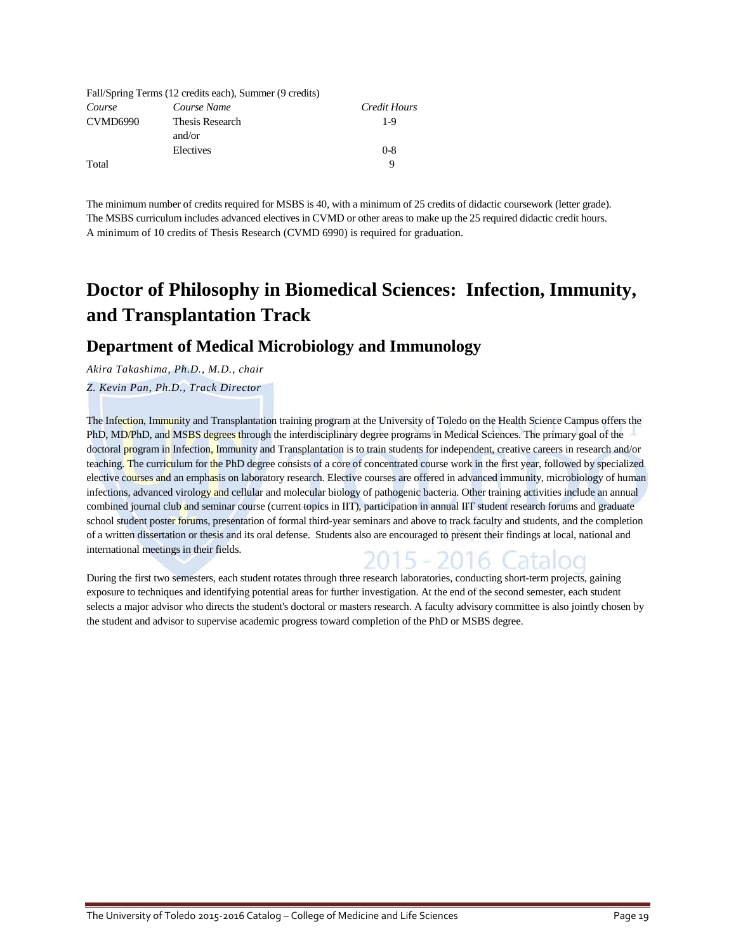|                 | Fall/Spring Terms (12 credits each), Summer (9 credits) |              |
|-----------------|---------------------------------------------------------|--------------|
| Course          | Course Name                                             | Credit Hours |
| <b>CVMD6990</b> | Thesis Research                                         | $1-9$        |
|                 | and/or                                                  |              |
|                 | Electives                                               | $0 - 8$      |
| Total           |                                                         | Q            |

The minimum number of credits required for MSBS is 40, with a minimum of 25 credits of didactic coursework (letter grade). The MSBS curriculum includes advanced electives in CVMD or other areas to make up the 25 required didactic credit hours. A minimum of 10 credits of Thesis Research (CVMD 6990) is required for graduation.

## **Doctor of Philosophy in Biomedical Sciences: Infection, Immunity, and Transplantation Track**

### **Department of Medical Microbiology and Immunology**

*Akira Takashima, Ph.D., M.D., chair*

### *Z. Kevin Pan, Ph.D., Track Director*

The Infection, Immunity and Transplantation training program at the University of Toledo on the Health Science Campus offers the PhD, MD/PhD, and MSBS degrees through the interdisciplinary degree programs in Medical Sciences. The primary goal of the doctoral program in Infection, Immunity and Transplantation is to train students for independent, creative careers in research and/or teaching. The curriculum for the PhD degree consists of a core of concentrated course work in the first year, followed by specialized elective courses and an emphasis on laboratory research. Elective courses are offered in advanced immunity, microbiology of human infections, advanced virology and cellular and molecular biology of pathogenic bacteria. Other training activities include an annual combined journal club and seminar course (current topics in IIT), participation in annual IIT student research forums and graduate school student poster forums, presentation of formal third-year seminars and above to track faculty and students, and the completion of a written dissertation or thesis and its oral defense. Students also are encouraged to present their findings at local, national and international meetings in their fields. 15 - 2016

During the first two semesters, each student rotates through three research laboratories, conducting short-term projects, gaining exposure to techniques and identifying potential areas for further investigation. At the end of the second semester, each student selects a major advisor who directs the student's doctoral or masters research. A faculty advisory committee is also jointly chosen by the student and advisor to supervise academic progress toward completion of the PhD or MSBS degree.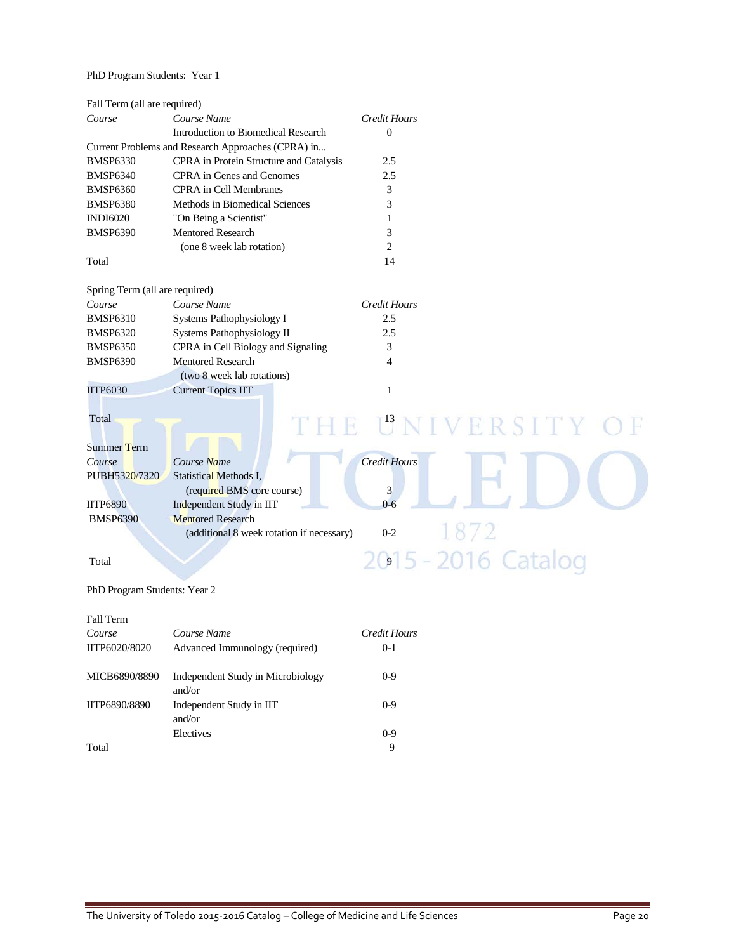### PhD Program Students: Year 1

| Fall Term (all are required)   |                                                    |                     |
|--------------------------------|----------------------------------------------------|---------------------|
| Course                         | Course Name                                        | Credit Hours        |
|                                | Introduction to Biomedical Research                | $\Omega$            |
|                                | Current Problems and Research Approaches (CPRA) in |                     |
| <b>BMSP6330</b>                | CPRA in Protein Structure and Catalysis            | 2.5                 |
| <b>BMSP6340</b>                | <b>CPRA</b> in Genes and Genomes                   | 2.5                 |
| <b>BMSP6360</b>                | <b>CPRA</b> in Cell Membranes                      | 3                   |
| <b>BMSP6380</b>                | Methods in Biomedical Sciences                     | 3                   |
| <b>INDI6020</b>                | "On Being a Scientist"                             | 1                   |
| <b>BMSP6390</b>                | <b>Mentored Research</b>                           | 3                   |
|                                | (one 8 week lab rotation)                          | $\overline{c}$      |
| Total                          |                                                    | 14                  |
| Spring Term (all are required) |                                                    |                     |
| Course                         | Course Name                                        | Credit Hours        |
| <b>BMSP6310</b>                | Systems Pathophysiology I                          | 2.5                 |
| <b>BMSP6320</b>                | Systems Pathophysiology II                         | 2.5                 |
| <b>BMSP6350</b>                | CPRA in Cell Biology and Signaling                 | 3                   |
| <b>BMSP6390</b>                | <b>Mentored Research</b>                           | $\overline{4}$      |
|                                | (two 8 week lab rotations)                         |                     |
| <b>IITP6030</b>                | <b>Current Topics IIT</b>                          | $\mathbf{1}$        |
|                                |                                                    |                     |
| Total                          |                                                    | E UNIVERSITY        |
|                                |                                                    |                     |
| Summer Term                    |                                                    |                     |
| Course                         | Course Name                                        | <b>Credit Hours</b> |
| PUBH5320/7320                  | <b>Statistical Methods I.</b>                      |                     |
|                                | (required BMS core course)                         | 3                   |
| <b>IITP6890</b>                | Independent Study in IIT                           | $0 - 6$             |
| <b>BMSP6390</b>                | <b>Mentored Research</b>                           |                     |
|                                | (additional 8 week rotation if necessary)          | 1872<br>$0 - 2$     |
| Total                          |                                                    | 2015 - 2016 Catalog |
| PhD Program Students: Year 2   |                                                    |                     |
| <b>Fall Term</b>               |                                                    |                     |
| Course                         | Course Name                                        | Credit Hours        |
|                                |                                                    |                     |

| Course        | Course Name                                 | Credit Hours |
|---------------|---------------------------------------------|--------------|
| IITP6020/8020 | Advanced Immunology (required)              | $0-1$        |
| MICB6890/8890 | Independent Study in Microbiology<br>and/or | $0-9$        |
| IITP6890/8890 | Independent Study in IIT<br>and/or          | $0-9$        |
|               | Electives                                   | $0 - 9$      |
| Total         |                                             | 9            |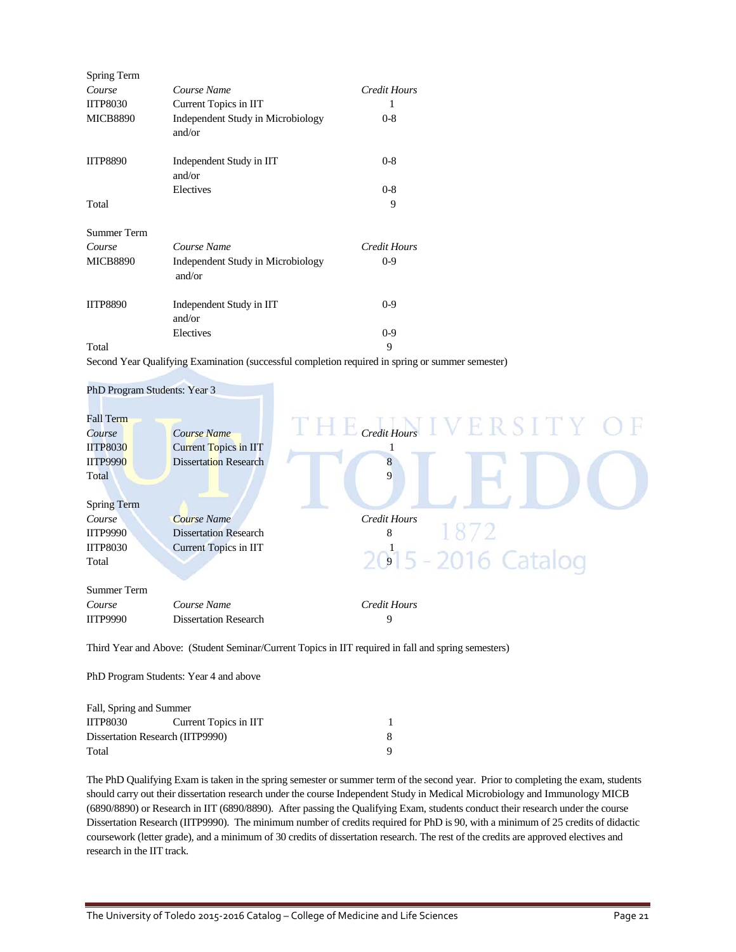| Spring Term        |                                             |                     |
|--------------------|---------------------------------------------|---------------------|
| Course             | Course Name                                 | <b>Credit Hours</b> |
| <b>IITP8030</b>    | Current Topics in IIT                       |                     |
| <b>MICB8890</b>    | Independent Study in Microbiology<br>and/or | $0 - 8$             |
| <b>IITP8890</b>    | Independent Study in IIT<br>and/or          | $0 - 8$             |
|                    | Electives                                   | $0 - 8$             |
| Total              |                                             | 9                   |
| <b>Summer Term</b> |                                             |                     |
| Course             | Course Name                                 | <b>Credit Hours</b> |
| <b>MICB8890</b>    | Independent Study in Microbiology<br>and/or | $0 - 9$             |
| <b>IITP8890</b>    | Independent Study in IIT<br>and/or          | $0 - 9$             |
|                    | Electives                                   | $0 - 9$             |
| Total              |                                             | 9                   |

Second Year Qualifying Examination (successful completion required in spring or summer semester)



Third Year and Above: (Student Seminar/Current Topics in IIT required in fall and spring semesters)

PhD Program Students: Year 4 and above

| Fall, Spring and Summer          |                       |  |
|----------------------------------|-----------------------|--|
| <b>IITP8030</b>                  | Current Topics in IIT |  |
| Dissertation Research (IITP9990) |                       |  |
| Total                            |                       |  |

The PhD Qualifying Exam is taken in the spring semester or summer term of the second year. Prior to completing the exam, students should carry out their dissertation research under the course Independent Study in Medical Microbiology and Immunology MICB (6890/8890) or Research in IIT (6890/8890). After passing the Qualifying Exam, students conduct their research under the course Dissertation Research (IITP9990). The minimum number of credits required for PhD is 90, with a minimum of 25 credits of didactic coursework (letter grade), and a minimum of 30 credits of dissertation research. The rest of the credits are approved electives and research in the IIT track.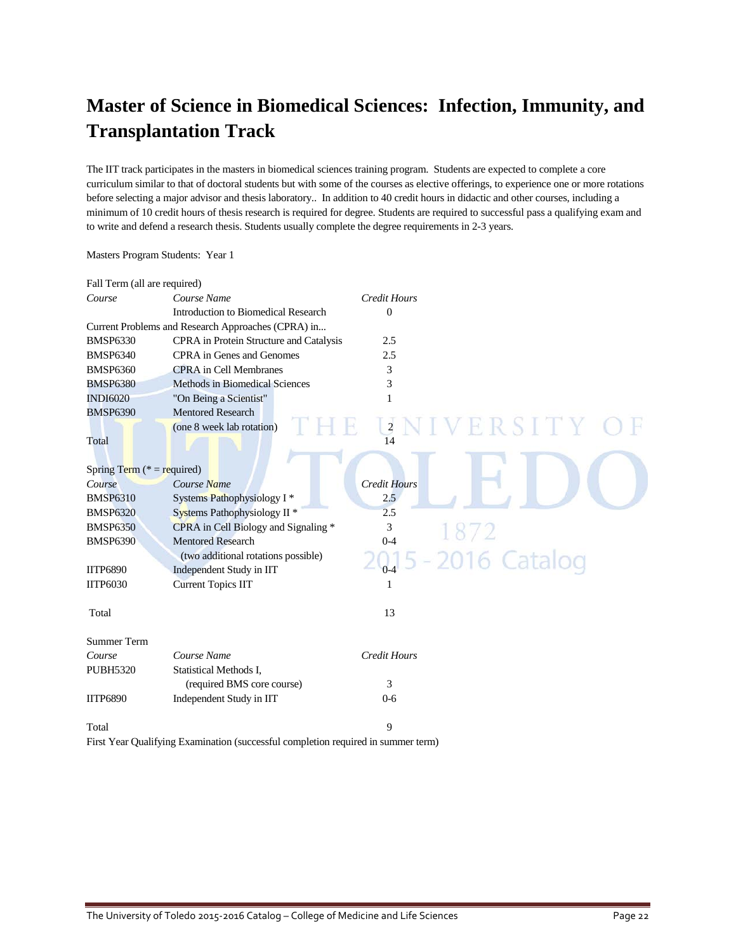## **Master of Science in Biomedical Sciences: Infection, Immunity, and Transplantation Track**

The IIT track participates in the masters in biomedical sciences training program. Students are expected to complete a core curriculum similar to that of doctoral students but with some of the courses as elective offerings, to experience one or more rotations before selecting a major advisor and thesis laboratory.. In addition to 40 credit hours in didactic and other courses, including a minimum of 10 credit hours of thesis research is required for degree. Students are required to successful pass a qualifying exam and to write and defend a research thesis. Students usually complete the degree requirements in 2-3 years.

| Fall Term (all are required)  |                                                                                   |                                  |
|-------------------------------|-----------------------------------------------------------------------------------|----------------------------------|
| Course                        | Course Name                                                                       | Credit Hours                     |
|                               | Introduction to Biomedical Research                                               | $\overline{0}$                   |
|                               | Current Problems and Research Approaches (CPRA) in                                |                                  |
| <b>BMSP6330</b>               | CPRA in Protein Structure and Catalysis                                           | 2.5                              |
| <b>BMSP6340</b>               | CPRA in Genes and Genomes                                                         | 2.5                              |
| <b>BMSP6360</b>               | <b>CPRA</b> in Cell Membranes                                                     | 3                                |
| <b>BMSP6380</b>               | Methods in Biomedical Sciences                                                    | 3                                |
| <b>INDI6020</b>               | "On Being a Scientist"                                                            | 1                                |
| <b>BMSP6390</b>               | <b>Mentored Research</b>                                                          |                                  |
|                               | (one 8 week lab rotation)                                                         | $\overline{\mathbf{c}}$<br>RSITY |
| Total                         |                                                                                   | 14                               |
|                               |                                                                                   |                                  |
| Spring Term ( $* =$ required) |                                                                                   |                                  |
| Course                        | Course Name                                                                       | <b>Credit Hours</b>              |
| <b>BMSP6310</b>               | Systems Pathophysiology I*                                                        | 2.5                              |
| <b>BMSP6320</b>               | Systems Pathophysiology II <sup>*</sup>                                           | 2.5                              |
| <b>BMSP6350</b>               | CPRA in Cell Biology and Signaling *                                              | 3                                |
| <b>BMSP6390</b>               | <b>Mentored Research</b>                                                          | $0 - 4$                          |
|                               | (two additional rotations possible)                                               | 016 Catalog                      |
| <b>IITP6890</b>               | Independent Study in IIT                                                          | $0 - 4$                          |
| <b>IITP6030</b>               | <b>Current Topics IIT</b>                                                         | 1                                |
|                               |                                                                                   |                                  |
| Total                         |                                                                                   | 13                               |
|                               |                                                                                   |                                  |
| <b>Summer Term</b>            |                                                                                   |                                  |
| Course                        | Course Name                                                                       | <b>Credit Hours</b>              |
| <b>PUBH5320</b>               | Statistical Methods I,                                                            |                                  |
|                               | (required BMS core course)                                                        | 3                                |
| <b>IITP6890</b>               | Independent Study in IIT                                                          | $0 - 6$                          |
|                               |                                                                                   |                                  |
| Total                         |                                                                                   | 9                                |
|                               | First Year Qualifying Examination (successful completion required in summer term) |                                  |
|                               |                                                                                   |                                  |

Masters Program Students: Year 1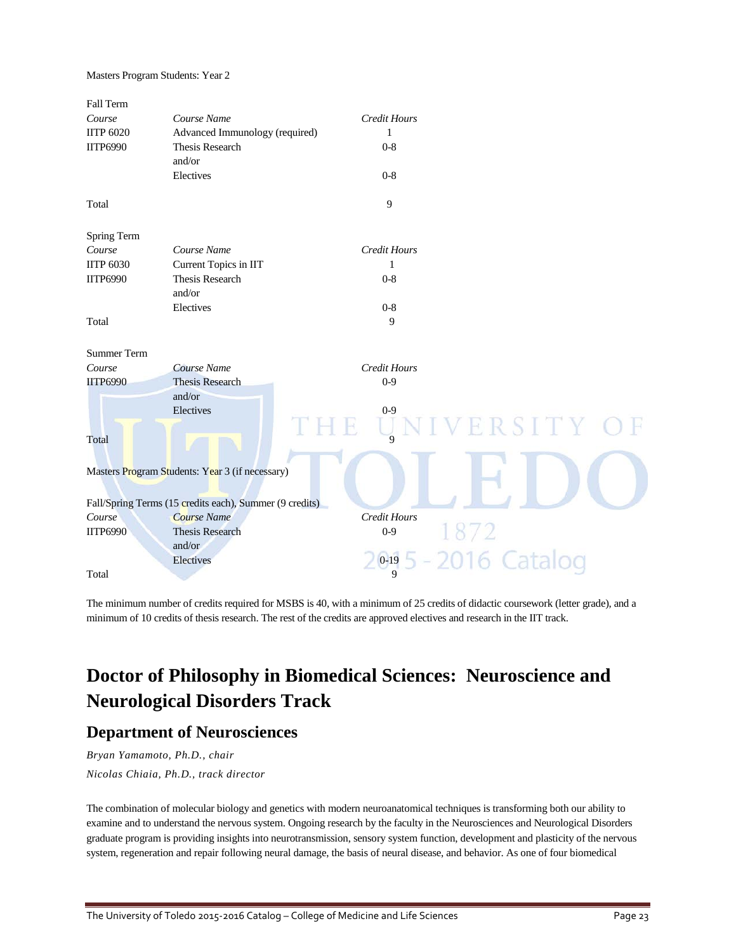Masters Program Students: Year 2

| Fall Term          |                                                         |                     |         |
|--------------------|---------------------------------------------------------|---------------------|---------|
| Course             | Course Name                                             | Credit Hours        |         |
| <b>IITP 6020</b>   | Advanced Immunology (required)                          | 1                   |         |
| <b>IITP6990</b>    | Thesis Research<br>and/or                               | $0 - 8$             |         |
|                    | Electives                                               | $0 - 8$             |         |
| Total              |                                                         | 9                   |         |
| Spring Term        |                                                         |                     |         |
| Course             | Course Name                                             | Credit Hours        |         |
| <b>IITP 6030</b>   | Current Topics in IIT                                   | 1                   |         |
| <b>IITP6990</b>    | Thesis Research                                         | $0 - 8$             |         |
|                    | and/or                                                  |                     |         |
|                    | Electives                                               | $0 - 8$             |         |
| Total              |                                                         | 9                   |         |
| <b>Summer Term</b> |                                                         |                     |         |
| Course             | Course Name                                             | <b>Credit Hours</b> |         |
| <b>IITP6990</b>    | <b>Thesis Research</b>                                  | $0 - 9$             |         |
|                    | and/or                                                  |                     |         |
|                    | Electives                                               | $0 - 9$             |         |
|                    |                                                         |                     | RSITY O |
| Total              |                                                         | $\overline{Q}$      |         |
|                    |                                                         |                     |         |
|                    | Masters Program Students: Year 3 (if necessary)         |                     |         |
|                    |                                                         |                     |         |
|                    | Fall/Spring Terms (15 credits each), Summer (9 credits) |                     |         |
| Course             | <b>Course Name</b>                                      | Credit Hours        |         |
| <b>IITP6990</b>    | <b>Thesis Research</b>                                  | $0 - 9$             |         |
|                    | and/or                                                  |                     |         |
|                    | Electives                                               | $0 - 19$            |         |
| Total              |                                                         | $\overline{Q}$      |         |
|                    |                                                         |                     |         |

The minimum number of credits required for MSBS is 40, with a minimum of 25 credits of didactic coursework (letter grade), and a minimum of 10 credits of thesis research. The rest of the credits are approved electives and research in the IIT track.

## **Doctor of Philosophy in Biomedical Sciences: Neuroscience and Neurological Disorders Track**

### **Department of Neurosciences**

*Bryan Yamamoto, Ph.D., chair Nicolas Chiaia, Ph.D., track director*

The combination of molecular biology and genetics with modern neuroanatomical techniques is transforming both our ability to examine and to understand the nervous system. Ongoing research by the faculty in the Neurosciences and Neurological Disorders graduate program is providing insights into neurotransmission, sensory system function, development and plasticity of the nervous system, regeneration and repair following neural damage, the basis of neural disease, and behavior. As one of four biomedical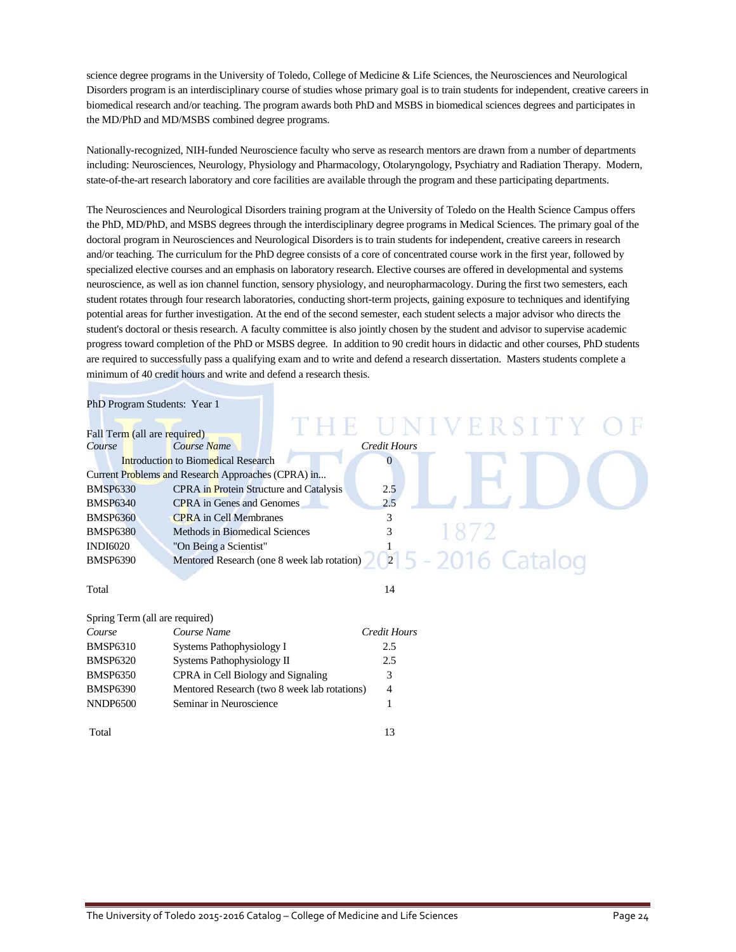science degree programs in the University of Toledo, College of Medicine & Life Sciences, the Neurosciences and Neurological Disorders program is an interdisciplinary course of studies whose primary goal is to train students for independent, creative careers in biomedical research and/or teaching. The program awards both PhD and MSBS in biomedical sciences degrees and participates in the MD/PhD and MD/MSBS combined degree programs.

Nationally-recognized, NIH-funded Neuroscience faculty who serve as research mentors are drawn from a number of departments including: Neurosciences, Neurology, Physiology and Pharmacology, Otolaryngology, Psychiatry and Radiation Therapy. Modern, state-of-the-art research laboratory and core facilities are available through the program and these participating departments.

The Neurosciences and Neurological Disorders training program at the University of Toledo on the Health Science Campus offers the PhD, MD/PhD, and MSBS degrees through the interdisciplinary degree programs in Medical Sciences. The primary goal of the doctoral program in Neurosciences and Neurological Disorders is to train students for independent, creative careers in research and/or teaching. The curriculum for the PhD degree consists of a core of concentrated course work in the first year, followed by specialized elective courses and an emphasis on laboratory research. Elective courses are offered in developmental and systems neuroscience, as well as ion channel function, sensory physiology, and neuropharmacology. During the first two semesters, each student rotates through four research laboratories, conducting short-term projects, gaining exposure to techniques and identifying potential areas for further investigation. At the end of the second semester, each student selects a major advisor who directs the student's doctoral or thesis research. A faculty committee is also jointly chosen by the student and advisor to supervise academic progress toward completion of the PhD or MSBS degree. In addition to 90 credit hours in didactic and other courses, PhD students are required to successfully pass a qualifying exam and to write and defend a research dissertation. Masters students complete a minimum of 40 credit hours and write and defend a research thesis.

| PhD Program Students: Year 1   |                                                    |                     |
|--------------------------------|----------------------------------------------------|---------------------|
| Fall Term (all are required)   |                                                    | UNIVERSITY          |
| Course                         | Course Name                                        | <b>Credit Hours</b> |
|                                | <b>Introduction to Biomedical Research</b>         | 0                   |
|                                | Current Problems and Research Approaches (CPRA) in |                     |
| <b>BMSP6330</b>                | CPRA in Protein Structure and Catalysis            | 2.5                 |
| <b>BMSP6340</b>                | <b>CPRA</b> in Genes and Genomes                   | 2.5                 |
| <b>BMSP6360</b>                | <b>CPRA</b> in Cell Membranes                      | 3                   |
| <b>BMSP6380</b>                | Methods in Biomedical Sciences                     | 3                   |
| <b>INDI6020</b>                | "On Being a Scientist"                             |                     |
| <b>BMSP6390</b>                | Mentored Research (one 8 week lab rotation)        | 015 - 2016 Catalog  |
|                                |                                                    |                     |
| Total                          |                                                    | 14                  |
| Spring Term (all are required) |                                                    |                     |
| Course                         | Course Name                                        | <b>Credit Hours</b> |
| <b>BMSP6310</b>                | Systems Pathophysiology I                          | 2.5                 |
| <b>BMSP6320</b>                | Systems Pathophysiology II                         | 2.5                 |
| <b>BMSP6350</b>                | CPRA in Cell Biology and Signaling                 | 3                   |
| <b>BMSP6390</b>                | Mentored Research (two 8 week lab rotations)       | 4                   |
| <b>NNDP6500</b>                | Seminar in Neuroscience                            |                     |
| Total                          |                                                    | 13                  |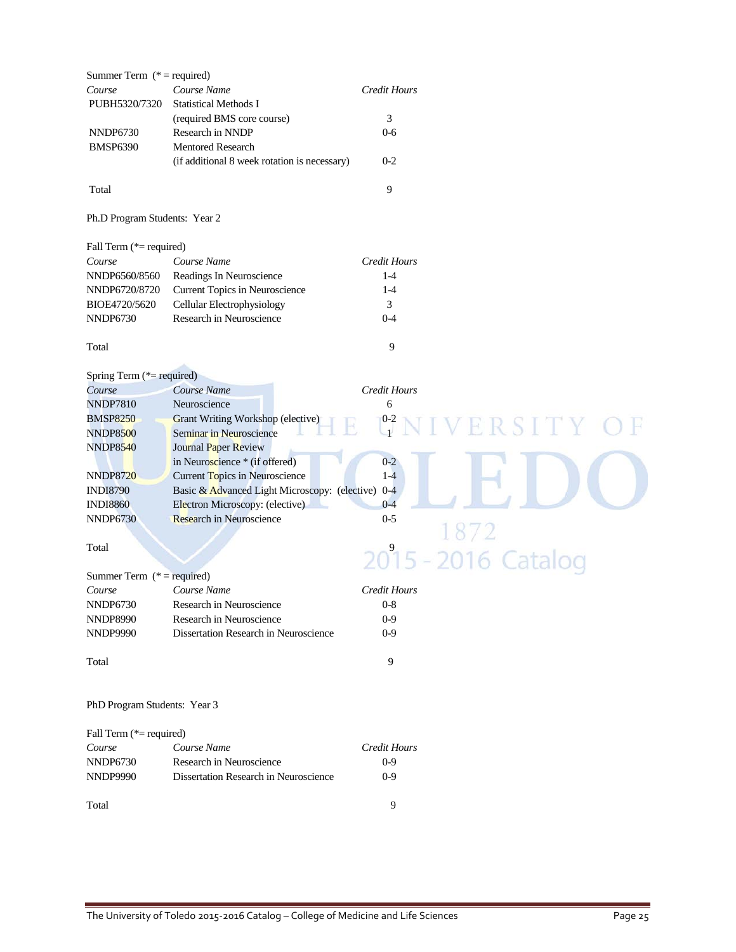| Summer Term ( $*$ = required) |                                               |                     |                     |
|-------------------------------|-----------------------------------------------|---------------------|---------------------|
| Course                        | Course Name                                   | <b>Credit Hours</b> |                     |
| PUBH5320/7320                 | <b>Statistical Methods I</b>                  |                     |                     |
|                               | (required BMS core course)                    | 3                   |                     |
| <b>NNDP6730</b>               | Research in NNDP                              | $0-6$               |                     |
| <b>BMSP6390</b>               | Mentored Research                             |                     |                     |
|                               | (if additional 8 week rotation is necessary)  | $0 - 2$             |                     |
|                               |                                               |                     |                     |
| Total                         |                                               | 9                   |                     |
| Ph.D Program Students: Year 2 |                                               |                     |                     |
| Fall Term (*= required)       |                                               |                     |                     |
| Course                        | Course Name                                   | <b>Credit Hours</b> |                     |
| NNDP6560/8560                 | Readings In Neuroscience                      | $1-4$               |                     |
| NNDP6720/8720                 | Current Topics in Neuroscience                | $1 - 4$             |                     |
| BIOE4720/5620                 | Cellular Electrophysiology                    | 3                   |                     |
| <b>NNDP6730</b>               | Research in Neuroscience                      | $0 - 4$             |                     |
| Total                         |                                               | 9                   |                     |
| Spring Term (*= required)     |                                               |                     |                     |
| Course                        | Course Name                                   | <b>Credit Hours</b> |                     |
| <b>NNDP7810</b>               | Neuroscience                                  | 6                   |                     |
| <b>BMSP8250</b>               | Grant Writing Workshop (elective)             | $^{0-2}$            | IVERSITY            |
| <b>NNDP8500</b>               | Seminar in Neuroscience                       |                     |                     |
| <b>NNDP8540</b>               | Journal Paper Review                          |                     |                     |
|                               | in Neuroscience * (if offered)                | $0 - 2$             |                     |
| <b>NNDP8720</b>               | Current Topics in Neuroscience                | $1-4$               |                     |
| <b>INDI8790</b>               | Basic & Advanced Light Microscopy: (elective) | $0 - 4$             |                     |
| <b>INDI8860</b>               | Electron Microscopy: (elective)               | $0 - 4$             |                     |
| <b>NNDP6730</b>               | <b>Research in Neuroscience</b>               | $0 - 5$             |                     |
|                               |                                               |                     |                     |
| Total                         |                                               |                     |                     |
|                               |                                               |                     | 2015 - 2016 Catalog |
| Summer Term $(* = required)$  |                                               |                     |                     |
| Course                        | Course Name                                   | <b>Credit Hours</b> |                     |
| NNDP6730                      | Research in Neuroscience                      | $0-8$               |                     |
| <b>NNDP8990</b>               | Research in Neuroscience                      | $0-9$               |                     |
| <b>NNDP9990</b>               | Dissertation Research in Neuroscience         | $0 - 9$             |                     |
| Total                         |                                               | 9                   |                     |
| PhD Program Students: Year 3  |                                               |                     |                     |
| Fall Term (*= required)       |                                               |                     |                     |
| Course                        | Course Name                                   | <b>Credit Hours</b> |                     |
| <b>NNDP6730</b>               | Research in Neuroscience                      | $0 - 9$             |                     |
| <b>NNDP9990</b>               | Dissertation Research in Neuroscience         | $0 - 9$             |                     |

Total 9

The University of Toledo 2015-2016 Catalog – College of Medicine and Life Sciences Page 25

SITY OF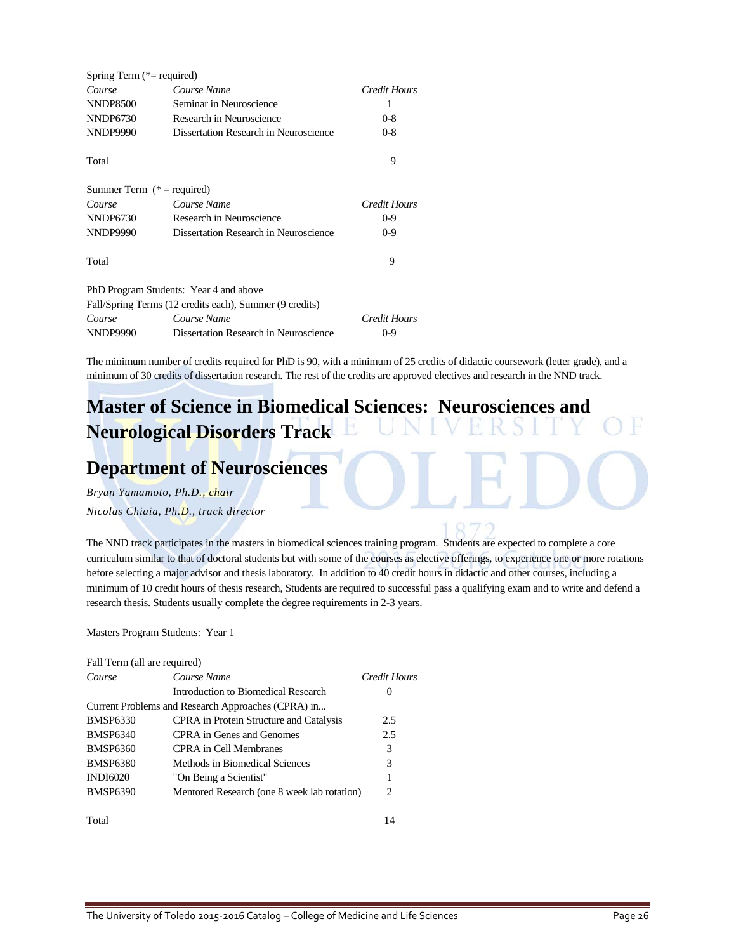| Spring Term $(*=$ required)  |                                                         |              |
|------------------------------|---------------------------------------------------------|--------------|
| Course                       | Course Name                                             | Credit Hours |
| <b>NNDP8500</b>              | Seminar in Neuroscience                                 | ı            |
| <b>NNDP6730</b>              | Research in Neuroscience                                | $0 - 8$      |
| <b>NNDP9990</b>              | Dissertation Research in Neuroscience                   | $0 - 8$      |
| Total                        |                                                         | 9            |
| Summer Term $(* = required)$ |                                                         |              |
| Course                       | Course Name                                             | Credit Hours |
| NNDP6730                     | Research in Neuroscience                                | $0-9$        |
| <b>NNDP9990</b>              | Dissertation Research in Neuroscience                   | $0-9$        |
| Total                        |                                                         | 9            |
|                              | PhD Program Students: Year 4 and above                  |              |
|                              | Fall/Spring Terms (12 credits each), Summer (9 credits) |              |
| Course                       | Course Name                                             | Credit Hours |
| <b>NNDP9990</b>              | Dissertation Research in Neuroscience                   | 0-9          |

The minimum number of credits required for PhD is 90, with a minimum of 25 credits of didactic coursework (letter grade), and a minimum of 30 credits of dissertation research. The rest of the credits are approved electives and research in the NND track.

## **Master of Science in Biomedical Sciences: Neurosciences and Neurological Disorders Track**

### **Department of Neurosciences**

*Bryan Yamamoto, Ph.D., chair Nicolas Chiaia, Ph.D., track director*

The NND track participates in the masters in biomedical sciences training program. Students are expected to complete a core curriculum similar to that of doctoral students but with some of the courses as elective offerings, to experience one or more rotations before selecting a major advisor and thesis laboratory. In addition to 40 credit hours in didactic and other courses, including a minimum of 10 credit hours of thesis research, Students are required to successful pass a qualifying exam and to write and defend a research thesis. Students usually complete the degree requirements in 2-3 years.

Masters Program Students: Year 1

| Fall Term (all are required) |                                                    |              |
|------------------------------|----------------------------------------------------|--------------|
| Course                       | Course Name                                        | Credit Hours |
|                              | Introduction to Biomedical Research                | $\theta$     |
|                              | Current Problems and Research Approaches (CPRA) in |              |
| <b>BMSP6330</b>              | <b>CPRA</b> in Protein Structure and Catalysis     | 2.5          |
| <b>BMSP6340</b>              | CPRA in Genes and Genomes                          | 2.5          |
| <b>BMSP6360</b>              | CPRA in Cell Membranes                             | 3            |
| <b>BMSP6380</b>              | Methods in Biomedical Sciences                     | 3            |
| <b>INDI6020</b>              | "On Being a Scientist"                             | 1            |
| <b>BMSP6390</b>              | Mentored Research (one 8 week lab rotation)        | 2            |
| Total                        |                                                    | 14           |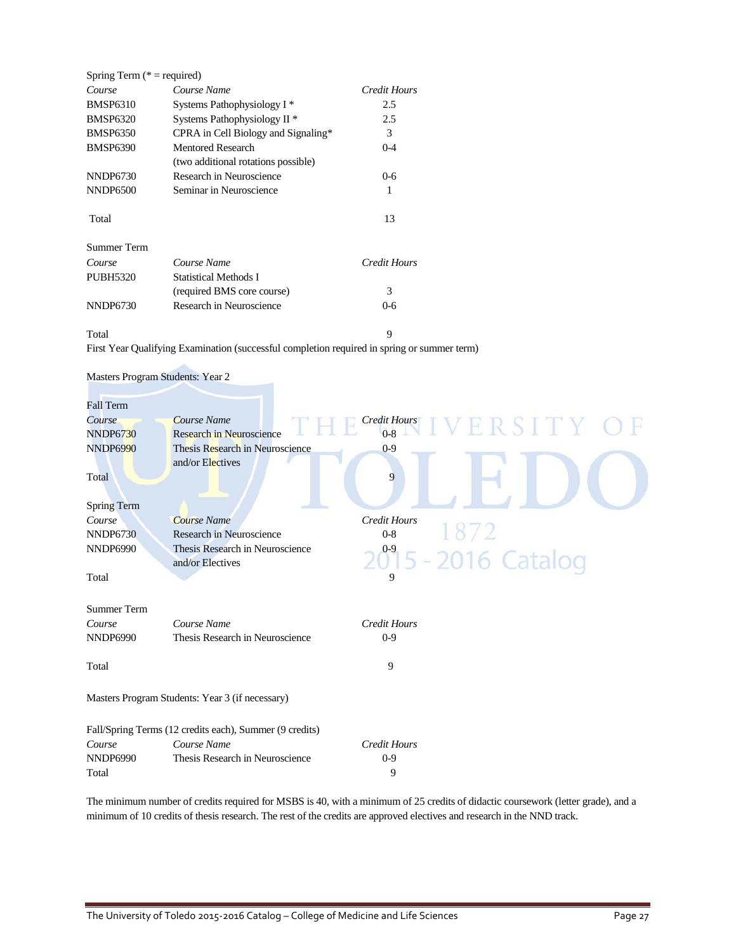| Spring Term ( $* =$ required) |                                         |              |
|-------------------------------|-----------------------------------------|--------------|
| Course                        | Course Name                             | Credit Hours |
| <b>BMSP6310</b>               | Systems Pathophysiology I <sup>*</sup>  | 2.5          |
| <b>BMSP6320</b>               | Systems Pathophysiology II <sup>*</sup> | 2.5          |
| <b>BMSP6350</b>               | CPRA in Cell Biology and Signaling*     | 3            |
| <b>BMSP6390</b>               | <b>Mentored Research</b>                | $0 - 4$      |
|                               | (two additional rotations possible)     |              |
| NNDP6730                      | Research in Neuroscience                | $0 - 6$      |
| NNDP6500                      | Seminar in Neuroscience                 | 1            |
| Total                         |                                         | 13           |
| <b>Summer Term</b>            |                                         |              |
| Course                        | Course Name                             | Credit Hours |
| <b>PUBH5320</b>               | <b>Statistical Methods I</b>            |              |
|                               | (required BMS core course)              | 3            |
| NNDP6730                      | Research in Neuroscience                | 0-6          |

#### Total 9

First Year Qualifying Examination (successful completion required in spring or summer term)

| Masters Program Students: Year 2 |  |
|----------------------------------|--|
|                                  |  |

| Fall Term          |                                                         |                                 |
|--------------------|---------------------------------------------------------|---------------------------------|
| Course             | Course Name                                             | <b>Credit Hours</b><br>ERSITY C |
| <b>NNDP6730</b>    | Research in Neuroscience                                | $0 - 8$                         |
| <b>NNDP6990</b>    | Thesis Research in Neuroscience                         | $0 - 9$                         |
|                    | and/or Electives                                        |                                 |
| Total              |                                                         | 9                               |
|                    |                                                         |                                 |
| <b>Spring Term</b> |                                                         |                                 |
| Course             | <b>Course Name</b>                                      | <b>Credit Hours</b>             |
| <b>NNDP6730</b>    | Research in Neuroscience                                | $0 - 8$                         |
| <b>NNDP6990</b>    | Thesis Research in Neuroscience                         |                                 |
|                    | and/or Electives                                        | 2015 - 2016 Catalog             |
| Total              |                                                         | 9                               |
|                    |                                                         |                                 |
| <b>Summer Term</b> |                                                         |                                 |
| Course             | Course Name                                             | <b>Credit Hours</b>             |
| <b>NNDP6990</b>    | Thesis Research in Neuroscience                         | $0-9$                           |
|                    |                                                         |                                 |
| Total              |                                                         | 9                               |
|                    |                                                         |                                 |
|                    | Masters Program Students: Year 3 (if necessary)         |                                 |
|                    |                                                         |                                 |
|                    |                                                         |                                 |
|                    | Fall/Spring Terms (12 credits each), Summer (9 credits) |                                 |
| Course             | Course Name                                             | <b>Credit Hours</b>             |
| <b>NNDP6990</b>    | Thesis Research in Neuroscience                         | $0 - 9$                         |

The minimum number of credits required for MSBS is 40, with a minimum of 25 credits of didactic coursework (letter grade), and a minimum of 10 credits of thesis research. The rest of the credits are approved electives and research in the NND track.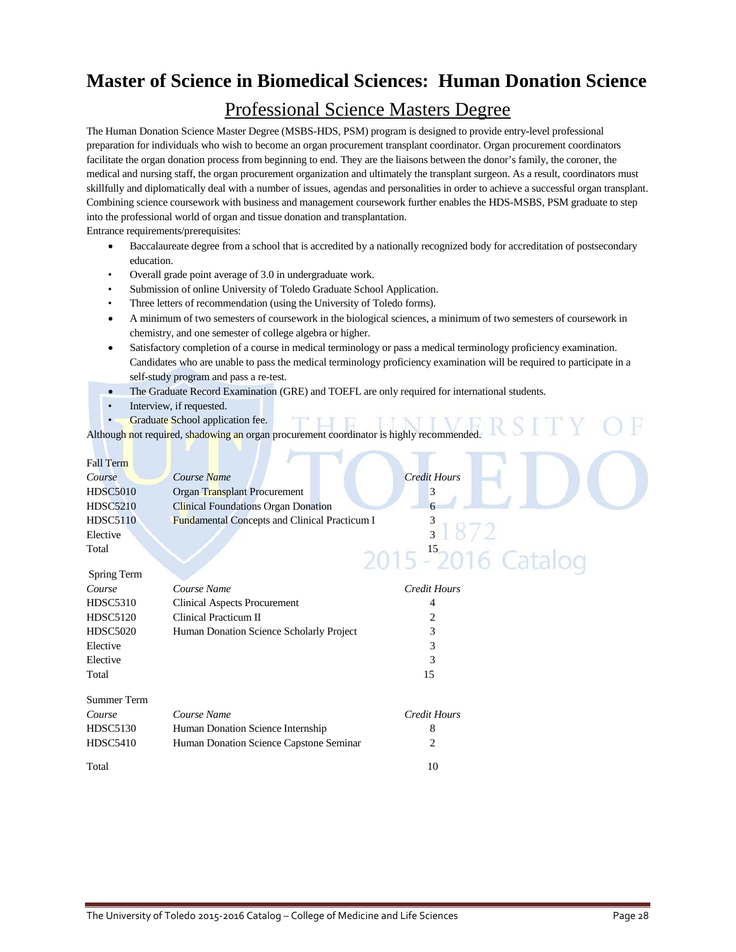## **Master of Science in Biomedical Sciences: Human Donation Science**

### Professional Science Masters Degree

The Human Donation Science Master Degree (MSBS-HDS, PSM) program is designed to provide entry-level professional preparation for individuals who wish to become an organ procurement transplant coordinator. Organ procurement coordinators facilitate the organ donation process from beginning to end. They are the liaisons between the donor's family, the coroner, the medical and nursing staff, the organ procurement organization and ultimately the transplant surgeon. As a result, coordinators must skillfully and diplomatically deal with a number of issues, agendas and personalities in order to achieve a successful organ transplant. Combining science coursework with business and management coursework further enables the HDS-MSBS, PSM graduate to step into the professional world of organ and tissue donation and transplantation.

Entrance requirements/prerequisites:

- Baccalaureate degree from a school that is accredited by a nationally recognized body for accreditation of postsecondary education.
- Overall grade point average of 3.0 in undergraduate work.
- Submission of online University of Toledo Graduate School Application.
- Three letters of recommendation (using the University of Toledo forms).
- A minimum of two semesters of coursework in the biological sciences, a minimum of two semesters of coursework in chemistry, and one semester of college algebra or higher.
- Satisfactory completion of a course in medical terminology or pass a medical terminology proficiency examination. Candidates who are unable to pass the medical terminology proficiency examination will be required to participate in a self-study program and pass a re-test.
- The Graduate Record Examination (GRE) and TOEFL are only required for international students.
- Interview, if requested.
- **Graduate School application fee.**

Although not required, shadowing an organ procurement coordinator is highly recommended.

| <b>Fall Term</b>   |                                               |                     |
|--------------------|-----------------------------------------------|---------------------|
| Course             | Course Name                                   | <b>Credit Hours</b> |
| <b>HDSC5010</b>    | Organ Transplant Procurement                  | 3                   |
| <b>HDSC5210</b>    | <b>Clinical Foundations Organ Donation</b>    |                     |
| <b>HDSC5110</b>    | Fundamental Concepts and Clinical Practicum I |                     |
| Elective           |                                               | 31872               |
| Total              |                                               |                     |
|                    |                                               | 2015 - 2016 Catalog |
| Spring Term        |                                               |                     |
| Course             | Course Name                                   | <b>Credit Hours</b> |
| <b>HDSC5310</b>    | <b>Clinical Aspects Procurement</b>           | 4                   |
| <b>HDSC5120</b>    | Clinical Practicum II                         |                     |
| <b>HDSC5020</b>    | Human Donation Science Scholarly Project      | 3                   |
| Elective           |                                               | 3                   |
| Elective           |                                               | 3                   |
| Total              |                                               | 15                  |
|                    |                                               |                     |
| <b>Summer Term</b> |                                               |                     |
| Course             | Course Name                                   | Credit Hours        |
| <b>HDSC5130</b>    | Human Donation Science Internship             | 8                   |
| <b>HDSC5410</b>    | Human Donation Science Capstone Seminar       | 2                   |
|                    |                                               |                     |
| Total              |                                               | 10                  |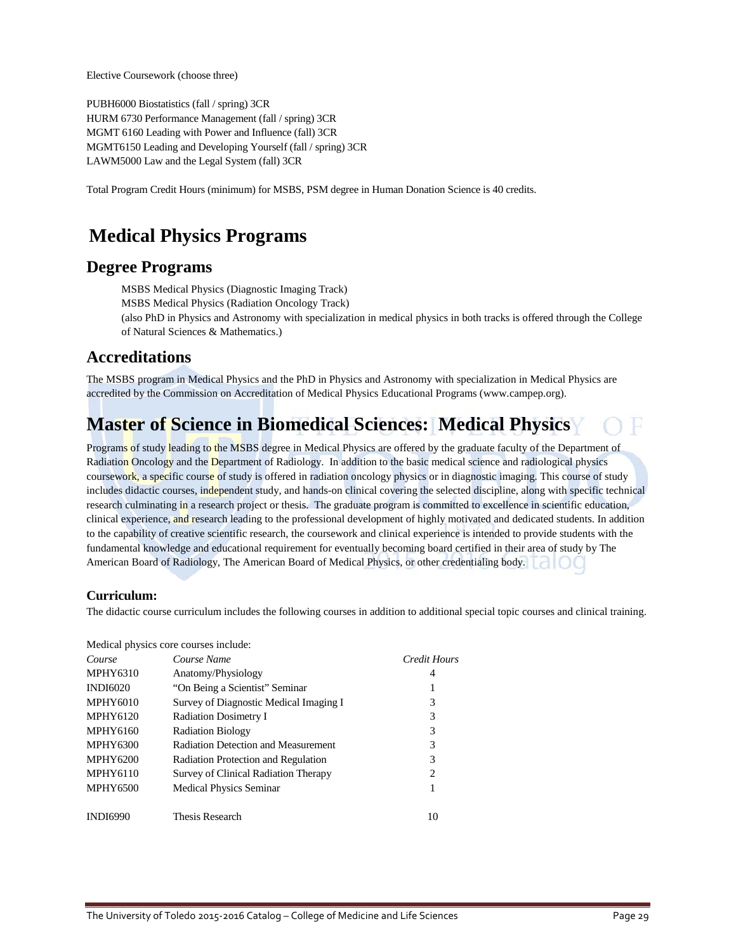Elective Coursework (choose three)

PUBH6000 Biostatistics (fall / spring) 3CR HURM 6730 Performance Management (fall / spring) 3CR MGMT 6160 Leading with Power and Influence (fall) 3CR MGMT6150 Leading and Developing Yourself (fall / spring) 3CR LAWM5000 Law and the Legal System (fall) 3CR

Total Program Credit Hours (minimum) for MSBS, PSM degree in Human Donation Science is 40 credits.

## **Medical Physics Programs**

### **Degree Programs**

MSBS Medical Physics (Diagnostic Imaging Track) MSBS Medical Physics (Radiation Oncology Track) (also PhD in Physics and Astronomy with specialization in medical physics in both tracks is offered through the College of Natural Sciences & Mathematics.)

### **Accreditations**

The MSBS program in Medical Physics and the PhD in Physics and Astronomy with specialization in Medical Physics are accredited by the Commission on Accreditation of Medical Physics Educational Programs (www.campep.org).

## **Master of Science in Biomedical Sciences: Medical Physics**

Programs of study leading to the MSBS degree in Medical Physics are offered by the graduate faculty of the Department of Radiation Oncology and the Department of Radiology. In addition to the basic medical science and radiological physics coursework, a specific course of study is offered in radiation oncology physics or in diagnostic imaging. This course of study includes didactic courses, independent study, and hands-on clinical covering the selected discipline, along with specific technical research culminating in a research project or thesis. The graduate program is committed to excellence in scientific education, clinical experience, and research leading to the professional development of highly motivated and dedicated students. In addition to the capability of creative scientific research, the coursework and clinical experience is intended to provide students with the fundamental knowledge and educational requirement for eventually becoming board certified in their area of study by The American Board of Radiology, The American Board of Medical Physics, or other credentialing body.

### **Curriculum:**

The didactic course curriculum includes the following courses in addition to additional special topic courses and clinical training.

|                 | Medical physics core courses include:      |                               |
|-----------------|--------------------------------------------|-------------------------------|
| Course          | Course Name                                | Credit Hours                  |
| <b>MPHY6310</b> | Anatomy/Physiology                         | 4                             |
| <b>INDI6020</b> | "On Being a Scientist" Seminar             |                               |
| <b>MPHY6010</b> | Survey of Diagnostic Medical Imaging I     | 3                             |
| <b>MPHY6120</b> | <b>Radiation Dosimetry I</b>               | 3                             |
| <b>MPHY6160</b> | <b>Radiation Biology</b>                   | 3                             |
| <b>MPHY6300</b> | <b>Radiation Detection and Measurement</b> | 3                             |
| <b>MPHY6200</b> | Radiation Protection and Regulation        | 3                             |
| <b>MPHY6110</b> | Survey of Clinical Radiation Therapy       | $\mathfrak{D}_{\mathfrak{p}}$ |
| <b>MPHY6500</b> | <b>Medical Physics Seminar</b>             | 1                             |
| <b>INDI6990</b> | Thesis Research                            | 10                            |
|                 |                                            |                               |

Medical physics core courses include: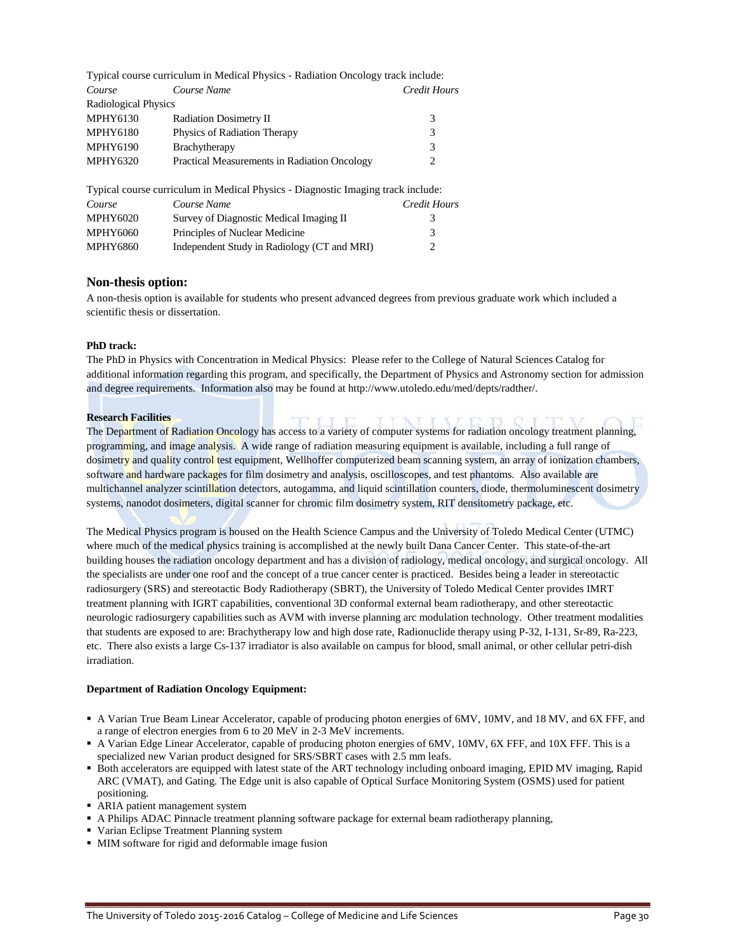|                      | Typical course curriculum in Medical Physics - Radiation Oncology track include: |                     |
|----------------------|----------------------------------------------------------------------------------|---------------------|
| Course               | Course Name                                                                      | <b>Credit Hours</b> |
| Radiological Physics |                                                                                  |                     |
| <b>MPHY6130</b>      | <b>Radiation Dosimetry II</b>                                                    | 3                   |
| <b>MPHY6180</b>      | Physics of Radiation Therapy                                                     | 3                   |
| <b>MPHY6190</b>      | Brachytherapy                                                                    | 3                   |
| <b>MPHY6320</b>      | <b>Practical Measurements in Radiation Oncology</b>                              | 2                   |
|                      | Typical course curriculum in Medical Physics - Diagnostic Imaging track include: |                     |
| Course               | Course Name                                                                      | <b>Credit Hours</b> |
| <b>MPHY6020</b>      | Survey of Diagnostic Medical Imaging II                                          | 3                   |
| <b>MPHY6060</b>      | Principles of Nuclear Medicine                                                   | 3                   |
| <b>MPHY6860</b>      | Independent Study in Radiology (CT and MRI)                                      |                     |

### **Non-thesis option:**

A non-thesis option is available for students who present advanced degrees from previous graduate work which included a scientific thesis or dissertation.

#### **PhD track:**

The PhD in Physics with Concentration in Medical Physics: Please refer to the College of Natural Sciences Catalog for additional information regarding this program, and specifically, the Department of Physics and Astronomy section for admission and degree requirements. Information also may be found a[t http://www.utoledo.edu/med/depts/radther/.](http://www.utoledo.edu/med/depts/radther/)

#### **Research Facilities**

The Department of Radiation Oncology has access to a variety of computer systems for radiation oncology treatment planning, programming, and image analysis. A wide range of radiation measuring equipment is available, including a full range of dosimetry and quality control test equipment, Wellhoffer computerized beam scanning system, an array of ionization chambers, software and hardware packages for film dosimetry and analysis, oscilloscopes, and test phantoms. Also available are multichannel analyzer scintillation detectors, autogamma, and liquid scintillation counters, diode, thermoluminescent dosimetry systems, nanodot dosimeters, digital scanner for chromic film dosimetry system, RIT densitometry package, etc.

The Medical Physics program is housed on the Health Science Campus and the University of Toledo Medical Center (UTMC) where much of the medical physics training is accomplished at the newly built Dana Cancer Center. This state-of-the-art building houses the radiation oncology department and has a division of radiology, medical oncology, and surgical oncology. All the specialists are under one roof and the concept of a true cancer center is practiced. Besides being a leader in stereotactic radiosurgery (SRS) and stereotactic Body Radiotherapy (SBRT), the University of Toledo Medical Center provides IMRT treatment planning with IGRT capabilities, conventional 3D conformal external beam radiotherapy, and other stereotactic neurologic radiosurgery capabilities such as AVM with inverse planning arc modulation technology. Other treatment modalities that students are exposed to are: Brachytherapy low and high dose rate, Radionuclide therapy using P-32, I-131, Sr-89, Ra-223, etc. There also exists a large Cs-137 irradiator is also available on campus for blood, small animal, or other cellular petri-dish irradiation.

#### **Department of Radiation Oncology Equipment:**

- A Varian True Beam Linear Accelerator, capable of producing photon energies of 6MV, 10MV, and 18 MV, and 6X FFF, and a range of electron energies from 6 to 20 MeV in 2-3 MeV increments.
- A Varian Edge Linear Accelerator, capable of producing photon energies of 6MV, 10MV, 6X FFF, and 10X FFF. This is a specialized new Varian product designed for SRS/SBRT cases with 2.5 mm leafs.
- Both accelerators are equipped with latest state of the ART technology including onboard imaging, EPID MV imaging, Rapid ARC (VMAT), and Gating. The Edge unit is also capable of Optical Surface Monitoring System (OSMS) used for patient positioning.
- ARIA patient management system
- A Philips ADAC Pinnacle treatment planning software package for external beam radiotherapy planning,
- Varian Eclipse Treatment Planning system
- MIM software for rigid and deformable image fusion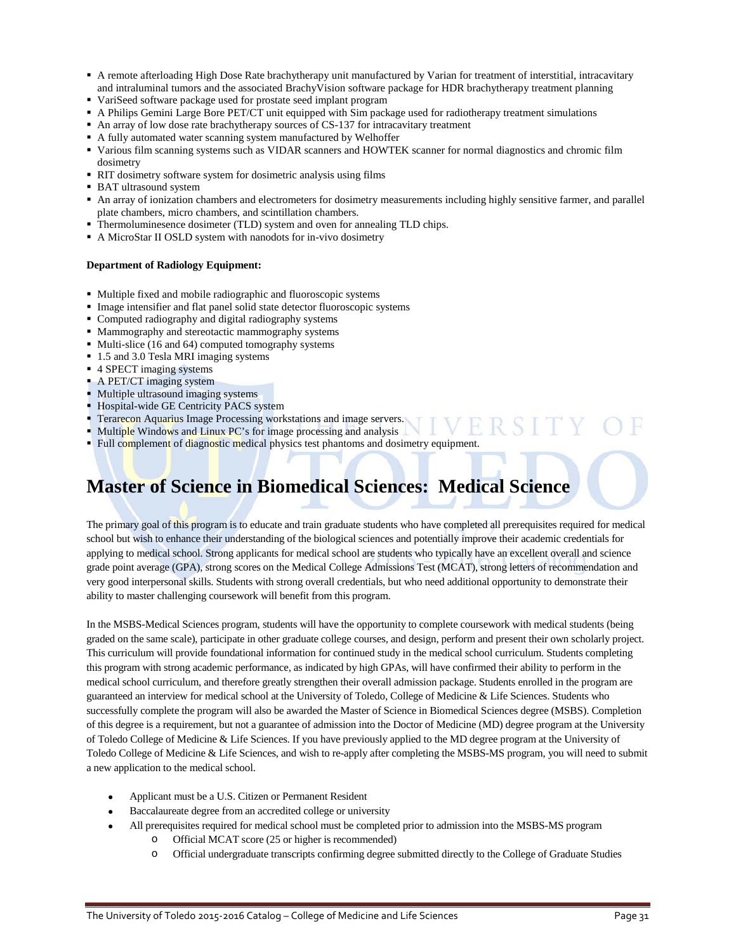- A remote afterloading High Dose Rate brachytherapy unit manufactured by Varian for treatment of interstitial, intracavitary and intraluminal tumors and the associated BrachyVision software package for HDR brachytherapy treatment planning
- VariSeed software package used for prostate seed implant program
- A Philips Gemini Large Bore PET/CT unit equipped with Sim package used for radiotherapy treatment simulations
- An array of low dose rate brachytherapy sources of CS-137 for intracavitary treatment
- A fully automated water scanning system manufactured by Welhoffer
- Various film scanning systems such as VIDAR scanners and HOWTEK scanner for normal diagnostics and chromic film dosimetry
- RIT dosimetry software system for dosimetric analysis using films
- BAT ultrasound system
- An array of ionization chambers and electrometers for dosimetry measurements including highly sensitive farmer, and parallel plate chambers, micro chambers, and scintillation chambers.
- Thermoluminesence dosimeter (TLD) system and oven for annealing TLD chips.
- A MicroStar II OSLD system with nanodots for in-vivo dosimetry

#### **Department of Radiology Equipment:**

- Multiple fixed and mobile radiographic and fluoroscopic systems
- Image intensifier and flat panel solid state detector fluoroscopic systems
- Computed radiography and digital radiography systems
- Mammography and stereotactic mammography systems
- Multi-slice (16 and 64) computed tomography systems
- 1.5 and 3.0 Tesla MRI imaging systems
- 4 SPECT imaging systems
- A PET/CT imaging system
- Multiple ultrasound imaging systems
- Hospital-wide GE Centricity PACS system
- Terarecon Aquarius Image Processing workstations and image servers.
- Multiple Windows and Linux PC's for image processing and analysis
- Full complement of diagnostic medical physics test phantoms and dosimetry equipment.

## **Master of Science in Biomedical Sciences: Medical Science**

The primary goal of this program is to educate and train graduate students who have completed all prerequisites required for medical school but wish to enhance their understanding of the biological sciences and potentially improve their academic credentials for applying to medical school. Strong applicants for medical school are students who typically have an excellent overall and science grade point average (GPA), strong scores on the Medical College Admissions Test (MCAT), strong letters of recommendation and very good interpersonal skills. Students with strong overall credentials, but who need additional opportunity to demonstrate their ability to master challenging coursework will benefit from this program.

In the MSBS-Medical Sciences program, students will have the opportunity to complete coursework with medical students (being graded on the same scale), participate in other graduate college courses, and design, perform and present their own scholarly project. This curriculum will provide foundational information for continued study in the medical school curriculum. Students completing this program with strong academic performance, as indicated by high GPAs, will have confirmed their ability to perform in the medical school curriculum, and therefore greatly strengthen their overall admission package. Students enrolled in the program are guaranteed an interview for medical school at the University of Toledo, College of Medicine & Life Sciences. Students who successfully complete the program will also be awarded the Master of Science in Biomedical Sciences degree (MSBS). Completion of this degree is a requirement, but not a guarantee of admission into the Doctor of Medicine (MD) degree program at the University of Toledo College of Medicine & Life Sciences. If you have previously applied to the MD degree program at the University of Toledo College of Medicine & Life Sciences, and wish to re-apply after completing the MSBS-MS program, you will need to submit a new application to the medical school.

- Applicant must be a U.S. Citizen or Permanent Resident
- Baccalaureate degree from an accredited college or university
- All prerequisites required for medical school must be completed prior to admission into the MSBS-MS program
	- o Official MCAT score (25 or higher is recommended)
	- o Official undergraduate transcripts confirming degree submitted directly to the College of Graduate Studies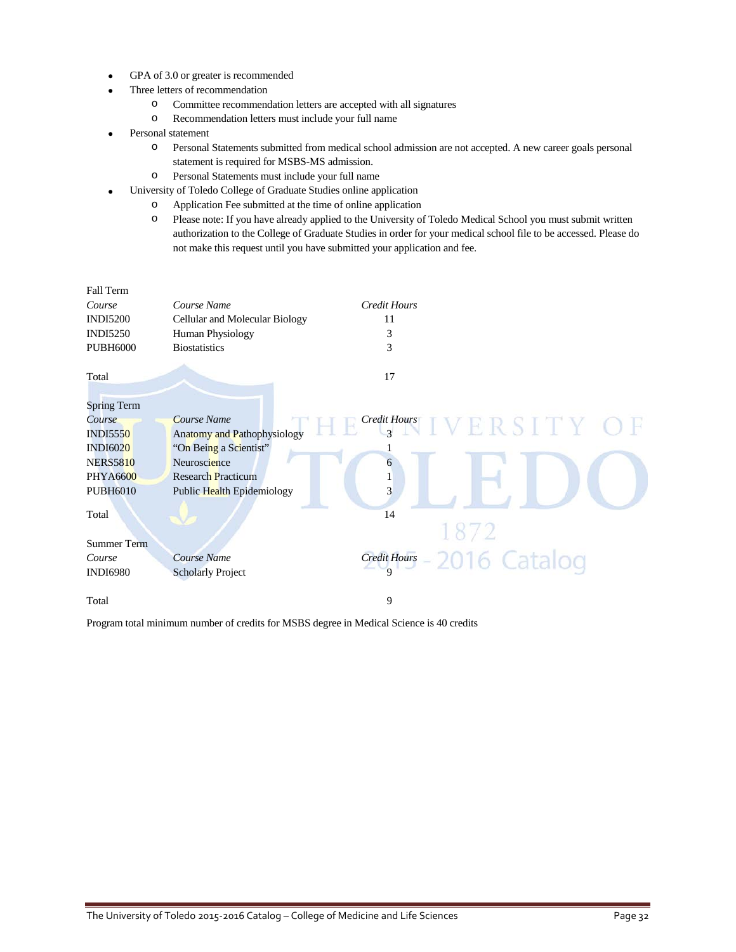- GPA of 3.0 or greater is recommended
- Three letters of recommendation
	- o Committee recommendation letters are accepted with all signatures
	- o Recommendation letters must include your full name
- Personal statement
	- o Personal Statements submitted from medical school admission are not accepted. A new career goals personal statement is required for MSBS-MS admission.
	- o Personal Statements must include your full name
- University of Toledo College of Graduate Studies online application
	- o Application Fee submitted at the time of online application
	- o Please note: If you have already applied to the University of Toledo Medical School you must submit written authorization to the College of Graduate Studies in order for your medical school file to be accessed. Please do not make this request until you have submitted your application and fee.

| Fall Term          |                                    |                     |                                                 |
|--------------------|------------------------------------|---------------------|-------------------------------------------------|
| Course             | Course Name                        | <b>Credit Hours</b> |                                                 |
| <b>INDI5200</b>    | Cellular and Molecular Biology     | 11                  |                                                 |
| <b>INDI5250</b>    | Human Physiology                   | 3                   |                                                 |
| <b>PUBH6000</b>    | <b>Biostatistics</b>               | 3                   |                                                 |
| Total              |                                    | 17                  |                                                 |
|                    |                                    |                     |                                                 |
| <b>Spring Term</b> |                                    |                     |                                                 |
| Course             | Course Name                        |                     | $\frac{Credit \, Host}{3}$ $IV E R S I T Y O F$ |
| <b>INDI5550</b>    | <b>Anatomy and Pathophysiology</b> |                     |                                                 |
| <b>INDI6020</b>    | "On Being a Scientist"             |                     |                                                 |
| <b>NERS5810</b>    | Neuroscience                       | 6                   |                                                 |
| <b>PHYA6600</b>    | <b>Research Practicum</b>          | 1                   |                                                 |
| <b>PUBH6010</b>    | Public Health Epidemiology         | 3                   |                                                 |
| Total              |                                    | 14                  |                                                 |
|                    |                                    |                     |                                                 |
| <b>Summer Term</b> |                                    |                     |                                                 |
| Course             | <b>Course Name</b>                 |                     | Credit Hours - 2016 Catalog                     |
| <b>INDI6980</b>    | <b>Scholarly Project</b>           |                     |                                                 |
| Total              |                                    | 9                   |                                                 |

Program total minimum number of credits for MSBS degree in Medical Science is 40 credits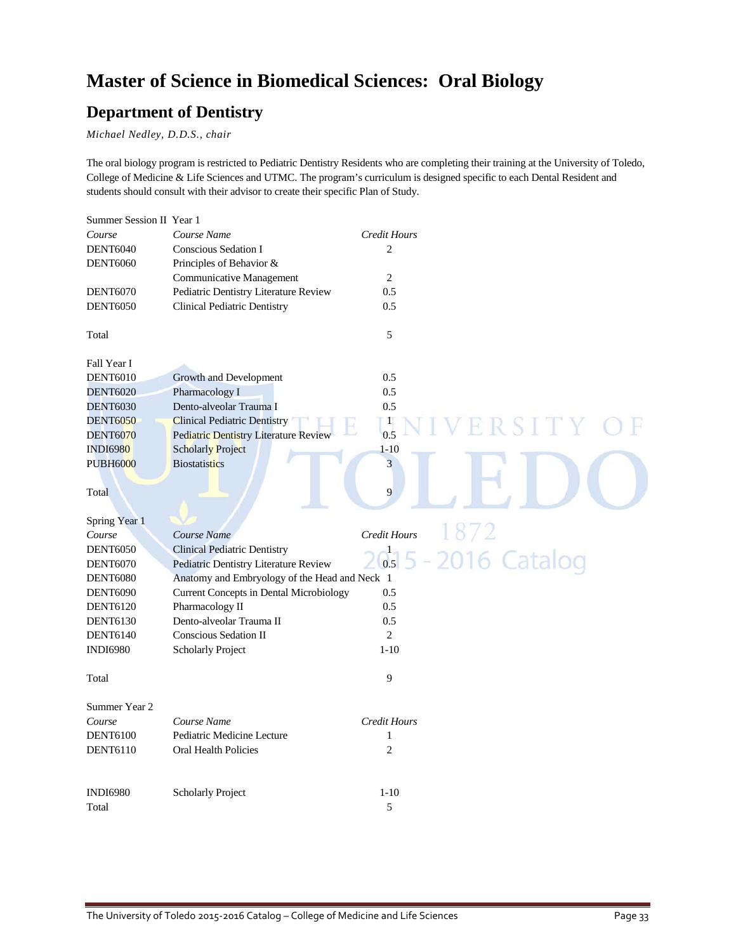## **Master of Science in Biomedical Sciences: Oral Biology**

### **Department of Dentistry**

*Michael Nedley, D.D.S., chair*

The oral biology program is restricted to Pediatric Dentistry Residents who are completing their training at the University of Toledo, College of Medicine & Life Sciences and UTMC. The program's curriculum is designed specific to each Dental Resident and students should consult with their advisor to create their specific Plan of Study.

| Summer Session II Year 1 |                                                |                         |                       |
|--------------------------|------------------------------------------------|-------------------------|-----------------------|
| Course                   | Course Name                                    | <b>Credit Hours</b>     |                       |
| <b>DENT6040</b>          | <b>Conscious Sedation I</b>                    | $\overline{c}$          |                       |
| <b>DENT6060</b>          | Principles of Behavior &                       |                         |                       |
|                          | Communicative Management                       | $\overline{c}$          |                       |
| <b>DENT6070</b>          | Pediatric Dentistry Literature Review          | 0.5                     |                       |
| <b>DENT6050</b>          | <b>Clinical Pediatric Dentistry</b>            | 0.5                     |                       |
| Total                    |                                                | 5                       |                       |
| Fall Year I              |                                                |                         |                       |
| <b>DENT6010</b>          | Growth and Development                         | 0.5                     |                       |
| <b>DENT6020</b>          | Pharmacology I                                 | 0.5                     |                       |
| <b>DENT6030</b>          | Dento-alveolar Trauma I                        | 0.5                     |                       |
| <b>DENT6050</b>          | <b>Clinical Pediatric Dentistry</b>            | $\mathbf{1}$            |                       |
| <b>DENT6070</b>          | <b>Pediatric Dentistry Literature Review</b>   | 0.5                     |                       |
| <b>INDI6980</b>          | <b>Scholarly Project</b>                       | $1 - 10$                |                       |
| <b>PUBH6000</b>          | <b>Biostatistics</b>                           | $\overline{\mathbf{3}}$ |                       |
|                          |                                                |                         |                       |
| Total                    |                                                | 9                       |                       |
| Spring Year 1            |                                                |                         |                       |
| Course                   | Course Name                                    | Credit Hours            | 1872                  |
| <b>DENT6050</b>          | <b>Clinical Pediatric Dentistry</b>            |                         |                       |
| <b>DENT6070</b>          | Pediatric Dentistry Literature Review          |                         | $6s$ 5 - 2016 Catalog |
| <b>DENT6080</b>          | Anatomy and Embryology of the Head and Neck 1  |                         |                       |
| <b>DENT6090</b>          | <b>Current Concepts in Dental Microbiology</b> | 0.5                     |                       |
| <b>DENT6120</b>          | Pharmacology II                                | 0.5                     |                       |
| <b>DENT6130</b>          | Dento-alveolar Trauma II                       | 0.5                     |                       |
| <b>DENT6140</b>          | Conscious Sedation II                          | 2                       |                       |
| <b>INDI6980</b>          | Scholarly Project                              | $1 - 10$                |                       |
| Total                    |                                                | 9                       |                       |
| Summer Year 2            |                                                |                         |                       |
| Course                   | Course Name                                    | <b>Credit Hours</b>     |                       |
| <b>DENT6100</b>          | Pediatric Medicine Lecture                     | 1                       |                       |
| <b>DENT6110</b>          | <b>Oral Health Policies</b>                    | $\overline{2}$          |                       |
| <b>INDI6980</b>          | <b>Scholarly Project</b>                       | $1 - 10$                |                       |
| Total                    |                                                | 5                       |                       |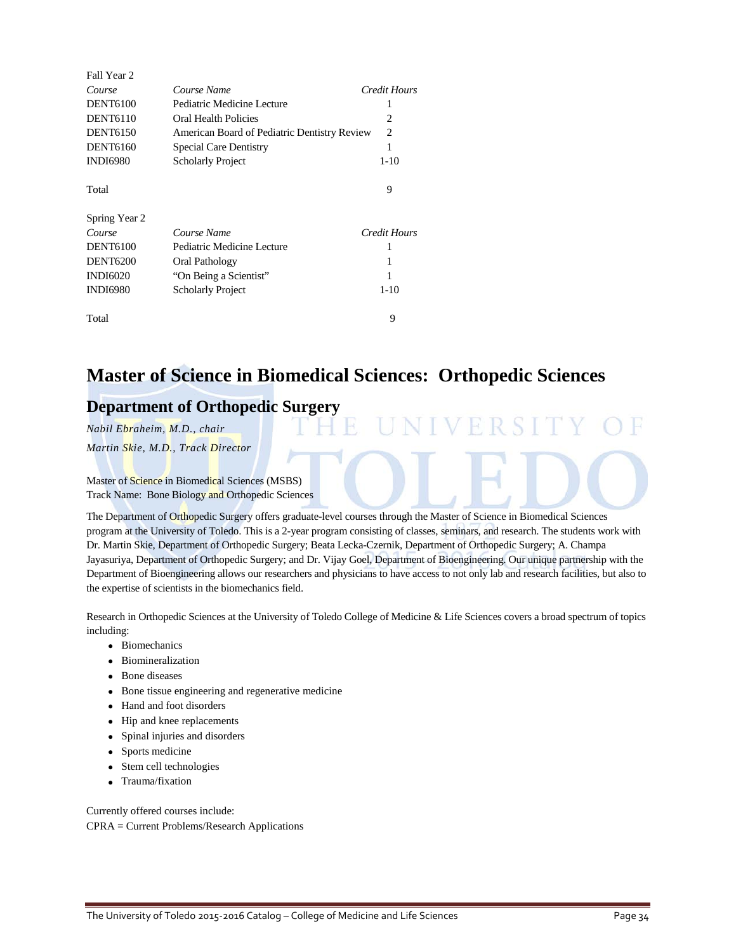| Fall Year 2     |                                              |              |
|-----------------|----------------------------------------------|--------------|
| Course          | Course Name                                  | Credit Hours |
| <b>DENT6100</b> | Pediatric Medicine Lecture                   |              |
| <b>DENT6110</b> | Oral Health Policies                         | 2            |
| <b>DENT6150</b> | American Board of Pediatric Dentistry Review | 2            |
| <b>DENT6160</b> | <b>Special Care Dentistry</b>                | 1            |
| <b>INDI6980</b> | <b>Scholarly Project</b>                     | $1 - 10$     |
| Total           |                                              | 9            |
| Spring Year 2   |                                              |              |
| Course          | Course Name                                  | Credit Hours |
| <b>DENT6100</b> | Pediatric Medicine Lecture                   | 1            |
| <b>DENT6200</b> | Oral Pathology                               | 1            |
| <b>INDI6020</b> | "On Being a Scientist"                       | 1            |
| <b>INDI6980</b> | <b>Scholarly Project</b>                     | $1 - 10$     |
| Total           |                                              | 9            |

### **Master of Science in Biomedical Sciences: Orthopedic Sciences**

### **Department of Orthopedic Surgery**

*Nabil Ebraheim, M.D., chair*

*Martin Skie, M.D., Track Director*

Master of Science in Biomedical Sciences (MSBS) Track Name: Bone Biology and Orthopedic Sciences

The Department of Orthopedic Surgery offers graduate-level courses through the Master of Science in Biomedical Sciences program at the University of Toledo. This is a 2-year program consisting of classes, seminars, and research. The students work with Dr. Martin Skie, Department of Orthopedic Surgery; Beata Lecka-Czernik, Department of Orthopedic Surgery; A. Champa Jayasuriya, Department of Orthopedic Surgery; and Dr. Vijay Goel, Department of Bioengineering. Our unique partnership with the Department of Bioengineering allows our researchers and physicians to have access to not only lab and research facilities, but also to the expertise of scientists in the biomechanics field.

Research in Orthopedic Sciences at the University of Toledo College of Medicine & Life Sciences covers a broad spectrum of topics including:

- Biomechanics
- Biomineralization
- Bone diseases
- Bone tissue engineering and regenerative medicine
- Hand and foot disorders
- Hip and knee replacements
- Spinal injuries and disorders
- Sports medicine
- Stem cell technologies
- Trauma/fixation

Currently offered courses include: CPRA = Current Problems/Research Applications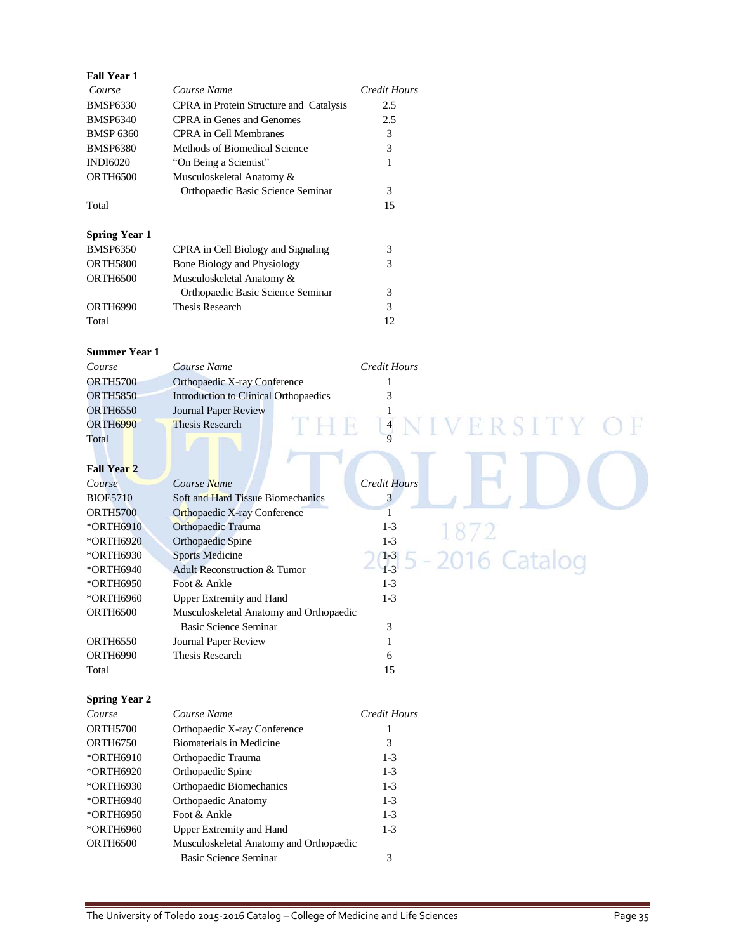| <b>Fall Year 1</b>   |                                         |                             |
|----------------------|-----------------------------------------|-----------------------------|
| Course               | Course Name                             | <b>Credit Hours</b>         |
| <b>BMSP6330</b>      | CPRA in Protein Structure and Catalysis | 2.5                         |
| <b>BMSP6340</b>      | <b>CPRA</b> in Genes and Genomes        | 2.5                         |
| <b>BMSP 6360</b>     | <b>CPRA</b> in Cell Membranes           | 3                           |
| <b>BMSP6380</b>      | Methods of Biomedical Science           | 3                           |
| <b>INDI6020</b>      | "On Being a Scientist"                  | 1                           |
| <b>ORTH6500</b>      | Musculoskeletal Anatomy &               |                             |
|                      | Orthopaedic Basic Science Seminar       | 3                           |
| Total                |                                         | 15                          |
|                      |                                         |                             |
| <b>Spring Year 1</b> |                                         |                             |
| <b>BMSP6350</b>      | CPRA in Cell Biology and Signaling      | 3                           |
| <b>ORTH5800</b>      | Bone Biology and Physiology             | 3                           |
| ORTH6500             | Musculoskeletal Anatomy &               |                             |
|                      | Orthopaedic Basic Science Seminar       | 3                           |
| ORTH6990             | <b>Thesis Research</b>                  | 3                           |
| Total                |                                         | 12                          |
|                      |                                         |                             |
| <b>Summer Year 1</b> |                                         |                             |
| Course               | Course Name                             | <b>Credit Hours</b>         |
| <b>ORTH5700</b>      | Orthopaedic X-ray Conference            | 1                           |
| <b>ORTH5850</b>      | Introduction to Clinical Orthopaedics   | 3                           |
| <b>ORTH6550</b>      | Journal Paper Review                    | 1                           |
| <b>ORTH6990</b>      | Thesis Research                         | R S I T Y<br>$\overline{4}$ |
| Total                |                                         |                             |
|                      |                                         |                             |
| <b>Fall Year 2</b>   |                                         |                             |
| Course               | Course Name                             | <b>Credit Hours</b>         |
| <b>BIOE5710</b>      | Soft and Hard Tissue Biomechanics       | $\overline{\mathbf{3}}$     |
| <b>ORTH5700</b>      | <b>Orthopaedic X-ray Conference</b>     | 1                           |
| *ORTH6910            | Orthopaedic Trauma                      | $1 - 3$                     |
| *ORTH6920            | Orthopaedic Spine                       | $1 - 3$                     |
| *ORTH6930            | <b>Sports Medicine</b>                  | $1 - 3$                     |
| *ORTH6940            | Adult Reconstruction & Tumor            | 016 Catalog<br>$1 - 3$      |
| *ORTH6950            | Foot & Ankle                            | $1 - 3$                     |
| *ORTH6960            | <b>Upper Extremity and Hand</b>         | $1-3$                       |
| <b>ORTH6500</b>      | Musculoskeletal Anatomy and Orthopaedic |                             |
|                      | Basic Science Seminar                   | 3                           |
| <b>ORTH6550</b>      | Journal Paper Review                    | 1                           |
| <b>ORTH6990</b>      | Thesis Research                         | 6                           |
| Total                |                                         | 15                          |
|                      |                                         |                             |
| <b>Spring Year 2</b> |                                         |                             |
| Course               | Course Name                             | Credit Hours                |
| <b>ORTH5700</b>      | Orthopaedic X-ray Conference            | 1                           |
| <b>ORTH6750</b>      | <b>Biomaterials in Medicine</b>         | 3                           |
| *ORTH6910            | Orthopaedic Trauma                      | $1-3$                       |
| *ORTH6920            | Orthopaedic Spine                       | $1-3$                       |
| *ORTH6930            | Orthopaedic Biomechanics                | $1-3$                       |
| *ORTH6940            | Orthopaedic Anatomy                     | $1-3$                       |
| *ORTH6950            | Foot & Ankle                            | $1 - 3$                     |
| *ORTH6960            | <b>Upper Extremity and Hand</b>         | $1-3$                       |
| ORTH6500             | Musculoskeletal Anatomy and Orthopaedic |                             |
|                      | <b>Basic Science Seminar</b>            | 3                           |
|                      |                                         |                             |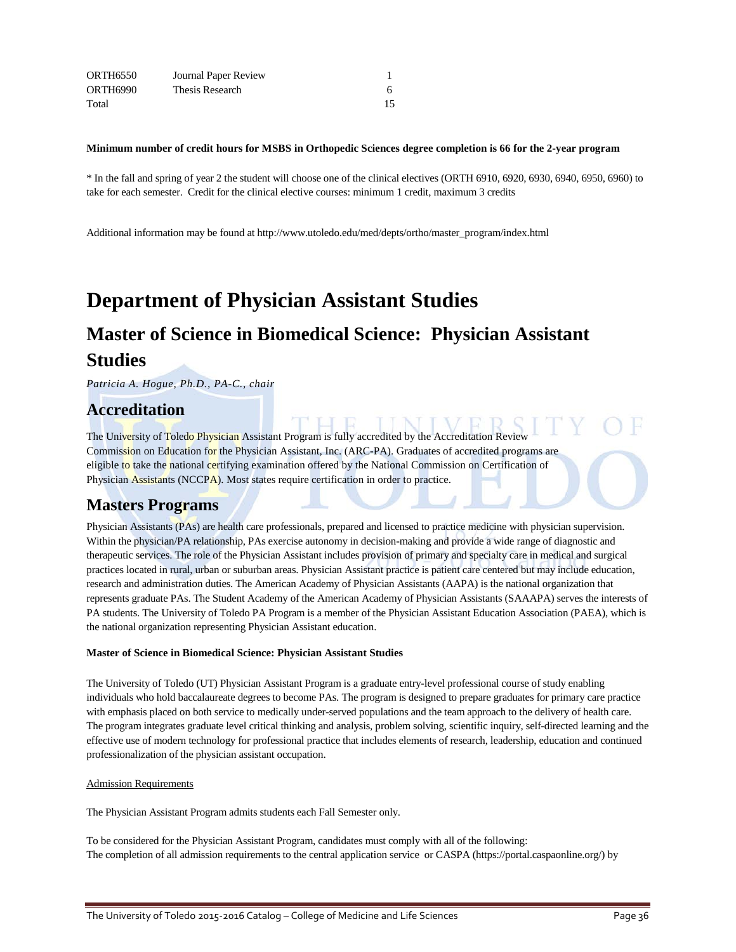| ORTH6550        | Journal Paper Review |  |
|-----------------|----------------------|--|
| <b>ORTH6990</b> | Thesis Research      |  |
| Total           |                      |  |

#### **Minimum number of credit hours for MSBS in Orthopedic Sciences degree completion is 66 for the 2-year program**

\* In the fall and spring of year 2 the student will choose one of the clinical electives (ORTH 6910, 6920, 6930, 6940, 6950, 6960) to take for each semester. Credit for the clinical elective courses: minimum 1 credit, maximum 3 credits

Additional information may be found a[t http://www.utoledo.edu/med/depts/ortho/master\\_program/index.html](http://www.utoledo.edu/med/depts/ortho/master_program/index.html)

## **Department of Physician Assistant Studies**

## **Master of Science in Biomedical Science: Physician Assistant Studies**

*Patricia A. Hogue, Ph.D., PA-C., chair*

### **Accreditation**

The University of Toledo Physician Assistant Program is fully accredited by the Accreditation Review Commission on Education for the Physician Assistant, Inc. (ARC-PA). Graduates of accredited programs are eligible to take the national certifying examination offered by the National Commission on Certification of Physician Assistants (NCCPA). Most states require certification in order to practice.

### **Masters Programs**

Physician Assistants (PAs) are health care professionals, prepared and licensed to practice medicine with physician supervision. Within the physician/PA relationship, PAs exercise autonomy in decision-making and provide a wide range of diagnostic and therapeutic services. The role of the Physician Assistant includes provision of primary and specialty care in medical and surgical practices located in rural, urban or suburban areas. Physician Assistant practice is patient care centered but may include education, research and administration duties. The American Academy of Physician Assistants (AAPA) is the national organization that represents graduate PAs. The Student Academy of the American Academy of Physician Assistants (SAAAPA) serves the interests of PA students. The University of Toledo PA Program is a member of the Physician Assistant Education Association (PAEA), which is the national organization representing Physician Assistant education.

### **Master of Science in Biomedical Science: Physician Assistant Studies**

The University of Toledo (UT) Physician Assistant Program is a graduate entry-level professional course of study enabling individuals who hold baccalaureate degrees to become PAs. The program is designed to prepare graduates for primary care practice with emphasis placed on both service to medically under-served populations and the team approach to the delivery of health care. The program integrates graduate level critical thinking and analysis, problem solving, scientific inquiry, self-directed learning and the effective use of modern technology for professional practice that includes elements of research, leadership, education and continued professionalization of the physician assistant occupation.

#### Admission Requirements

The Physician Assistant Program admits students each Fall Semester only.

To be considered for the Physician Assistant Program, candidates must comply with all of the following: The completion of all admission requirements to the central application service or CASPA (https://portal.caspaonline.org/) by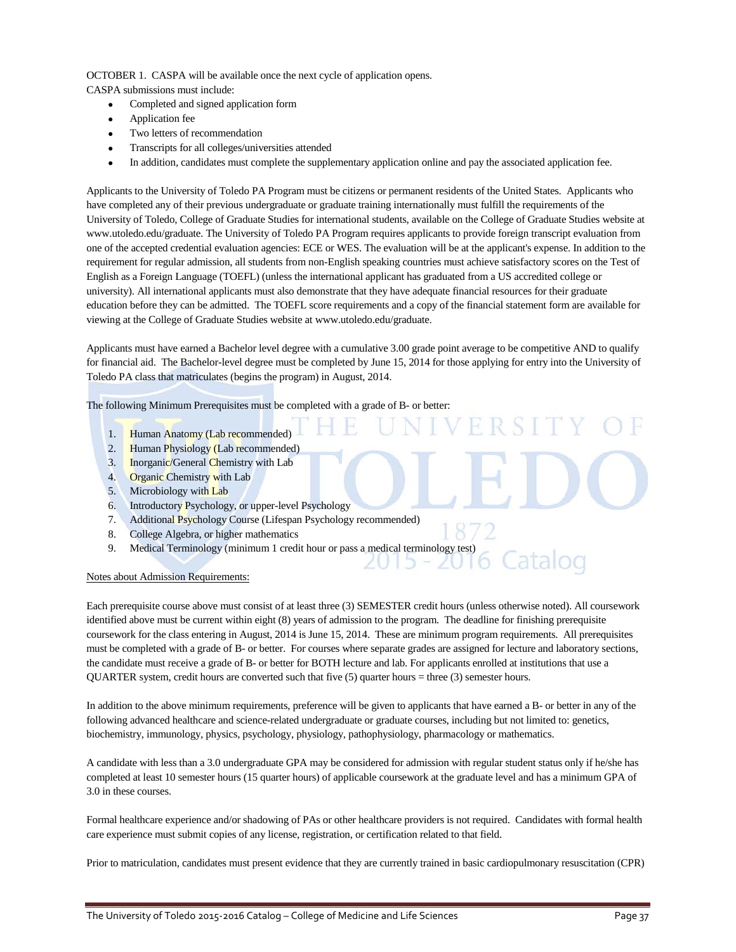### OCTOBER 1. CASPA will be available once the next cycle of application opens.

CASPA submissions must include:

- Completed and signed application form
- Application fee
- Two letters of recommendation
- Transcripts for all colleges/universities attended
- In addition, candidates must complete the supplementary application online and pay the associated application fee.

Applicants to the University of Toledo PA Program must be citizens or permanent residents of the United States. Applicants who have completed any of their previous undergraduate or graduate training internationally must fulfill the requirements of the University of Toledo, College of Graduate Studies for international students, available on the College of Graduate Studies website at www.utoledo.edu/graduate. The University of Toledo PA Program requires applicants to provide foreign transcript evaluation from one of the accepted credential evaluation agencies: ECE or WES. The evaluation will be at the applicant's expense. In addition to the requirement for regular admission, all students from non-English speaking countries must achieve satisfactory scores on the Test of English as a Foreign Language (TOEFL) (unless the international applicant has graduated from a US accredited college or university). All international applicants must also demonstrate that they have adequate financial resources for their graduate education before they can be admitted. The TOEFL score requirements and a copy of the financial statement form are available for viewing at the College of Graduate Studies website at www.utoledo.edu/graduate.

Applicants must have earned a Bachelor level degree with a cumulative 3.00 grade point average to be competitive AND to qualify for financial aid. The Bachelor-level degree must be completed by June 15, 2014 for those applying for entry into the University of Toledo PA class that matriculates (begins the program) in August, 2014.

The following Minimum Prerequisites must be completed with a grade of B- or better:

- 1. Human Anatomy (Lab recommended)
- 2. Human Physiology (Lab recommended)
- 3. Inorganic/General Chemistry with Lab
- 4. Organic Chemistry with Lab
- 5. Microbiology with Lab
- 6. Introductory Psychology, or upper-level Psychology
- 7. Additional Psychology Course (Lifespan Psychology recommended)
- 8. College Algebra, or higher mathematics
- 9. Medical Terminology (minimum 1 credit hour or pass a medical terminology test)

### Notes about Admission Requirements:

Each prerequisite course above must consist of at least three (3) SEMESTER credit hours (unless otherwise noted). All coursework identified above must be current within eight (8) years of admission to the program. The deadline for finishing prerequisite coursework for the class entering in August, 2014 is June 15, 2014. These are minimum program requirements. All prerequisites must be completed with a grade of B- or better. For courses where separate grades are assigned for lecture and laboratory sections, the candidate must receive a grade of B- or better for BOTH lecture and lab. For applicants enrolled at institutions that use a QUARTER system, credit hours are converted such that five (5) quarter hours = three (3) semester hours.

In addition to the above minimum requirements, preference will be given to applicants that have earned a B- or better in any of the following advanced healthcare and science-related undergraduate or graduate courses, including but not limited to: genetics, biochemistry, immunology, physics, psychology, physiology, pathophysiology, pharmacology or mathematics.

A candidate with less than a 3.0 undergraduate GPA may be considered for admission with regular student status only if he/she has completed at least 10 semester hours (15 quarter hours) of applicable coursework at the graduate level and has a minimum GPA of 3.0 in these courses.

Formal healthcare experience and/or shadowing of PAs or other healthcare providers is not required. Candidates with formal health care experience must submit copies of any license, registration, or certification related to that field.

Prior to matriculation, candidates must present evidence that they are currently trained in basic cardiopulmonary resuscitation (CPR)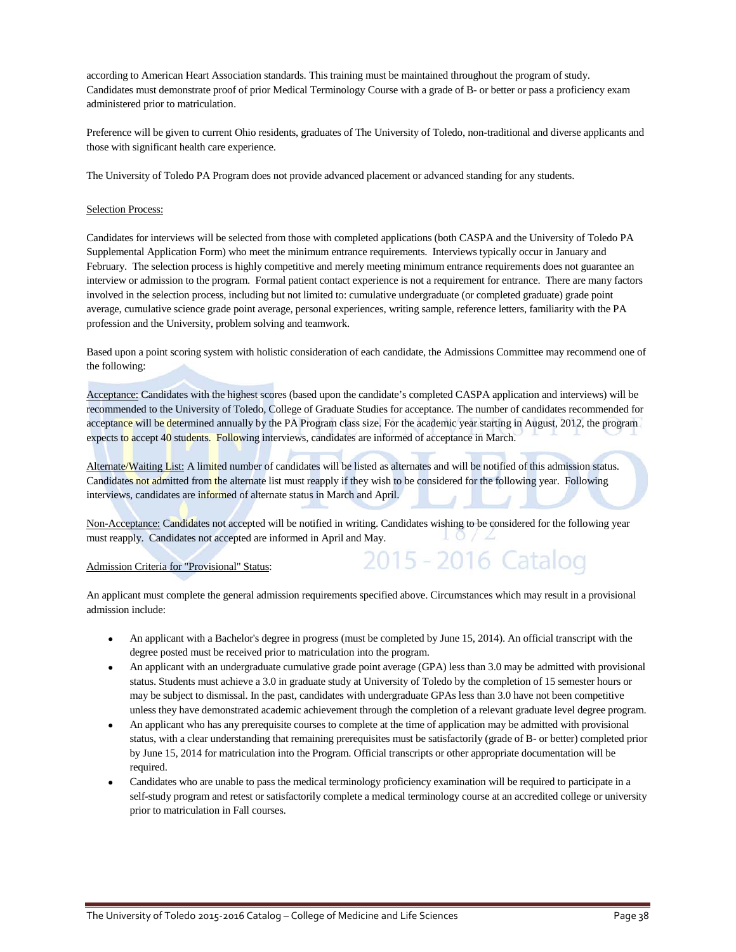according to American Heart Association standards. This training must be maintained throughout the program of study. Candidates must demonstrate proof of prior Medical Terminology Course with a grade of B- or better or pass a proficiency exam administered prior to matriculation.

Preference will be given to current Ohio residents, graduates of The University of Toledo, non-traditional and diverse applicants and those with significant health care experience.

The University of Toledo PA Program does not provide advanced placement or advanced standing for any students.

### Selection Process:

Candidates for interviews will be selected from those with completed applications (both CASPA and the University of Toledo PA Supplemental Application Form) who meet the minimum entrance requirements. Interviews typically occur in January and February. The selection process is highly competitive and merely meeting minimum entrance requirements does not guarantee an interview or admission to the program. Formal patient contact experience is not a requirement for entrance. There are many factors involved in the selection process, including but not limited to: cumulative undergraduate (or completed graduate) grade point average, cumulative science grade point average, personal experiences, writing sample, reference letters, familiarity with the PA profession and the University, problem solving and teamwork.

Based upon a point scoring system with holistic consideration of each candidate, the Admissions Committee may recommend one of the following:

Acceptance: Candidates with the highest scores (based upon the candidate's completed CASPA application and interviews) will be recommended to the University of Toledo, College of Graduate Studies for acceptance. The number of candidates recommended for acceptance will be determined annually by the PA Program class size. For the academic year starting in August, 2012, the program expects to accept 40 students. Following interviews, candidates are informed of acceptance in March.

Alternate/Waiting List: A limited number of candidates will be listed as alternates and will be notified of this admission status. Candidates not admitted from the alternate list must reapply if they wish to be considered for the following year. Following interviews, candidates are informed of alternate status in March and April.

Non-Acceptance: Candidates not accepted will be notified in writing. Candidates wishing to be considered for the following year must reapply. Candidates not accepted are informed in April and May.

#### Admission Criteria for "Provisional" Status:

An applicant must complete the general admission requirements specified above. Circumstances which may result in a provisional admission include:

• An applicant with a Bachelor's degree in progress (must be completed by June 15, 2014). An official transcript with the degree posted must be received prior to matriculation into the program.

2015 - 2016 Catalog

- An applicant with an undergraduate cumulative grade point average (GPA) less than 3.0 may be admitted with provisional status. Students must achieve a 3.0 in graduate study at University of Toledo by the completion of 15 semester hours or may be subject to dismissal. In the past, candidates with undergraduate GPAs less than 3.0 have not been competitive unless they have demonstrated academic achievement through the completion of a relevant graduate level degree program.
- An applicant who has any prerequisite courses to complete at the time of application may be admitted with provisional status, with a clear understanding that remaining prerequisites must be satisfactorily (grade of B- or better) completed prior by June 15, 2014 for matriculation into the Program. Official transcripts or other appropriate documentation will be required.
- Candidates who are unable to pass the medical terminology proficiency examination will be required to participate in a self-study program and retest or satisfactorily complete a medical terminology course at an accredited college or university prior to matriculation in Fall courses.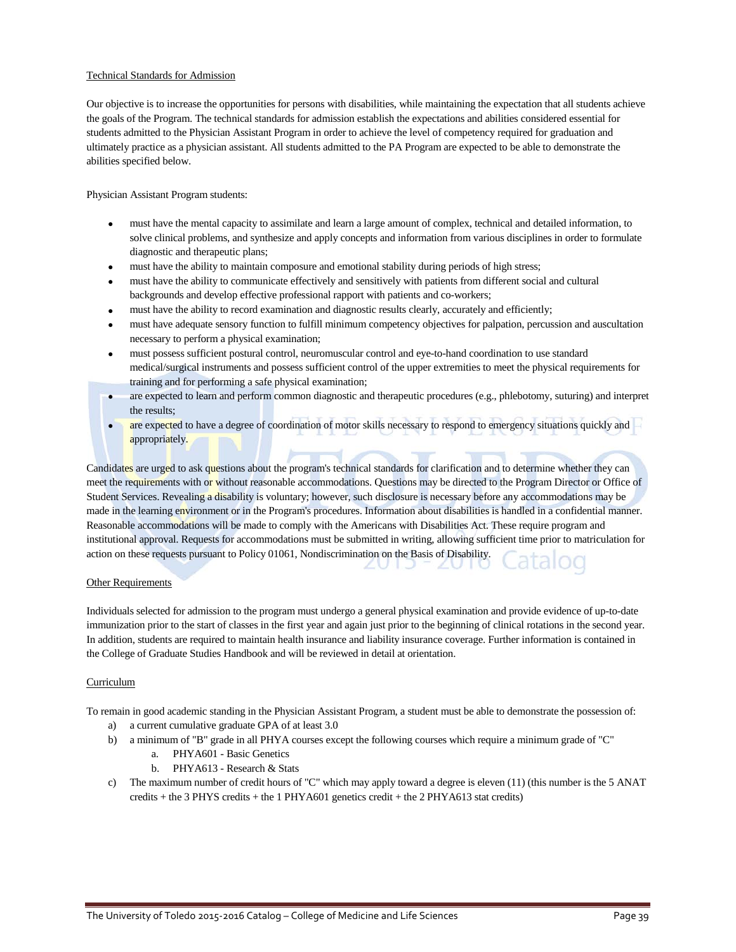### Technical Standards for Admission

Our objective is to increase the opportunities for persons with disabilities, while maintaining the expectation that all students achieve the goals of the Program. The technical standards for admission establish the expectations and abilities considered essential for students admitted to the Physician Assistant Program in order to achieve the level of competency required for graduation and ultimately practice as a physician assistant. All students admitted to the PA Program are expected to be able to demonstrate the abilities specified below.

Physician Assistant Program students:

- must have the mental capacity to assimilate and learn a large amount of complex, technical and detailed information, to solve clinical problems, and synthesize and apply concepts and information from various disciplines in order to formulate diagnostic and therapeutic plans;
- must have the ability to maintain composure and emotional stability during periods of high stress;
- must have the ability to communicate effectively and sensitively with patients from different social and cultural backgrounds and develop effective professional rapport with patients and co-workers;
- must have the ability to record examination and diagnostic results clearly, accurately and efficiently;
- must have adequate sensory function to fulfill minimum competency objectives for palpation, percussion and auscultation necessary to perform a physical examination;
- must possess sufficient postural control, neuromuscular control and eye-to-hand coordination to use standard medical/surgical instruments and possess sufficient control of the upper extremities to meet the physical requirements for training and for performing a safe physical examination;
- are expected to learn and perform common diagnostic and therapeutic procedures (e.g., phlebotomy, suturing) and interpret the results;
- are expected to have a degree of coordination of motor skills necessary to respond to emergency situations quickly and appropriately.

Candidates are urged to ask questions about the program's technical standards for clarification and to determine whether they can meet the requirements with or without reasonable accommodations. Questions may be directed to the Program Director or Office of Student Services. Revealing a disability is voluntary; however, such disclosure is necessary before any accommodations may be made in the learning environment or in the Program's procedures. Information about disabilities is handled in a confidential manner. Reasonable accommodations will be made to comply with the Americans with Disabilities Act. These require program and institutional approval. Requests for accommodations must be submitted in writing, allowing sufficient time prior to matriculation for action on these requests pursuant to Policy 01061, Nondiscrimination on the Basis of Disability.

### **Other Requirements**

Individuals selected for admission to the program must undergo a general physical examination and provide evidence of up-to-date immunization prior to the start of classes in the first year and again just prior to the beginning of clinical rotations in the second year. In addition, students are required to maintain health insurance and liability insurance coverage. Further information is contained in the College of Graduate Studies Handbook and will be reviewed in detail at orientation.

### Curriculum

To remain in good academic standing in the Physician Assistant Program, a student must be able to demonstrate the possession of:

- a) a current cumulative graduate GPA of at least 3.0
- b) a minimum of "B" grade in all PHYA courses except the following courses which require a minimum grade of "C"
	- a. PHYA601 Basic Genetics
	- b. PHYA613 Research & Stats
- c) The maximum number of credit hours of "C" which may apply toward a degree is eleven (11) (this number is the 5 ANAT credits + the 3 PHYS credits + the 1 PHYA601 genetics credit + the 2 PHYA613 stat credits)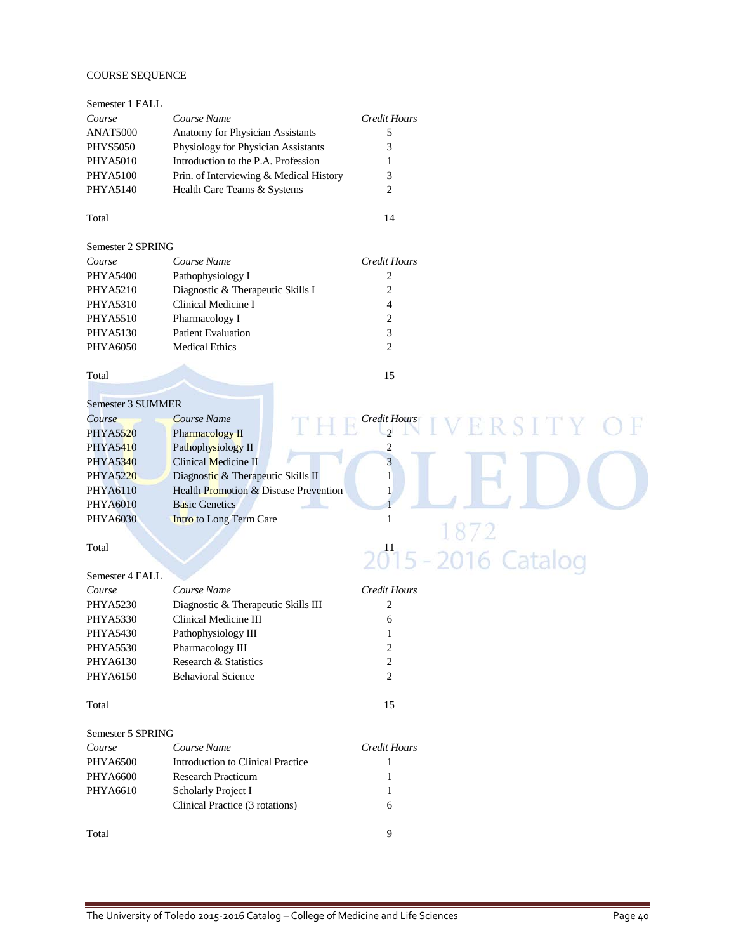### COURSE SEQUENCE

| Semester 1 FALL   |                                         |                                |                     |
|-------------------|-----------------------------------------|--------------------------------|---------------------|
| Course            | Course Name                             | <b>Credit Hours</b>            |                     |
| ANAT5000          | Anatomy for Physician Assistants        | 5                              |                     |
| <b>PHYS5050</b>   | Physiology for Physician Assistants     | 3                              |                     |
| <b>PHYA5010</b>   | Introduction to the P.A. Profession     | 1                              |                     |
| <b>PHYA5100</b>   | Prin. of Interviewing & Medical History | 3                              |                     |
| PHYA5140          | Health Care Teams & Systems             | 2                              |                     |
| Total             |                                         | 14                             |                     |
| Semester 2 SPRING |                                         |                                |                     |
| Course            | Course Name                             | <b>Credit Hours</b>            |                     |
| <b>PHYA5400</b>   | Pathophysiology I                       | 2                              |                     |
| PHYA5210          | Diagnostic & Therapeutic Skills I       | $\overline{c}$                 |                     |
| <b>PHYA5310</b>   | Clinical Medicine I                     | 4                              |                     |
| PHYA5510          | Pharmacology I                          | 2                              |                     |
| PHYA5130          | <b>Patient Evaluation</b>               | 3                              |                     |
| PHYA6050          | <b>Medical Ethics</b>                   | $\overline{c}$                 |                     |
|                   |                                         |                                |                     |
| Total             |                                         | 15                             |                     |
| Semester 3 SUMMER |                                         |                                |                     |
| Course            | <b>Course Name</b>                      |                                |                     |
|                   |                                         | Credit Hours<br>$\mathfrak{D}$ | ERSITY              |
| PHYA5520          | Pharmacology II                         |                                |                     |
| PHYA5410          | Pathophysiology II                      | $\overline{\mathbf{c}}$        |                     |
| PHYA5340          | Clinical Medicine II                    | $\overline{\mathbf{3}}$        |                     |
| PHYA5220          | Diagnostic & Therapeutic Skills II      | $\mathbf{1}$                   |                     |
| PHYA6110          | Health Promotion & Disease Prevention   | 1                              |                     |
| <b>PHYA6010</b>   | <b>Basic Genetics</b>                   |                                |                     |
| <b>PHYA6030</b>   | <b>Intro</b> to Long Term Care          | $\mathbf{1}$                   |                     |
| Total             |                                         |                                |                     |
|                   |                                         |                                | 2015 - 2016 Catalog |
| Semester 4 FALL   |                                         |                                |                     |
| Course            | Course Name                             | <b>Credit Hours</b>            |                     |
| <b>PHYA5230</b>   | Diagnostic & Therapeutic Skills III     | 2                              |                     |
| PHYA5330          | Clinical Medicine III                   | 6                              |                     |
| PHYA5430          | Pathophysiology III                     | 1                              |                     |
| PHYA5530          | Pharmacology III                        | 2                              |                     |
| PHYA6130          | Research & Statistics                   | 2                              |                     |
| PHYA6150          | <b>Behavioral Science</b>               | 2                              |                     |
| Total             |                                         | 15                             |                     |
| Semester 5 SPRING |                                         |                                |                     |
| Course            | Course Name                             | <b>Credit Hours</b>            |                     |
| PHYA6500          | Introduction to Clinical Practice       | 1                              |                     |
| PHYA6600          | <b>Research Practicum</b>               | 1                              |                     |
| PHYA6610          | Scholarly Project I                     | 1                              |                     |
|                   | Clinical Practice (3 rotations)         | 6                              |                     |
| Total             |                                         | 9                              |                     |
|                   |                                         |                                |                     |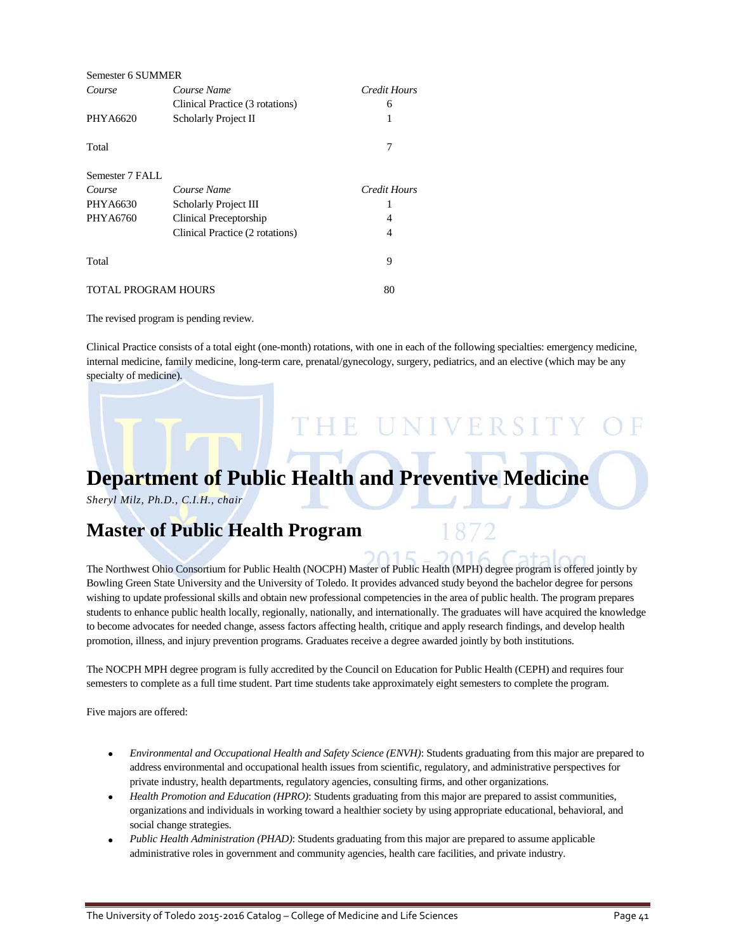| Semester 6 SUMMER   |                                 |                     |
|---------------------|---------------------------------|---------------------|
| Course              | Course Name                     | Credit Hours        |
|                     | Clinical Practice (3 rotations) | 6                   |
| PHYA6620            | Scholarly Project II            | 1                   |
| Total               |                                 | 7                   |
| Semester 7 FALL     |                                 |                     |
| Course              | Course Name                     | <b>Credit Hours</b> |
| PHYA6630            | Scholarly Project III           |                     |
| PHYA6760            | Clinical Preceptorship          | 4                   |
|                     | Clinical Practice (2 rotations) | 4                   |
| Total               |                                 | 9                   |
| TOTAL PROGRAM HOURS |                                 | 80                  |

The revised program is pending review.

Clinical Practice consists of a total eight (one-month) rotations, with one in each of the following specialties: emergency medicine, internal medicine, family medicine, long-term care, prenatal/gynecology, surgery, pediatrics, and an elective (which may be any specialty of medicine).

THE UNIVERSITY

# **Department of Public Health and Preventive Medicine**

*Sheryl Milz, Ph.D., C.I.H., chair*

## **Master of Public Health Program**

The Northwest Ohio Consortium for Public Health (NOCPH) Master of Public Health (MPH) degree program is offered jointly by Bowling Green State University and the University of Toledo. It provides advanced study beyond the bachelor degree for persons wishing to update professional skills and obtain new professional competencies in the area of public health. The program prepares students to enhance public health locally, regionally, nationally, and internationally. The graduates will have acquired the knowledge to become advocates for needed change, assess factors affecting health, critique and apply research findings, and develop health promotion, illness, and injury prevention programs. Graduates receive a degree awarded jointly by both institutions.

The NOCPH MPH degree program is fully accredited by the Council on Education for Public Health (CEPH) and requires four semesters to complete as a full time student. Part time students take approximately eight semesters to complete the program.

Five majors are offered:

- *Environmental and Occupational Health and Safety Science (ENVH)*: Students graduating from this major are prepared to address environmental and occupational health issues from scientific, regulatory, and administrative perspectives for private industry, health departments, regulatory agencies, consulting firms, and other organizations.
- *Health Promotion and Education (HPRO)*: Students graduating from this major are prepared to assist communities, organizations and individuals in working toward a healthier society by using appropriate educational, behavioral, and social change strategies.
- *Public Health Administration (PHAD)*: Students graduating from this major are prepared to assume applicable administrative roles in government and community agencies, health care facilities, and private industry.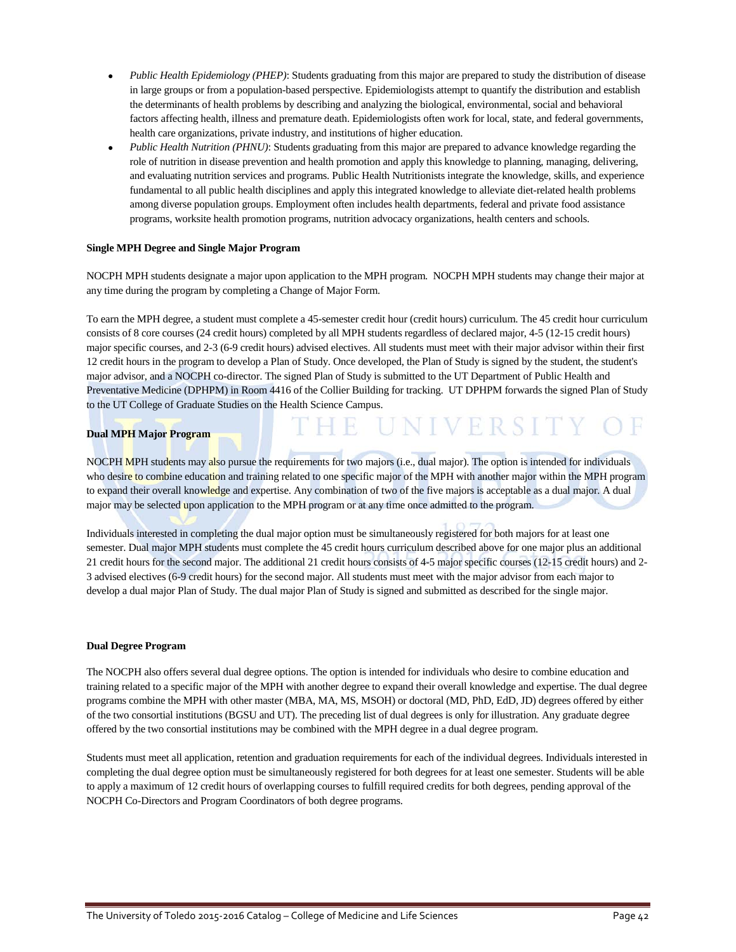- *Public Health Epidemiology (PHEP)*: Students graduating from this major are prepared to study the distribution of disease in large groups or from a population-based perspective. Epidemiologists attempt to quantify the distribution and establish the determinants of health problems by describing and analyzing the biological, environmental, social and behavioral factors affecting health, illness and premature death. Epidemiologists often work for local, state, and federal governments, health care organizations, private industry, and institutions of higher education.
- *Public Health Nutrition (PHNU)*: Students graduating from this major are prepared to advance knowledge regarding the role of nutrition in disease prevention and health promotion and apply this knowledge to planning, managing, delivering, and evaluating nutrition services and programs. Public Health Nutritionists integrate the knowledge, skills, and experience fundamental to all public health disciplines and apply this integrated knowledge to alleviate diet-related health problems among diverse population groups. Employment often includes health departments, federal and private food assistance programs, worksite health promotion programs, nutrition advocacy organizations, health centers and schools.

### **Single MPH Degree and Single Major Program**

NOCPH MPH students designate a major upon application to the MPH program. NOCPH MPH students may change their major at any time during the program by completing a Change of Major Form.

To earn the MPH degree, a student must complete a 45-semester credit hour (credit hours) curriculum. The 45 credit hour curriculum consists of 8 core courses (24 credit hours) completed by all MPH students regardless of declared major, 4-5 (12-15 credit hours) major specific courses, and 2-3 (6-9 credit hours) advised electives. All students must meet with their major advisor within their first 12 credit hours in the program to develop a Plan of Study. Once developed, the Plan of Study is signed by the student, the student's major advisor, and a NOCPH co-director. The signed Plan of Study is submitted to the UT Department of Public Health and Preventative Medicine (DPHPM) in Room 4416 of the Collier Building for tracking. UT DPHPM forwards the signed Plan of Study to the UT College of Graduate Studies on the Health Science Campus.

UNIVERSITY

### **Dual MPH Major Program**

NOCPH MPH students may also pursue the requirements for two majors (i.e., dual major). The option is intended for individuals who desire to combine education and training related to one specific major of the MPH with another major within the MPH program to expand their overall knowledge and expertise. Any combination of two of the five majors is acceptable as a dual major. A dual major may be selected upon application to the MPH program or at any time once admitted to the program.

Individuals interested in completing the dual major option must be simultaneously registered for both majors for at least one semester. Dual major MPH students must complete the 45 credit hours curriculum described above for one major plus an additional 21 credit hours for the second major. The additional 21 credit hours consists of 4-5 major specific courses (12-15 credit hours) and 2- 3 advised electives (6-9 credit hours) for the second major. All students must meet with the major advisor from each major to develop a dual major Plan of Study. The dual major Plan of Study is signed and submitted as described for the single major.

#### **Dual Degree Program**

The NOCPH also offers several dual degree options. The option is intended for individuals who desire to combine education and training related to a specific major of the MPH with another degree to expand their overall knowledge and expertise. The dual degree programs combine the MPH with other master (MBA, MA, MS, MSOH) or doctoral (MD, PhD, EdD, JD) degrees offered by either of the two consortial institutions (BGSU and UT). The preceding list of dual degrees is only for illustration. Any graduate degree offered by the two consortial institutions may be combined with the MPH degree in a dual degree program.

Students must meet all application, retention and graduation requirements for each of the individual degrees. Individuals interested in completing the dual degree option must be simultaneously registered for both degrees for at least one semester. Students will be able to apply a maximum of 12 credit hours of overlapping courses to fulfill required credits for both degrees, pending approval of the NOCPH Co-Directors and Program Coordinators of both degree programs.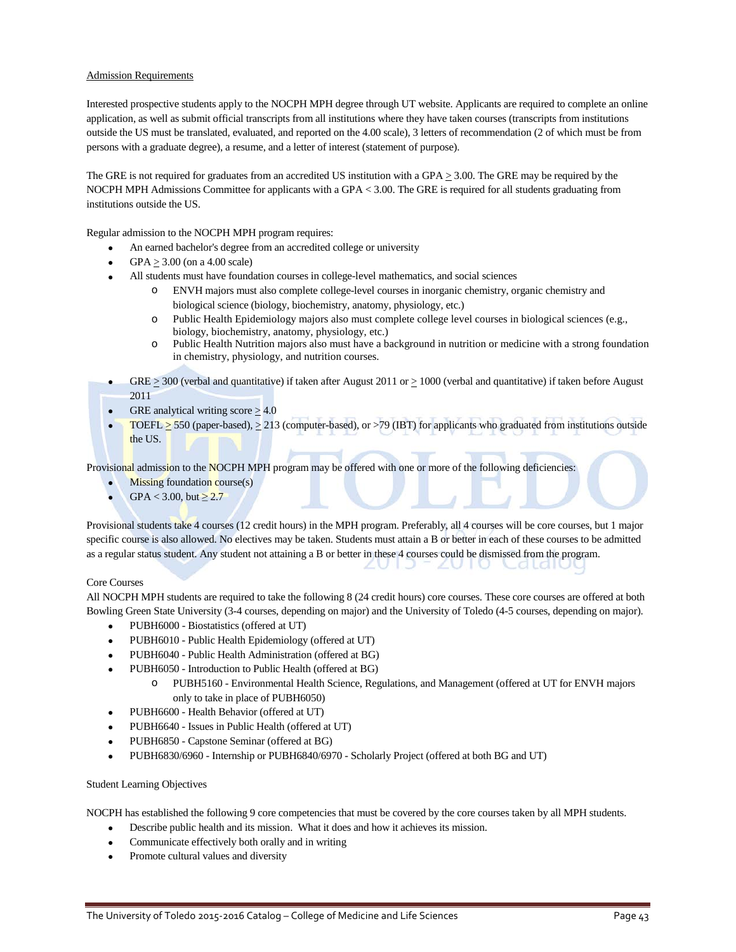### Admission Requirements

Interested prospective students apply to the NOCPH MPH degree through UT website. Applicants are required to complete an online application, as well as submit official transcripts from all institutions where they have taken courses (transcripts from institutions outside the US must be translated, evaluated, and reported on the 4.00 scale), 3 letters of recommendation (2 of which must be from persons with a graduate degree), a resume, and a letter of interest (statement of purpose).

The GRE is not required for graduates from an accredited US institution with a GPA  $\geq$  3.00. The GRE may be required by the NOCPH MPH Admissions Committee for applicants with a GPA < 3.00. The GRE is required for all students graduating from institutions outside the US.

Regular admission to the NOCPH MPH program requires:

- An earned bachelor's degree from an accredited college or university
- GPA  $>$  3.00 (on a 4.00 scale)
- All students must have foundation courses in college-level mathematics, and social sciences
	- ENVH majors must also complete college-level courses in inorganic chemistry, organic chemistry and biological science (biology, biochemistry, anatomy, physiology, etc.)
	- o Public Health Epidemiology majors also must complete college level courses in biological sciences (e.g., biology, biochemistry, anatomy, physiology, etc.)
	- o Public Health Nutrition majors also must have a background in nutrition or medicine with a strong foundation in chemistry, physiology, and nutrition courses.
- GRE  $\geq$  300 (verbal and quantitative) if taken after August 2011 or  $\geq$  1000 (verbal and quantitative) if taken before August 2011
- GRE analytical writing score  $\geq$  4.0
- TOEFL  $>$  550 (paper-based),  $>$  213 (computer-based), or  $>$  79 (IBT) for applicants who graduated from institutions outside the US.

Provisional admission to the NOCPH MPH program may be offered with one or more of the following deficiencies:

- $Missing$  foundation course $(s)$
- $GPA < 3.00$ , but  $\ge 2.7$

Provisional students take 4 courses (12 credit hours) in the MPH program. Preferably, all 4 courses will be core courses, but 1 major specific course is also allowed. No electives may be taken. Students must attain a B or better in each of these courses to be admitted as a regular status student. Any student not attaining a B or better in these 4 courses could be dismissed from the program. Catalut zν ZU

#### Core Courses

All NOCPH MPH students are required to take the following 8 (24 credit hours) core courses. These core courses are offered at both Bowling Green State University (3-4 courses, depending on major) and the University of Toledo (4-5 courses, depending on major).

- PUBH6000 Biostatistics (offered at UT)
- PUBH6010 Public Health Epidemiology (offered at UT)
- PUBH6040 Public Health Administration (offered at BG)
- PUBH6050 Introduction to Public Health (offered at BG)
	- o PUBH5160 Environmental Health Science, Regulations, and Management (offered at UT for ENVH majors only to take in place of PUBH6050)
- PUBH6600 Health Behavior (offered at UT)
- PUBH6640 Issues in Public Health (offered at UT)
- PUBH6850 Capstone Seminar (offered at BG)
- PUBH6830/6960 Internship or PUBH6840/6970 Scholarly Project (offered at both BG and UT)

#### Student Learning Objectives

NOCPH has established the following 9 core competencies that must be covered by the core courses taken by all MPH students.

- Describe public health and its mission. What it does and how it achieves its mission.
- Communicate effectively both orally and in writing
- Promote cultural values and diversity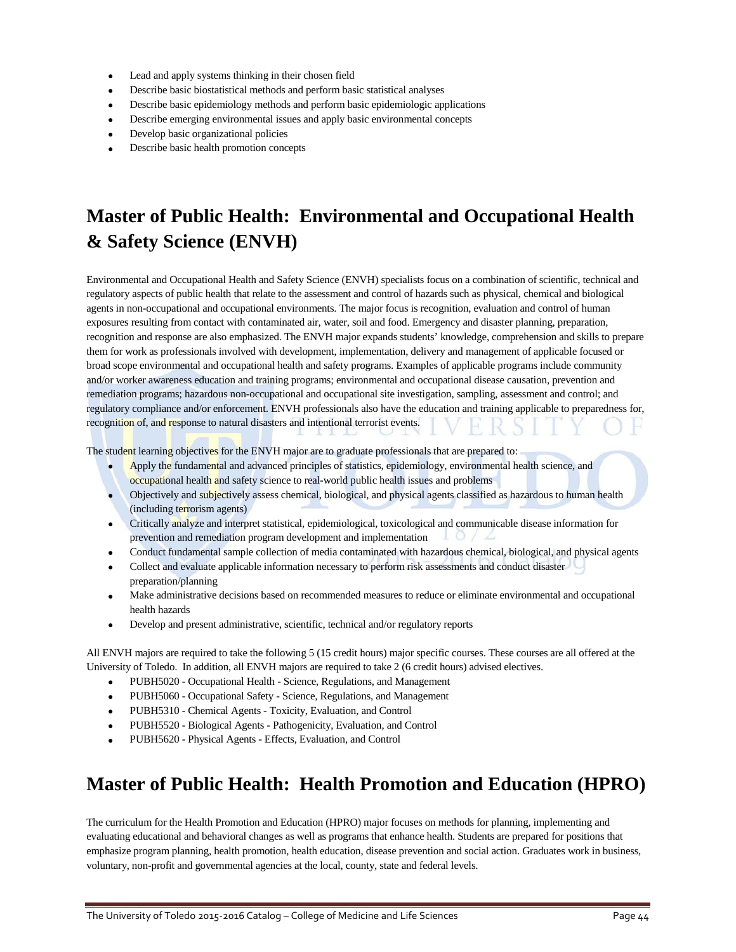- Lead and apply systems thinking in their chosen field
- Describe basic biostatistical methods and perform basic statistical analyses
- Describe basic epidemiology methods and perform basic epidemiologic applications
- Describe emerging environmental issues and apply basic environmental concepts
- Develop basic organizational policies
- Describe basic health promotion concepts

## **Master of Public Health: Environmental and Occupational Health & Safety Science (ENVH)**

Environmental and Occupational Health and Safety Science (ENVH) specialists focus on a combination of scientific, technical and regulatory aspects of public health that relate to the assessment and control of hazards such as physical, chemical and biological agents in non-occupational and occupational environments. The major focus is recognition, evaluation and control of human exposures resulting from contact with contaminated air, water, soil and food. Emergency and disaster planning, preparation, recognition and response are also emphasized. The ENVH major expands students' knowledge, comprehension and skills to prepare them for work as professionals involved with development, implementation, delivery and management of applicable focused or broad scope environmental and occupational health and safety programs. Examples of applicable programs include community and/or worker awareness education and training programs; environmental and occupational disease causation, prevention and remediation programs; hazardous non-occupational and occupational site investigation, sampling, assessment and control; and regulatory compliance and/or enforcement. ENVH professionals also have the education and training applicable to preparedness for, recognition of, and response to natural disasters and intentional terrorist events.

The student learning objectives for the ENVH major are to graduate professionals that are prepared to:

- Apply the fundamental and advanced principles of statistics, epidemiology, environmental health science, and occupational health and safety science to real-world public health issues and problems
- Objectively and subjectively assess chemical, biological, and physical agents classified as hazardous to human health (including terrorism agents)
- Critically analyze and interpret statistical, epidemiological, toxicological and communicable disease information for prevention and remediation program development and implementation
- Conduct fundamental sample collection of media contaminated with hazardous chemical, biological, and physical agents
- Collect and evaluate applicable information necessary to perform risk assessments and conduct disaster preparation/planning
- Make administrative decisions based on recommended measures to reduce or eliminate environmental and occupational health hazards
- Develop and present administrative, scientific, technical and/or regulatory reports

All ENVH majors are required to take the following 5 (15 credit hours) major specific courses. These courses are all offered at the University of Toledo. In addition, all ENVH majors are required to take 2 (6 credit hours) advised electives.

- PUBH5020 Occupational Health Science, Regulations, and Management
- PUBH5060 Occupational Safety Science, Regulations, and Management
- PUBH5310 Chemical Agents Toxicity, Evaluation, and Control
- PUBH5520 Biological Agents Pathogenicity, Evaluation, and Control
- PUBH5620 Physical Agents Effects, Evaluation, and Control

## **Master of Public Health: Health Promotion and Education (HPRO)**

The curriculum for the Health Promotion and Education (HPRO) major focuses on methods for planning, implementing and evaluating educational and behavioral changes as well as programs that enhance health. Students are prepared for positions that emphasize program planning, health promotion, health education, disease prevention and social action. Graduates work in business, voluntary, non-profit and governmental agencies at the local, county, state and federal levels.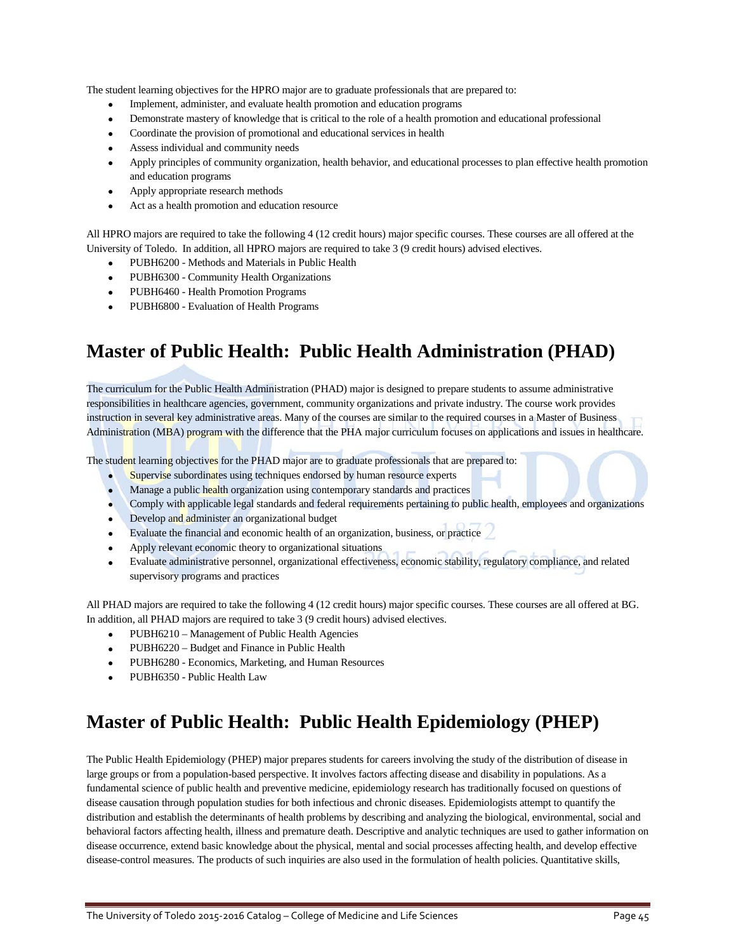The student learning objectives for the HPRO major are to graduate professionals that are prepared to:

- Implement, administer, and evaluate health promotion and education programs
- Demonstrate mastery of knowledge that is critical to the role of a health promotion and educational professional
- Coordinate the provision of promotional and educational services in health
- Assess individual and community needs
- Apply principles of community organization, health behavior, and educational processes to plan effective health promotion and education programs
- Apply appropriate research methods
- Act as a health promotion and education resource

All HPRO majors are required to take the following 4 (12 credit hours) major specific courses. These courses are all offered at the University of Toledo. In addition, all HPRO majors are required to take 3 (9 credit hours) advised electives.

- PUBH6200 Methods and Materials in Public Health
- PUBH6300 Community Health Organizations
- PUBH6460 Health Promotion Programs
- PUBH6800 Evaluation of Health Programs

## **Master of Public Health: Public Health Administration (PHAD)**

The curriculum for the Public Health Administration (PHAD) major is designed to prepare students to assume administrative responsibilities in healthcare agencies, government, community organizations and private industry. The course work provides instruction in several key administrative areas. Many of the courses are similar to the required courses in a Master of Business Administration (MBA) program with the difference that the PHA major curriculum focuses on applications and issues in healthcare.

The student learning objectives for the PHAD major are to graduate professionals that are prepared to:

- Supervise subordinates using techniques endorsed by human resource experts
- Manage a public health organization using contemporary standards and practices
- Comply with applicable legal standards and federal requirements pertaining to public health, employees and organizations
- Develop and administer an organizational budget
- Evaluate the financial and economic health of an organization, business, or practice
- Apply relevant economic theory to organizational situations
- Evaluate administrative personnel, organizational effectiveness, economic stability, regulatory compliance, and related supervisory programs and practices

All PHAD majors are required to take the following 4 (12 credit hours) major specific courses. These courses are all offered at BG. In addition, all PHAD majors are required to take 3 (9 credit hours) advised electives.

- PUBH6210 Management of Public Health Agencies
- PUBH6220 Budget and Finance in Public Health
- PUBH6280 Economics, Marketing, and Human Resources
- PUBH6350 Public Health Law

## **Master of Public Health: Public Health Epidemiology (PHEP)**

The Public Health Epidemiology (PHEP) major prepares students for careers involving the study of the distribution of disease in large groups or from a population-based perspective. It involves factors affecting disease and disability in populations. As a fundamental science of public health and preventive medicine, epidemiology research has traditionally focused on questions of disease causation through population studies for both infectious and chronic diseases. Epidemiologists attempt to quantify the distribution and establish the determinants of health problems by describing and analyzing the biological, environmental, social and behavioral factors affecting health, illness and premature death. Descriptive and analytic techniques are used to gather information on disease occurrence, extend basic knowledge about the physical, mental and social processes affecting health, and develop effective disease-control measures. The products of such inquiries are also used in the formulation of health policies. Quantitative skills,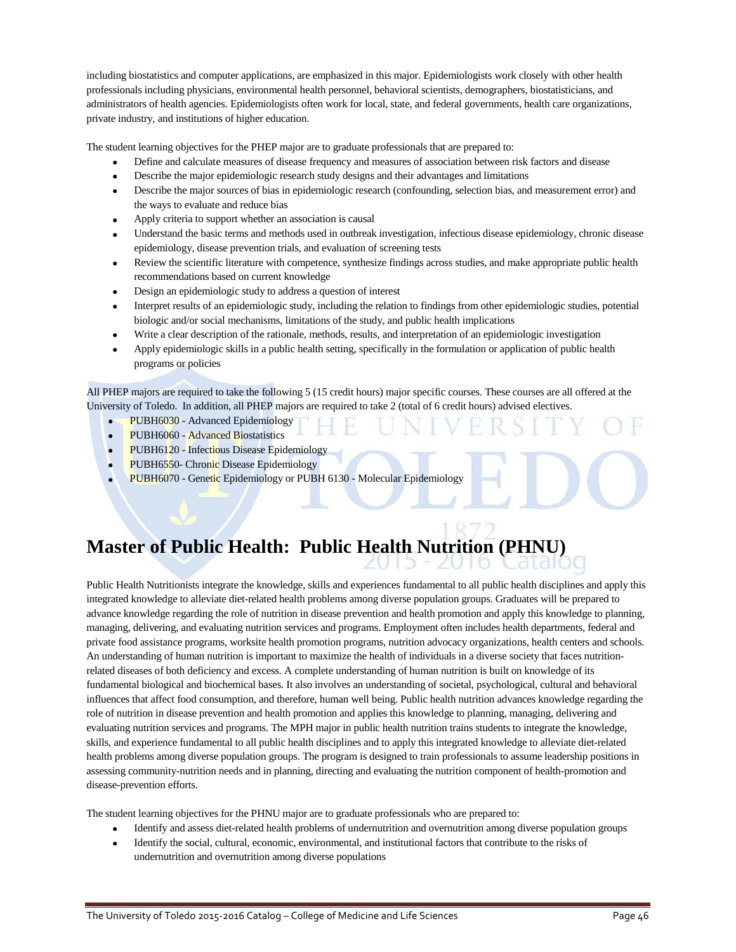including biostatistics and computer applications, are emphasized in this major. Epidemiologists work closely with other health professionals including physicians, environmental health personnel, behavioral scientists, demographers, biostatisticians, and administrators of health agencies. Epidemiologists often work for local, state, and federal governments, health care organizations, private industry, and institutions of higher education.

The student learning objectives for the PHEP major are to graduate professionals that are prepared to:

- Define and calculate measures of disease frequency and measures of association between risk factors and disease
- Describe the major epidemiologic research study designs and their advantages and limitations
- Describe the major sources of bias in epidemiologic research (confounding, selection bias, and measurement error) and the ways to evaluate and reduce bias
- Apply criteria to support whether an association is causal
- Understand the basic terms and methods used in outbreak investigation, infectious disease epidemiology, chronic disease epidemiology, disease prevention trials, and evaluation of screening tests
- Review the scientific literature with competence, synthesize findings across studies, and make appropriate public health recommendations based on current knowledge
- Design an epidemiologic study to address a question of interest
- Interpret results of an epidemiologic study, including the relation to findings from other epidemiologic studies, potential biologic and/or social mechanisms, limitations of the study, and public health implications
- Write a clear description of the rationale, methods, results, and interpretation of an epidemiologic investigation
- Apply epidemiologic skills in a public health setting, specifically in the formulation or application of public health programs or policies

All PHEP majors are required to take the following 5 (15 credit hours) major specific courses. These courses are all offered at the University of Toledo. In addition, all PHEP majors are required to take 2 (total of 6 credit hours) advised electives.

- PUBH6030 Advanced Epidemiology
- PUBH6060 Advanced Biostatistics
- PUBH6120 Infectious Disease Epidemiology
- PUBH6550- Chronic Disease Epidemiology
- PUBH6070 Genetic Epidemiology or PUBH 6130 Molecular Epidemiology

## **Master of Public Health: Public Health Nutrition (PHNU)**

Public Health Nutritionists integrate the knowledge, skills and experiences fundamental to all public health disciplines and apply this integrated knowledge to alleviate diet-related health problems among diverse population groups. Graduates will be prepared to advance knowledge regarding the role of nutrition in disease prevention and health promotion and apply this knowledge to planning, managing, delivering, and evaluating nutrition services and programs. Employment often includes health departments, federal and private food assistance programs, worksite health promotion programs, nutrition advocacy organizations, health centers and schools. An understanding of human nutrition is important to maximize the health of individuals in a diverse society that faces nutritionrelated diseases of both deficiency and excess. A complete understanding of human nutrition is built on knowledge of its fundamental biological and biochemical bases. It also involves an understanding of societal, psychological, cultural and behavioral influences that affect food consumption, and therefore, human well being. Public health nutrition advances knowledge regarding the role of nutrition in disease prevention and health promotion and applies this knowledge to planning, managing, delivering and evaluating nutrition services and programs. The MPH major in public health nutrition trains students to integrate the knowledge, skills, and experience fundamental to all public health disciplines and to apply this integrated knowledge to alleviate diet-related health problems among diverse population groups. The program is designed to train professionals to assume leadership positions in assessing community-nutrition needs and in planning, directing and evaluating the nutrition component of health-promotion and disease-prevention efforts.

The student learning objectives for the PHNU major are to graduate professionals who are prepared to:

- Identify and assess diet-related health problems of undernutrition and overnutrition among diverse population groups
- Identify the social, cultural, economic, environmental, and institutional factors that contribute to the risks of undernutrition and overnutrition among diverse populations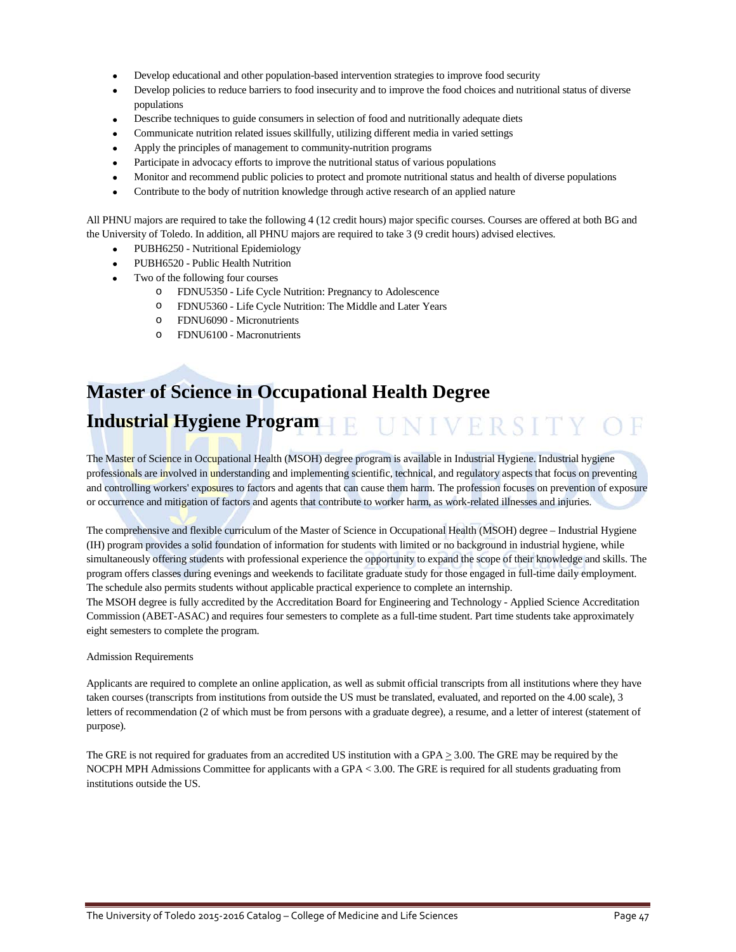- Develop educational and other population-based intervention strategies to improve food security
- Develop policies to reduce barriers to food insecurity and to improve the food choices and nutritional status of diverse populations
- Describe techniques to guide consumers in selection of food and nutritionally adequate diets
- Communicate nutrition related issues skillfully, utilizing different media in varied settings
- Apply the principles of management to community-nutrition programs
- Participate in advocacy efforts to improve the nutritional status of various populations
- Monitor and recommend public policies to protect and promote nutritional status and health of diverse populations
- Contribute to the body of nutrition knowledge through active research of an applied nature

All PHNU majors are required to take the following 4 (12 credit hours) major specific courses. Courses are offered at both BG and the University of Toledo. In addition, all PHNU majors are required to take 3 (9 credit hours) advised electives.

- PUBH6250 Nutritional Epidemiology
- PUBH6520 Public Health Nutrition
- Two of the following four courses
	- o FDNU5350 Life Cycle Nutrition: Pregnancy to Adolescence
	- o FDNU5360 Life Cycle Nutrition: The Middle and Later Years
	- o FDNU6090 Micronutrients
	- o FDNU6100 Macronutrients

# **Master of Science in Occupational Health Degree Industrial Hygiene Program**

The Master of Science in Occupational Health (MSOH) degree program is available in Industrial Hygiene. Industrial hygiene professionals are involved in understanding and implementing scientific, technical, and regulatory aspects that focus on preventing and controlling workers' exposures to factors and agents that can cause them harm. The profession focuses on prevention of exposure or occurrence and mitigation of factors and agents that contribute to worker harm, as work-related illnesses and injuries.

The comprehensive and flexible curriculum of the Master of Science in Occupational Health (MSOH) degree – Industrial Hygiene (IH) program provides a solid foundation of information for students with limited or no background in industrial hygiene, while simultaneously offering students with professional experience the opportunity to expand the scope of their knowledge and skills. The program offers classes during evenings and weekends to facilitate graduate study for those engaged in full-time daily employment. The schedule also permits students without applicable practical experience to complete an internship.

The MSOH degree is fully accredited by the Accreditation Board for Engineering and Technology - Applied Science Accreditation Commission (ABET-ASAC) and requires four semesters to complete as a full-time student. Part time students take approximately eight semesters to complete the program.

#### Admission Requirements

Applicants are required to complete an online application, as well as submit official transcripts from all institutions where they have taken courses (transcripts from institutions from outside the US must be translated, evaluated, and reported on the 4.00 scale), 3 letters of recommendation (2 of which must be from persons with a graduate degree), a resume, and a letter of interest (statement of purpose).

The GRE is not required for graduates from an accredited US institution with a GPA  $\geq$  3.00. The GRE may be required by the NOCPH MPH Admissions Committee for applicants with a GPA < 3.00. The GRE is required for all students graduating from institutions outside the US.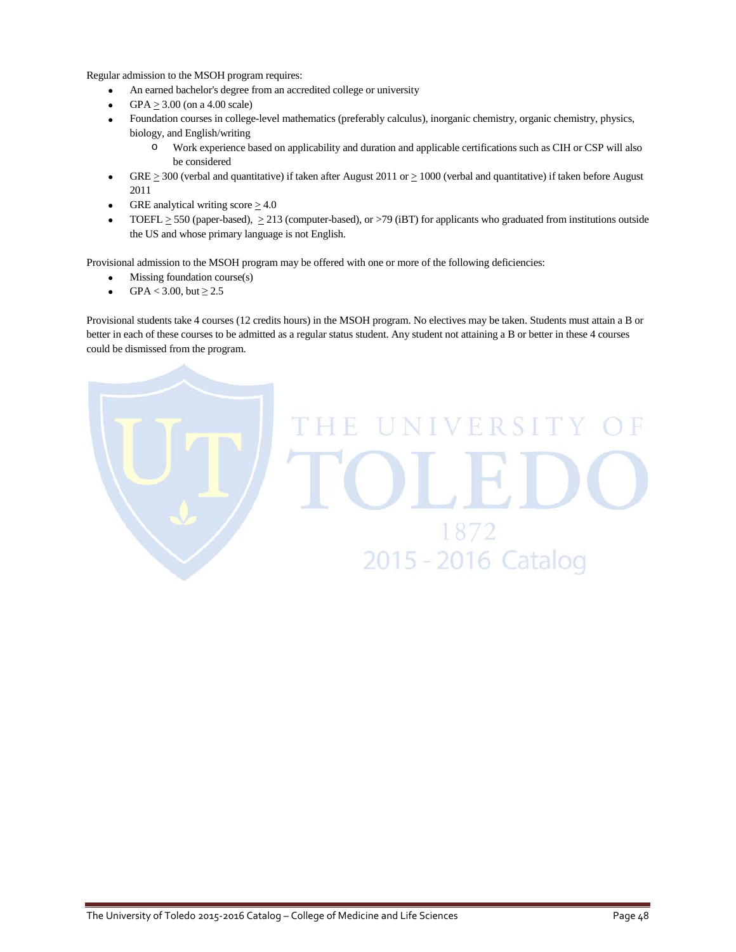Regular admission to the MSOH program requires:

- An earned bachelor's degree from an accredited college or university
- $GPA > 3.00$  (on a 4.00 scale)
- Foundation courses in college-level mathematics (preferably calculus), inorganic chemistry, organic chemistry, physics, biology, and English/writing
	- o Work experience based on applicability and duration and applicable certifications such as CIH or CSP will also be considered
- GRE  $\geq$  300 (verbal and quantitative) if taken after August 2011 or  $\geq$  1000 (verbal and quantitative) if taken before August 2011
- GRE analytical writing score  $\geq 4.0$
- TOEFL  $\geq$  550 (paper-based),  $\geq$  213 (computer-based), or >79 (iBT) for applicants who graduated from institutions outside the US and whose primary language is not English.

Provisional admission to the MSOH program may be offered with one or more of the following deficiencies:

- Missing foundation course(s)
- GPA < 3.00, but  $\geq 2.5$

Provisional students take 4 courses (12 credits hours) in the MSOH program. No electives may be taken. Students must attain a B or better in each of these courses to be admitted as a regular status student. Any student not attaining a B or better in these 4 courses could be dismissed from the program.

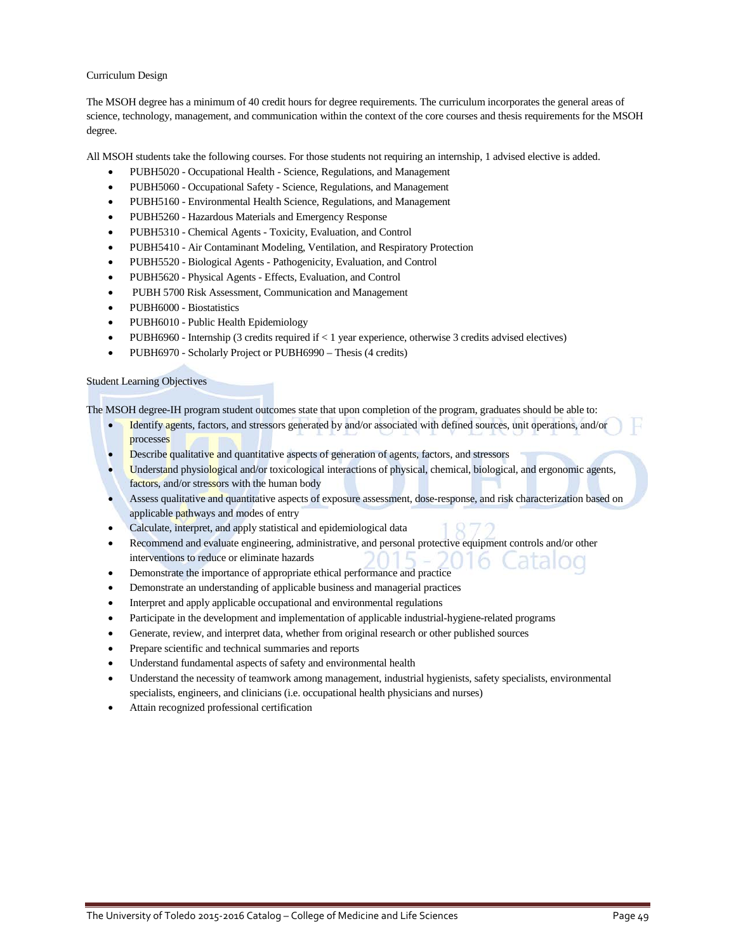### Curriculum Design

The MSOH degree has a minimum of 40 credit hours for degree requirements. The curriculum incorporates the general areas of science, technology, management, and communication within the context of the core courses and thesis requirements for the MSOH degree.

All MSOH students take the following courses. For those students not requiring an internship, 1 advised elective is added.

- PUBH5020 Occupational Health Science, Regulations, and Management
- PUBH5060 Occupational Safety Science, Regulations, and Management
- PUBH5160 Environmental Health Science, Regulations, and Management
- PUBH5260 Hazardous Materials and Emergency Response
- PUBH5310 Chemical Agents Toxicity, Evaluation, and Control
- PUBH5410 Air Contaminant Modeling, Ventilation, and Respiratory Protection
- PUBH5520 Biological Agents Pathogenicity, Evaluation, and Control
- PUBH5620 Physical Agents Effects, Evaluation, and Control
- PUBH 5700 Risk Assessment, Communication and Management
- PUBH6000 Biostatistics
- PUBH6010 Public Health Epidemiology
- PUBH6960 Internship (3 credits required if < 1 year experience, otherwise 3 credits advised electives)
- PUBH6970 Scholarly Project or PUBH6990 Thesis (4 credits)

### Student Learning Objectives

The MSOH degree-IH program student outcomes state that upon completion of the program, graduates should be able to:

- Identify agents, factors, and stressors generated by and/or associated with defined sources, unit operations, and/or processes
- Describe qualitative and quantitative aspects of generation of agents, factors, and stressors
- Understand physiological and/or toxicological interactions of physical, chemical, biological, and ergonomic agents, factors, and/or stressors with the human body
- Assess qualitative and quantitative aspects of exposure assessment, dose-response, and risk characterization based on applicable pathways and modes of entry
- Calculate, interpret, and apply statistical and epidemiological data
- Recommend and evaluate engineering, administrative, and personal protective equipment controls and/or other interventions to reduce or eliminate hazards
- Demonstrate the importance of appropriate ethical performance and practice
- Demonstrate an understanding of applicable business and managerial practices
- Interpret and apply applicable occupational and environmental regulations
- Participate in the development and implementation of applicable industrial-hygiene-related programs
- Generate, review, and interpret data, whether from original research or other published sources
- Prepare scientific and technical summaries and reports
- Understand fundamental aspects of safety and environmental health
- Understand the necessity of teamwork among management, industrial hygienists, safety specialists, environmental specialists, engineers, and clinicians (i.e. occupational health physicians and nurses)
- Attain recognized professional certification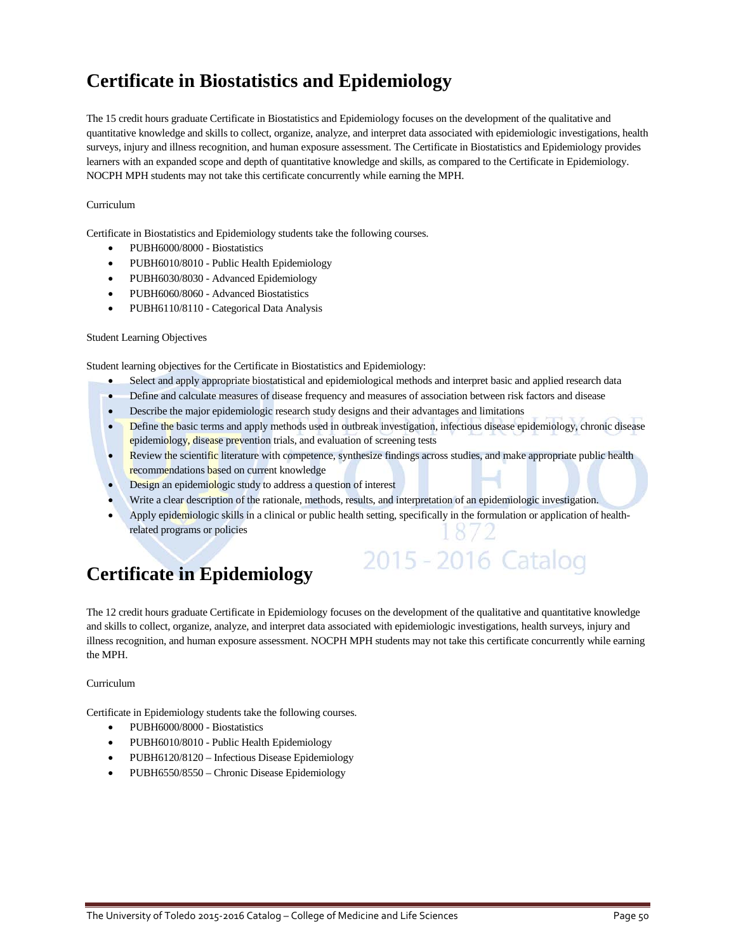## **Certificate in Biostatistics and Epidemiology**

The 15 credit hours graduate Certificate in Biostatistics and Epidemiology focuses on the development of the qualitative and quantitative knowledge and skills to collect, organize, analyze, and interpret data associated with epidemiologic investigations, health surveys, injury and illness recognition, and human exposure assessment. The Certificate in Biostatistics and Epidemiology provides learners with an expanded scope and depth of quantitative knowledge and skills, as compared to the Certificate in Epidemiology. NOCPH MPH students may not take this certificate concurrently while earning the MPH.

### Curriculum

Certificate in Biostatistics and Epidemiology students take the following courses.

- PUBH6000/8000 Biostatistics
- PUBH6010/8010 Public Health Epidemiology
- PUBH6030/8030 Advanced Epidemiology
- PUBH6060/8060 Advanced Biostatistics
- PUBH6110/8110 Categorical Data Analysis

### Student Learning Objectives

Student learning objectives for the Certificate in Biostatistics and Epidemiology:

- Select and apply appropriate biostatistical and epidemiological methods and interpret basic and applied research data
- Define and calculate measures of disease frequency and measures of association between risk factors and disease
- Describe the major epidemiologic research study designs and their advantages and limitations
- Define the basic terms and apply methods used in outbreak investigation, infectious disease epidemiology, chronic disease epidemiology, disease prevention trials, and evaluation of screening tests
- Review the scientific literature with competence, synthesize findings across studies, and make appropriate public health recommendations based on current knowledge
- Design an epidemiologic study to address a question of interest
- Write a clear description of the rationale, methods, results, and interpretation of an epidemiologic investigation.
- Apply epidemiologic skills in a clinical or public health setting, specifically in the formulation or application of healthrelated programs or policies

2015 - 2016 Catalog

## **Certificate in Epidemiology**

The 12 credit hours graduate Certificate in Epidemiology focuses on the development of the qualitative and quantitative knowledge and skills to collect, organize, analyze, and interpret data associated with epidemiologic investigations, health surveys, injury and illness recognition, and human exposure assessment. NOCPH MPH students may not take this certificate concurrently while earning the MPH.

### Curriculum

Certificate in Epidemiology students take the following courses.

- PUBH6000/8000 Biostatistics
- PUBH6010/8010 Public Health Epidemiology
- PUBH6120/8120 Infectious Disease Epidemiology
- PUBH6550/8550 Chronic Disease Epidemiology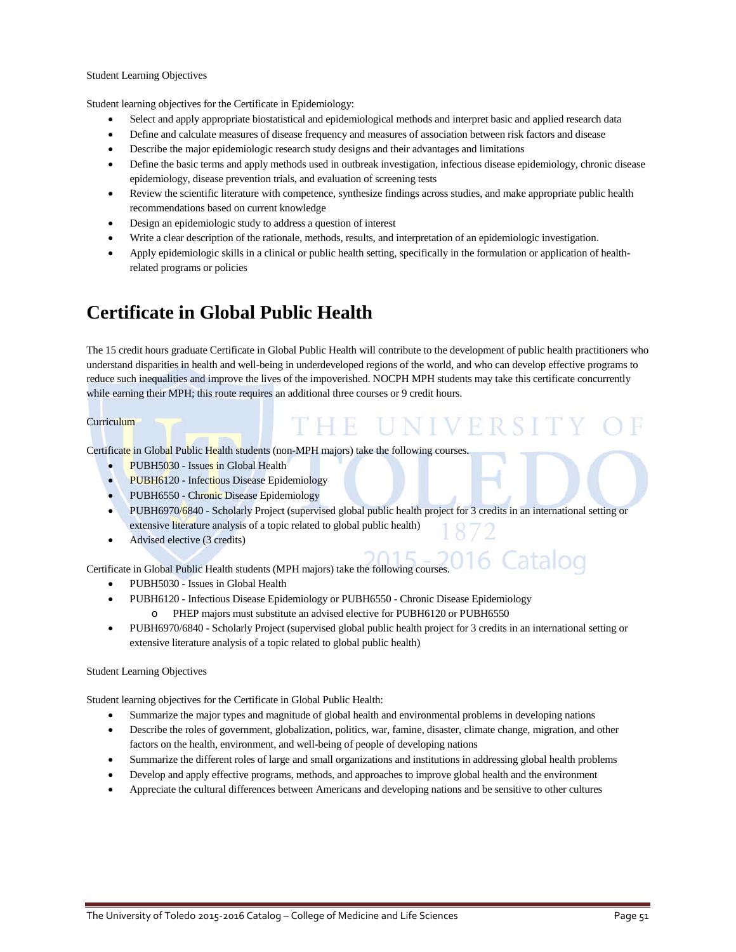#### Student Learning Objectives

Student learning objectives for the Certificate in Epidemiology:

- Select and apply appropriate biostatistical and epidemiological methods and interpret basic and applied research data
- Define and calculate measures of disease frequency and measures of association between risk factors and disease
- Describe the major epidemiologic research study designs and their advantages and limitations
- Define the basic terms and apply methods used in outbreak investigation, infectious disease epidemiology, chronic disease epidemiology, disease prevention trials, and evaluation of screening tests
- Review the scientific literature with competence, synthesize findings across studies, and make appropriate public health recommendations based on current knowledge
- Design an epidemiologic study to address a question of interest
- Write a clear description of the rationale, methods, results, and interpretation of an epidemiologic investigation.
- Apply epidemiologic skills in a clinical or public health setting, specifically in the formulation or application of healthrelated programs or policies

## **Certificate in Global Public Health**

The 15 credit hours graduate Certificate in Global Public Health will contribute to the development of public health practitioners who understand disparities in health and well-being in underdeveloped regions of the world, and who can develop effective programs to reduce such inequalities and improve the lives of the impoverished. NOCPH MPH students may take this certificate concurrently while earning their MPH; this route requires an additional three courses or 9 credit hours.

THE UNIVER

### **Curriculum**

Certificate in Global Public Health students (non-MPH majors) take the following courses.

- PUBH5030 Issues in Global Health
- PUBH6120 Infectious Disease Epidemiology
- PUBH6550 Chronic Disease Epidemiology
- PUBH6970/6840 Scholarly Project (supervised global public health project for 3 credits in an international setting or extensive literature analysis of a topic related to global public health)
- Advised elective (3 credits)

Certificate in Global Public Health students (MPH majors) take the following courses.

- PUBH5030 Issues in Global Health
- PUBH6120 Infectious Disease Epidemiology or PUBH6550 Chronic Disease Epidemiology o PHEP majors must substitute an advised elective for PUBH6120 or PUBH6550
- PUBH6970/6840 Scholarly Project (supervised global public health project for 3 credits in an international setting or extensive literature analysis of a topic related to global public health)

#### Student Learning Objectives

Student learning objectives for the Certificate in Global Public Health:

- Summarize the major types and magnitude of global health and environmental problems in developing nations
- Describe the roles of government, globalization, politics, war, famine, disaster, climate change, migration, and other factors on the health, environment, and well-being of people of developing nations
- Summarize the different roles of large and small organizations and institutions in addressing global health problems
- Develop and apply effective programs, methods, and approaches to improve global health and the environment
- Appreciate the cultural differences between Americans and developing nations and be sensitive to other cultures

Latalog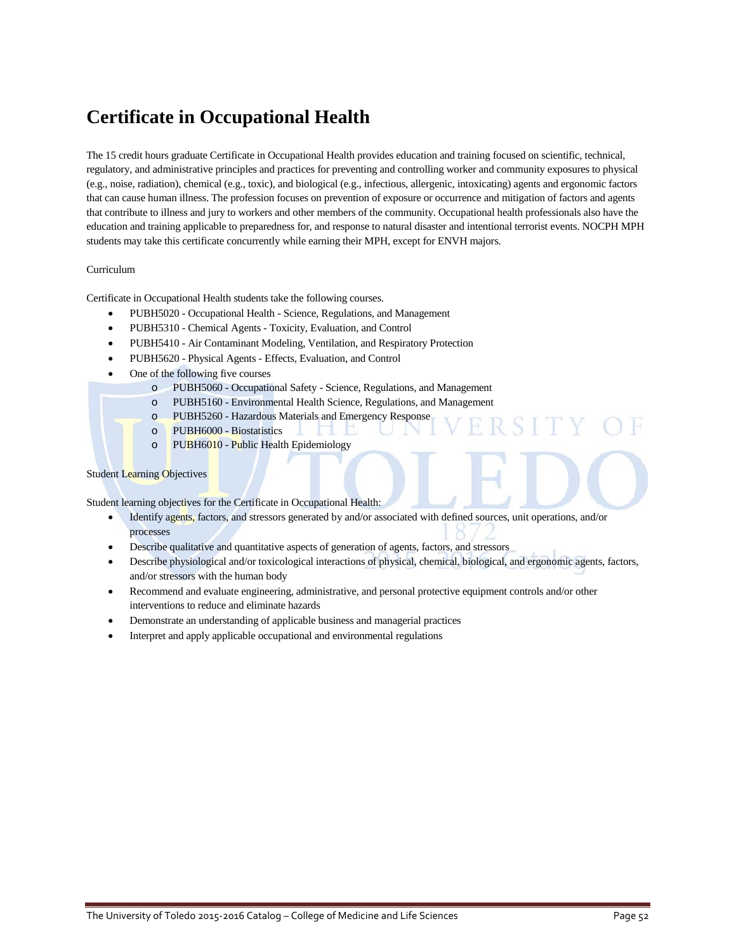## **Certificate in Occupational Health**

The 15 credit hours graduate Certificate in Occupational Health provides education and training focused on scientific, technical, regulatory, and administrative principles and practices for preventing and controlling worker and community exposures to physical (e.g., noise, radiation), chemical (e.g., toxic), and biological (e.g., infectious, allergenic, intoxicating) agents and ergonomic factors that can cause human illness. The profession focuses on prevention of exposure or occurrence and mitigation of factors and agents that contribute to illness and jury to workers and other members of the community. Occupational health professionals also have the education and training applicable to preparedness for, and response to natural disaster and intentional terrorist events. NOCPH MPH students may take this certificate concurrently while earning their MPH, except for ENVH majors.

### Curriculum

Certificate in Occupational Health students take the following courses.

- PUBH5020 Occupational Health Science, Regulations, and Management
- PUBH5310 Chemical Agents Toxicity, Evaluation, and Control
- PUBH5410 Air Contaminant Modeling, Ventilation, and Respiratory Protection
- PUBH5620 Physical Agents Effects, Evaluation, and Control
- One of the following five courses
	- o PUBH5060 Occupational Safety Science, Regulations, and Management
	- o PUBH5160 Environmental Health Science, Regulations, and Management
	- o PUBH5260 Hazardous Materials and Emergency Response
	- o PUBH6000 Biostatistics
	- o PUBH6010 Public Health Epidemiology

#### Student Learning Objectives

Student learning objectives for the Certificate in Occupational Health:

- Identify agents, factors, and stressors generated by and/or associated with defined sources, unit operations, and/or processes
- Describe qualitative and quantitative aspects of generation of agents, factors, and stressors
- Describe physiological and/or toxicological interactions of physical, chemical, biological, and ergonomic agents, factors, and/or stressors with the human body
- Recommend and evaluate engineering, administrative, and personal protective equipment controls and/or other interventions to reduce and eliminate hazards
- Demonstrate an understanding of applicable business and managerial practices
- Interpret and apply applicable occupational and environmental regulations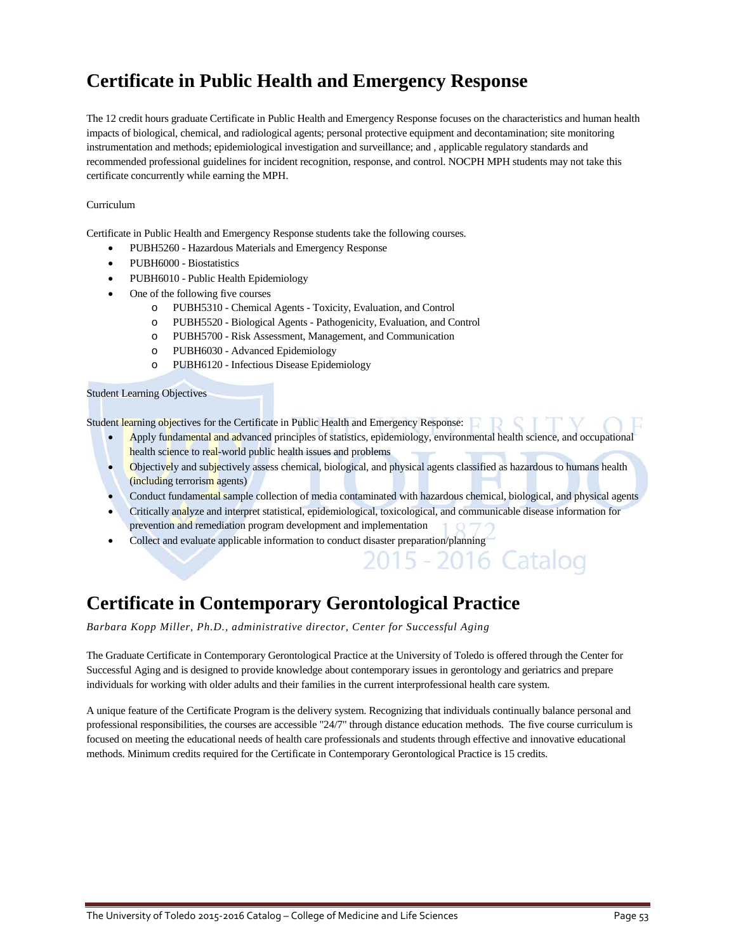## **Certificate in Public Health and Emergency Response**

The 12 credit hours graduate Certificate in Public Health and Emergency Response focuses on the characteristics and human health impacts of biological, chemical, and radiological agents; personal protective equipment and decontamination; site monitoring instrumentation and methods; epidemiological investigation and surveillance; and , applicable regulatory standards and recommended professional guidelines for incident recognition, response, and control. NOCPH MPH students may not take this certificate concurrently while earning the MPH.

### Curriculum

Certificate in Public Health and Emergency Response students take the following courses.

- PUBH5260 Hazardous Materials and Emergency Response
- PUBH6000 Biostatistics
- PUBH6010 Public Health Epidemiology
- One of the following five courses
	- o PUBH5310 Chemical Agents Toxicity, Evaluation, and Control
	- o PUBH5520 Biological Agents Pathogenicity, Evaluation, and Control
	- o PUBH5700 Risk Assessment, Management, and Communication
	- o PUBH6030 Advanced Epidemiology
	- o PUBH6120 Infectious Disease Epidemiology

#### Student Learning Objectives

Student learning objectives for the Certificate in Public Health and Emergency Response:

- Apply fundamental and advanced principles of statistics, epidemiology, environmental health science, and occupational health science to real-world public health issues and problems
- Objectively and subjectively assess chemical, biological, and physical agents classified as hazardous to humans health (including terrorism agents)
- Conduct fundamental sample collection of media contaminated with hazardous chemical, biological, and physical agents

2016 Catalog

- Critically analyze and interpret statistical, epidemiological, toxicological, and communicable disease information for prevention and remediation program development and implementation
- Collect and evaluate applicable information to conduct disaster preparation/planning

## **Certificate in Contemporary Gerontological Practice**

*Barbara Kopp Miller, Ph.D., administrative director, Center for Successful Aging*

The Graduate Certificate in Contemporary Gerontological Practice at the University of Toledo is offered through the Center for Successful Aging and is designed to provide knowledge about contemporary issues in gerontology and geriatrics and prepare individuals for working with older adults and their families in the current interprofessional health care system.

A unique feature of the Certificate Program is the delivery system. Recognizing that individuals continually balance personal and professional responsibilities, the courses are accessible "24/7" through distance education methods. The five course curriculum is focused on meeting the educational needs of health care professionals and students through effective and innovative educational methods. Minimum credits required for the Certificate in Contemporary Gerontological Practice is 15 credits.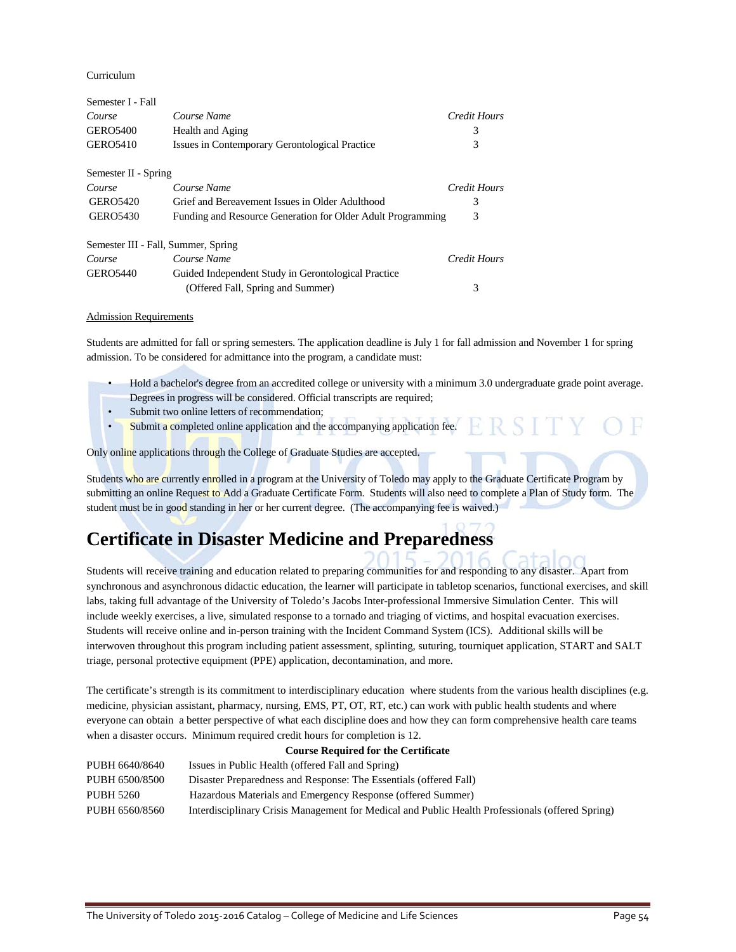Curriculum

| Semester I - Fall                   |                                                             |                     |
|-------------------------------------|-------------------------------------------------------------|---------------------|
| Course                              | Course Name                                                 | <b>Credit Hours</b> |
| <b>GERO5400</b>                     | Health and Aging                                            | 3                   |
| <b>GERO5410</b>                     | Issues in Contemporary Gerontological Practice              | 3                   |
| Semester II - Spring                |                                                             |                     |
| Course                              | Course Name                                                 | Credit Hours        |
| <b>GERO5420</b>                     | Grief and Bereavement Issues in Older Adulthood             | 3                   |
| <b>GERO5430</b>                     | Funding and Resource Generation for Older Adult Programming | 3                   |
| Semester III - Fall, Summer, Spring |                                                             |                     |
| Course                              | Course Name                                                 | Credit Hours        |
| <b>GERO5440</b>                     | Guided Independent Study in Gerontological Practice         |                     |
|                                     | (Offered Fall, Spring and Summer)                           | 3                   |

#### Admission Requirements

Students are admitted for fall or spring semesters. The application deadline is July 1 for fall admission and November 1 for spring admission. To be considered for admittance into the program, a candidate must:

- Hold a bachelor's degree from an accredited college or university with a minimum 3.0 undergraduate grade point average. Degrees in progress will be considered. Official transcripts are required;
- Submit two online letters of recommendation;
- Submit a completed online application and the accompanying application fee.

Only online applications through the College of Graduate Studies are accepted.

Students who are currently enrolled in a program at the University of Toledo may apply to the Graduate Certificate Program by submitting an online Request to Add a Graduate Certificate Form. Students will also need to complete a Plan of Study form. The student must be in good standing in her or her current degree. (The accompanying fee is waived.)

## **Certificate in Disaster Medicine and Preparedness**

Students will receive training and education related to preparing communities for and responding to any disaster. Apart from synchronous and asynchronous didactic education, the learner will participate in tabletop scenarios, functional exercises, and skill labs, taking full advantage of the University of Toledo's Jacobs Inter-professional Immersive Simulation Center. This will include weekly exercises, a live, simulated response to a tornado and triaging of victims, and hospital evacuation exercises. Students will receive online and in-person training with the Incident Command System (ICS). Additional skills will be interwoven throughout this program including patient assessment, splinting, suturing, tourniquet application, START and SALT triage, personal protective equipment (PPE) application, decontamination, and more.

The certificate's strength is its commitment to interdisciplinary education where students from the various health disciplines (e.g. medicine, physician assistant, pharmacy, nursing, EMS, PT, OT, RT, etc.) can work with public health students and where everyone can obtain a better perspective of what each discipline does and how they can form comprehensive health care teams when a disaster occurs. Minimum required credit hours for completion is 12.

| <b>Course Required for the Certificate</b>                                                       |  |  |
|--------------------------------------------------------------------------------------------------|--|--|
| Issues in Public Health (offered Fall and Spring)                                                |  |  |
| Disaster Preparedness and Response: The Essentials (offered Fall)                                |  |  |
| Hazardous Materials and Emergency Response (offered Summer)                                      |  |  |
| Interdisciplinary Crisis Management for Medical and Public Health Professionals (offered Spring) |  |  |
|                                                                                                  |  |  |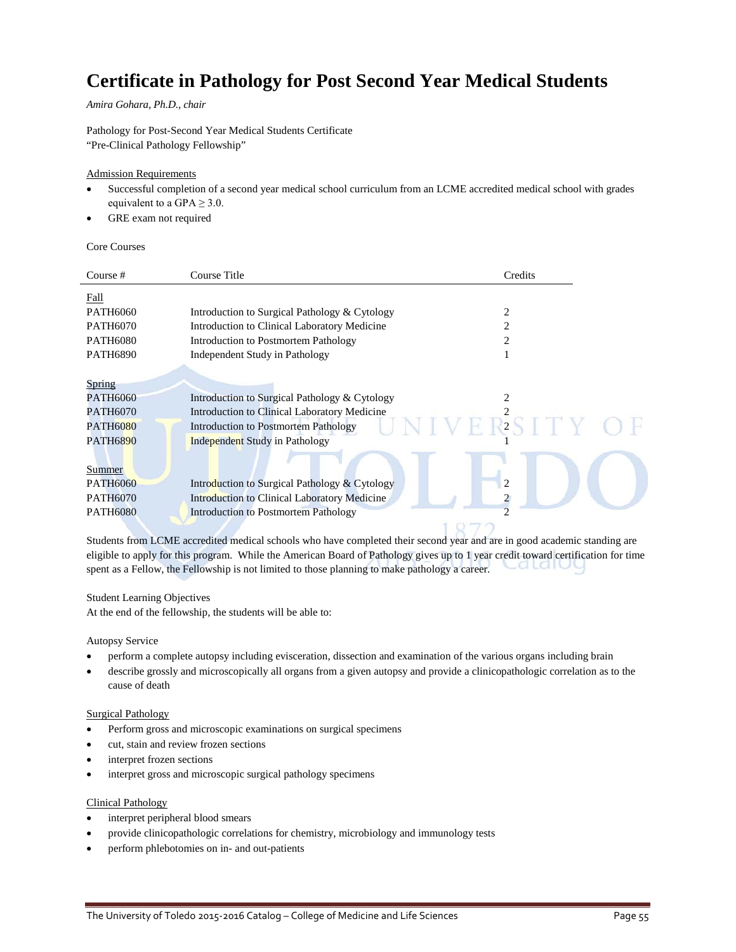## **Certificate in Pathology for Post Second Year Medical Students**

*Amira Gohara, Ph.D., chair*

Pathology for Post-Second Year Medical Students Certificate "Pre-Clinical Pathology Fellowship"

### Admission Requirements

- Successful completion of a second year medical school curriculum from an LCME accredited medical school with grades equivalent to a GPA  $\geq$  3.0.
- GRE exam not required

Core Courses

| Course #        | Course Title                                        | Credits        |
|-----------------|-----------------------------------------------------|----------------|
| Fall            |                                                     |                |
| <b>PATH6060</b> | Introduction to Surgical Pathology & Cytology       | 2              |
| <b>PATH6070</b> | Introduction to Clinical Laboratory Medicine        | 2              |
| <b>PATH6080</b> | Introduction to Postmortem Pathology                | 2              |
| <b>PATH6890</b> | Independent Study in Pathology                      |                |
|                 |                                                     |                |
| <b>Spring</b>   |                                                     |                |
| PATH6060        | Introduction to Surgical Pathology & Cytology       |                |
| <b>PATH6070</b> | Introduction to Clinical Laboratory Medicine        |                |
| <b>PATH6080</b> | <b>Introduction to Postmortem Pathology</b>         | $\overline{2}$ |
| <b>PATH6890</b> | <b>Independent Study in Pathology</b>               |                |
|                 |                                                     |                |
| <b>Summer</b>   |                                                     |                |
| <b>PATH6060</b> | Introduction to Surgical Pathology & Cytology       | $\overline{c}$ |
| <b>PATH6070</b> | <b>Introduction to Clinical Laboratory Medicine</b> |                |
| <b>PATH6080</b> | <b>Introduction to Postmortem Pathology</b>         |                |
|                 |                                                     |                |

Students from LCME accredited medical schools who have completed their second year and are in good academic standing are eligible to apply for this program. While the American Board of Pathology gives up to 1 year credit toward certification for time .a ta i t spent as a Fellow, the Fellowship is not limited to those planning to make pathology a career.

### Student Learning Objectives

At the end of the fellowship, the students will be able to:

#### Autopsy Service

- perform a complete autopsy including evisceration, dissection and examination of the various organs including brain
- describe grossly and microscopically all organs from a given autopsy and provide a clinicopathologic correlation as to the cause of death

### Surgical Pathology

- Perform gross and microscopic examinations on surgical specimens
- cut, stain and review frozen sections
- interpret frozen sections
- interpret gross and microscopic surgical pathology specimens

### Clinical Pathology

- interpret peripheral blood smears
- provide clinicopathologic correlations for chemistry, microbiology and immunology tests
- perform phlebotomies on in- and out-patients